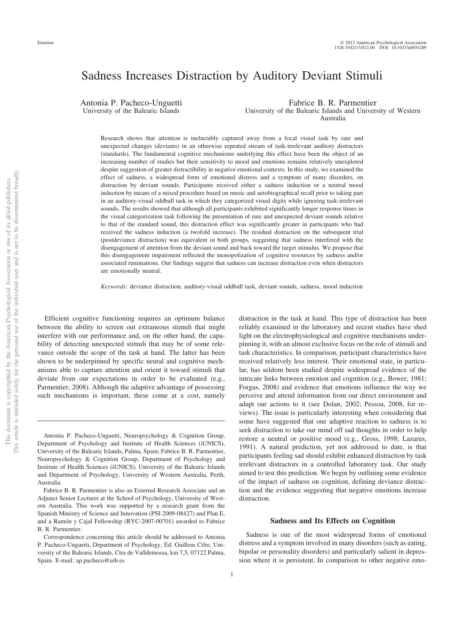# Sadness Increases Distraction by Auditory Deviant Stimuli

Antonia P. Pacheco-Unguetti University of the Balearic Islands

Fabrice B. R. Parmentier University of the Balearic Islands and University of Western

Australia

Research shows that attention is ineluctably captured away from a focal visual task by rare and unexpected changes (deviants) in an otherwise repeated stream of task-irrelevant auditory distractors (standards). The fundamental cognitive mechanisms underlying this effect have been the object of an increasing number of studies but their sensitivity to mood and emotions remains relatively unexplored despite suggestion of greater distractibility in negative emotional contexts. In this study, we examined the effect of sadness, a widespread form of emotional distress and a symptom of many disorders, on distraction by deviant sounds. Participants received either a sadness induction or a neutral mood induction by means of a mixed procedure based on music and autobiographical recall prior to taking part in an auditory-visual oddball task in which they categorized visual digits while ignoring task-irrelevant sounds. The results showed that although all participants exhibited significantly longer response times in the visual categorization task following the presentation of rare and unexpected deviant sounds relative to that of the standard sound, this distraction effect was significantly greater in participants who had received the sadness induction (a twofold increase). The residual distraction on the subsequent trial (postdeviance distraction) was equivalent in both groups, suggesting that sadness interfered with the disengagement of attention from the deviant sound and back toward the target stimulus. We propose that this disengagement impairment reflected the monopolization of cognitive resources by sadness and/or associated ruminations. Our findings suggest that sadness can increase distraction even when distractors are emotionally neutral.

*Keywords:* deviance distraction, auditory-visual oddball task, deviant sounds, sadness, mood induction

Efficient cognitive functioning requires an optimum balance between the ability to screen out extraneous stimuli that might interfere with our performance and, on the other hand, the capability of detecting unexpected stimuli that may be of some relevance outside the scope of the task at hand. The latter has been shown to be underpinned by specific neural and cognitive mechanisms able to capture attention and orient it toward stimuli that deviate from our expectations in order to be evaluated (e.g., Parmentier, 2008). Although the adaptive advantage of possessing such mechanisms is important, these come at a cost, namely

Antonia P. Pacheco-Unguetti, Neuropsychology & Cognition Group, Department of Psychology and Institute of Health Sciences (iUNICS), University of the Balearic Islands, Palma, Spain; Fabrice B. R. Parmentier, Neuropsychology & Cognition Group, Department of Psychology and Institute of Health Sciences (iUNICS), University of the Balearic Islands and Department of Psychology, University of Western Australia, Perth, Australia.

Fabrice B. R. Parmentier is also an External Research Associate and an Adjunct Senior Lecturer at the School of Psychology, University of Western Australia. This work was supported by a research grant from the Spanish Ministry of Science and Innovation (PSI-2009-08427) and Plan E, and a Ramón y Cajal Fellowship (RYC-2007-00701) awarded to Fabrice B. R. Parmentier.

distraction in the task at hand. This type of distraction has been reliably examined in the laboratory and recent studies have shed light on the electrophysiological and cognitive mechanisms underpinning it, with an almost exclusive focus on the role of stimuli and task characteristics. In comparison, participant characteristics have received relatively less interest. Their emotional state, in particular, has seldom been studied despite widespread evidence of the intricate links between emotion and cognition (e.g., Bower, 1981; Forgas, 2008) and evidence that emotions influence the way we perceive and attend information from our direct environment and adapt our actions to it (see Dolan, 2002; Pessoa, 2008, for reviews). The issue is particularly interesting when considering that some have suggested that one adaptive reaction to sadness is to seek distraction to take our mind off sad thoughts in order to help restore a neutral or positive mood (e.g., Gross, 1998; Lazarus, 1991). A natural prediction, yet not addressed to date, is that participants feeling sad should exhibit enhanced distraction by task irrelevant distractors in a controlled laboratory task. Our study aimed to test this prediction. We begin by outlining some evidence of the impact of sadness on cognition, defining deviance distraction and the evidence suggesting that negative emotions increase distraction.

## **Sadness and Its Effects on Cognition**

Sadness is one of the most widespread forms of emotional distress and a symptom involved in many disorders (such as eating, bipolar or personality disorders) and particularly salient in depression where it is persistent. In comparison to other negative emo-

Correspondence concerning this article should be addressed to Antonia P. Pacheco-Unguetti, Department of Psychology, Ed. Guillem Cifre, University of the Balearic Islands, Ctra de Valldemossa, km 7,5, 07122 Palma, Spain. E-mail: ap.pacheco@uib.es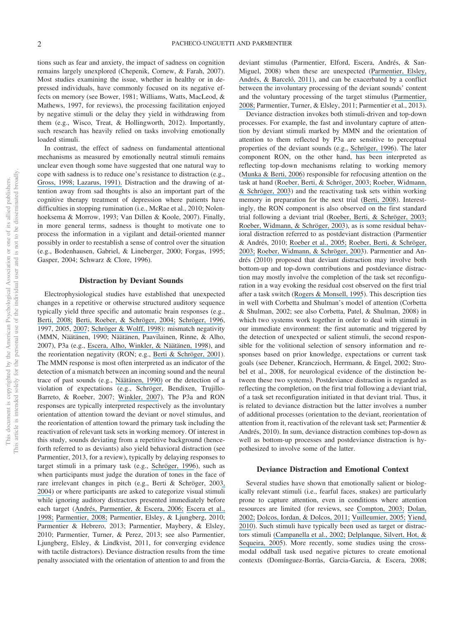tions such as fear and anxiety, the impact of sadness on cognition remains largely unexplored (Chepenik, Cornew, & Farah, 2007). Most studies examining the issue, whether in healthy or in depressed individuals, have commonly focused on its negative effects on memory (see Bower, 1981; Williams, Watts, MacLeod, & Mathews, 1997, for reviews), the processing facilitation enjoyed by negative stimuli or the delay they yield in withdrawing from them (e.g., Wisco, Treat, & Hollingworth, 2012). Importantly, such research has heavily relied on tasks involving emotionally loaded stimuli.

In contrast, the effect of sadness on fundamental attentional mechanisms as measured by emotionally neutral stimuli remains unclear even though some have suggested that one natural way to cope with sadness is to reduce one's resistance to distraction (e.g., [Gross, 1998; Lazarus, 1991\).](https://www.researchgate.net/publication/13772533_Antecedent-_and_Response-Focused_Emotion_Regulation_Divergent_Consequences_for_Experience_Expression_and_Physiology?el=1_x_8&enrichId=rgreq-d00e34159f4cd1258edc52321b81e77f-XXX&enrichSource=Y292ZXJQYWdlOzI1NzQ2MzQwMjtBUzoxMDMxNTE0NjYxODg4MDdAMTQwMTYwNDYzNTg3MQ==) Distraction and the drawing of attention away from sad thoughts is also an important part of the cognitive therapy treatment of depression where patients have difficulties in stopping rumination (i.e., McRae et al., 2010; Nolenhoeksema & Morrow, 1993; Van Dillen & Koole, 2007). Finally, in more general terms, sadness is thought to motivate one to process the information in a vigilant and detail-oriented manner possibly in order to reestablish a sense of control over the situation (e.g., Bodenhausen, Gabriel, & Lineberger, 2000; Forgas, 1995; Gasper, 2004; Schwarz & Clore, 1996).

## **Distraction by Deviant Sounds**

Electrophysiological studies have established that unexpected changes in a repetitive or otherwise structured auditory sequence typically yield three specific and automatic brain responses (e.g., [Berti, 2008;](https://www.researchgate.net/publication/5506411_Cognitive_control_after_distraction_Event-related_brain_potentials_ERPs_dissociate_between_different_processes_of_attentional_allocation?el=1_x_8&enrichId=rgreq-d00e34159f4cd1258edc52321b81e77f-XXX&enrichSource=Y292ZXJQYWdlOzI1NzQ2MzQwMjtBUzoxMDMxNTE0NjYxODg4MDdAMTQwMTYwNDYzNTg3MQ==) [Berti, Roeber, & Schröger, 2004;](https://www.researchgate.net/publication/8110911_Bottom-Up_Influences_on_Working_Memory_Behavioral_and_Electrophysiological_Distraction_Varies_with_Distractor_Strength?el=1_x_8&enrichId=rgreq-d00e34159f4cd1258edc52321b81e77f-XXX&enrichSource=Y292ZXJQYWdlOzI1NzQ2MzQwMjtBUzoxMDMxNTE0NjYxODg4MDdAMTQwMTYwNDYzNTg3MQ==) [Schröger, 1996](https://www.researchgate.net/publication/256071746_A_Neural_Mechanism_for_Involuntary_Attention_Shifts_to_Changes_in_Auditory_Stimulation?el=1_x_8&enrichId=rgreq-d00e34159f4cd1258edc52321b81e77f-XXX&enrichSource=Y292ZXJQYWdlOzI1NzQ2MzQwMjtBUzoxMDMxNTE0NjYxODg4MDdAMTQwMTYwNDYzNTg3MQ==), 1997, 2005, [2007](https://www.researchgate.net/publication/232529824_Mismatch_Negativity_A_Microphone_into_Auditory_Memory?el=1_x_8&enrichId=rgreq-d00e34159f4cd1258edc52321b81e77f-XXX&enrichSource=Y292ZXJQYWdlOzI1NzQ2MzQwMjtBUzoxMDMxNTE0NjYxODg4MDdAMTQwMTYwNDYzNTg3MQ==); [Schröger & Wolff, 1998](https://www.researchgate.net/publication/13433062_Attentional_orienting_and_reorienting_is_indicated_by_human_event-related_potentials?el=1_x_8&enrichId=rgreq-d00e34159f4cd1258edc52321b81e77f-XXX&enrichSource=Y292ZXJQYWdlOzI1NzQ2MzQwMjtBUzoxMDMxNTE0NjYxODg4MDdAMTQwMTYwNDYzNTg3MQ==)): mismatch negativity (MMN, Näätänen, 1990; Näätänen, Paavilainen, Rinne, & Alho, 2007), P3a (e.g., [Escera, Alho, Winkler, & Näätänen, 1998](https://www.researchgate.net/publication/13483513_Neural_Mechanisms_of_Involuntary_Attention_to_Acoustic_Novelty_and_Change?el=1_x_8&enrichId=rgreq-d00e34159f4cd1258edc52321b81e77f-XXX&enrichSource=Y292ZXJQYWdlOzI1NzQ2MzQwMjtBUzoxMDMxNTE0NjYxODg4MDdAMTQwMTYwNDYzNTg3MQ==)), and the reorientation negativity (RON; e.g., [Berti & Schröger, 2001](https://www.researchgate.net/publication/225188529_A_comparison_of_auditory_and_visual_distraction_effects_Behavioral_and_event-related_indices?el=1_x_8&enrichId=rgreq-d00e34159f4cd1258edc52321b81e77f-XXX&enrichSource=Y292ZXJQYWdlOzI1NzQ2MzQwMjtBUzoxMDMxNTE0NjYxODg4MDdAMTQwMTYwNDYzNTg3MQ==)). The MMN response is most often interpreted as an indicator of the detection of a mismatch between an incoming sound and the neural trace of past sounds (e.g., [Näätänen, 1990\)](https://www.researchgate.net/publication/232497361_The_role_of_attention_in_auditory_information_processing_as_revealed_by_event-related_potentials_and_other_brain_measures_of_cognitive_function?el=1_x_8&enrichId=rgreq-d00e34159f4cd1258edc52321b81e77f-XXX&enrichSource=Y292ZXJQYWdlOzI1NzQ2MzQwMjtBUzoxMDMxNTE0NjYxODg4MDdAMTQwMTYwNDYzNTg3MQ==) or the detection of a violation of expectations (e.g., Schröger, Bendixen, Trujillo-Barreto, & Roeber, 2007; [Winkler, 2007](https://www.researchgate.net/publication/251714093_Interpreting_the_mismatch_negativity_MMN?el=1_x_8&enrichId=rgreq-d00e34159f4cd1258edc52321b81e77f-XXX&enrichSource=Y292ZXJQYWdlOzI1NzQ2MzQwMjtBUzoxMDMxNTE0NjYxODg4MDdAMTQwMTYwNDYzNTg3MQ==)). The P3a and RON responses are typically interpreted respectively as the involuntary orientation of attention toward the deviant or novel stimulus, and the reorientation of attention toward the primary task including the reactivation of relevant task sets in working memory. Of interest in this study, sounds deviating from a repetitive background (henceforth referred to as deviants) also yield behavioral distraction (see Parmentier, 2013, for a review), typically by delaying responses to target stimuli in a primary task (e.g., [Schröger, 1996](https://www.researchgate.net/publication/256071746_A_Neural_Mechanism_for_Involuntary_Attention_Shifts_to_Changes_in_Auditory_Stimulation?el=1_x_8&enrichId=rgreq-d00e34159f4cd1258edc52321b81e77f-XXX&enrichSource=Y292ZXJQYWdlOzI1NzQ2MzQwMjtBUzoxMDMxNTE0NjYxODg4MDdAMTQwMTYwNDYzNTg3MQ==)), such as when participants must judge the duration of tones in the face of rare irrelevant changes in pitch (e.g., Berti & Schröger, 200[3,](https://www.researchgate.net/publication/254222241_Do_you_see_what_I_see_Affect_and_visual_information?el=1_x_8&enrichId=rgreq-d00e34159f4cd1258edc52321b81e77f-XXX&enrichSource=Y292ZXJQYWdlOzI1NzQ2MzQwMjtBUzoxMDMxNTE0NjYxODg4MDdAMTQwMTYwNDYzNTg3MQ==) [2004](https://www.researchgate.net/publication/254222241_Do_you_see_what_I_see_Affect_and_visual_information?el=1_x_8&enrichId=rgreq-d00e34159f4cd1258edc52321b81e77f-XXX&enrichSource=Y292ZXJQYWdlOzI1NzQ2MzQwMjtBUzoxMDMxNTE0NjYxODg4MDdAMTQwMTYwNDYzNTg3MQ==)) or where participants are asked to categorize visual stimuli while ignoring auditory distractors presented immediately before each target ([Andrés, Parmentier, & Escera, 2006;](https://www.researchgate.net/publication/6986090_The_effect_of_age_on_involuntary_capture_of_attention_by_irrelevant_sounds_A_test_of_the_frontal_hypothesis_of_aging?el=1_x_8&enrichId=rgreq-d00e34159f4cd1258edc52321b81e77f-XXX&enrichSource=Y292ZXJQYWdlOzI1NzQ2MzQwMjtBUzoxMDMxNTE0NjYxODg4MDdAMTQwMTYwNDYzNTg3MQ==) [Escera et al.,](https://www.researchgate.net/publication/13483513_Neural_Mechanisms_of_Involuntary_Attention_to_Acoustic_Novelty_and_Change?el=1_x_8&enrichId=rgreq-d00e34159f4cd1258edc52321b81e77f-XXX&enrichSource=Y292ZXJQYWdlOzI1NzQ2MzQwMjtBUzoxMDMxNTE0NjYxODg4MDdAMTQwMTYwNDYzNTg3MQ==) [1998;](https://www.researchgate.net/publication/13483513_Neural_Mechanisms_of_Involuntary_Attention_to_Acoustic_Novelty_and_Change?el=1_x_8&enrichId=rgreq-d00e34159f4cd1258edc52321b81e77f-XXX&enrichSource=Y292ZXJQYWdlOzI1NzQ2MzQwMjtBUzoxMDMxNTE0NjYxODg4MDdAMTQwMTYwNDYzNTg3MQ==) [Parmentier, 2008;](https://www.researchgate.net/publication/23472310_Towards_a_cognitive_model_of_distraction_by_auditory_novelty_The_role_of_involuntary_attention_capture_and_semantic_processing?el=1_x_8&enrichId=rgreq-d00e34159f4cd1258edc52321b81e77f-XXX&enrichSource=Y292ZXJQYWdlOzI1NzQ2MzQwMjtBUzoxMDMxNTE0NjYxODg4MDdAMTQwMTYwNDYzNTg3MQ==) Parmentier, Elsley, & Ljungberg, 2010; Parmentier & Hebrero, 2013; Parmentier, Maybery, & Elsley, 2010; Parmentier, Turner, & Perez, 2013; see also Parmentier, Ljungberg, Elsley, & Lindkvist, 2011, for converging evidence with tactile distractors). Deviance distraction results from the time penalty associated with the orientation of attention to and from the

deviant stimulus (Parmentier, Elford, Escera, Andrés, & San-Miguel, 2008) when these are unexpected ([Parmentier, Elsley,](https://www.researchgate.net/publication/50303777_Why_are_auditory_novels_distracting_Contrasting_the_roles_of_novelty_violation_of_expectation_and_stimulus_change?el=1_x_8&enrichId=rgreq-d00e34159f4cd1258edc52321b81e77f-XXX&enrichSource=Y292ZXJQYWdlOzI1NzQ2MzQwMjtBUzoxMDMxNTE0NjYxODg4MDdAMTQwMTYwNDYzNTg3MQ==) [Andrés, & Barceló, 2011](https://www.researchgate.net/publication/50303777_Why_are_auditory_novels_distracting_Contrasting_the_roles_of_novelty_violation_of_expectation_and_stimulus_change?el=1_x_8&enrichId=rgreq-d00e34159f4cd1258edc52321b81e77f-XXX&enrichSource=Y292ZXJQYWdlOzI1NzQ2MzQwMjtBUzoxMDMxNTE0NjYxODg4MDdAMTQwMTYwNDYzNTg3MQ==)), and can be exacerbated by a conflict between the involuntary processing of the deviant sounds' content and the voluntary processing of the target stimulus ([Parmentier,](https://www.researchgate.net/publication/23472310_Towards_a_cognitive_model_of_distraction_by_auditory_novelty_The_role_of_involuntary_attention_capture_and_semantic_processing?el=1_x_8&enrichId=rgreq-d00e34159f4cd1258edc52321b81e77f-XXX&enrichSource=Y292ZXJQYWdlOzI1NzQ2MzQwMjtBUzoxMDMxNTE0NjYxODg4MDdAMTQwMTYwNDYzNTg3MQ==) [2008;](https://www.researchgate.net/publication/23472310_Towards_a_cognitive_model_of_distraction_by_auditory_novelty_The_role_of_involuntary_attention_capture_and_semantic_processing?el=1_x_8&enrichId=rgreq-d00e34159f4cd1258edc52321b81e77f-XXX&enrichSource=Y292ZXJQYWdlOzI1NzQ2MzQwMjtBUzoxMDMxNTE0NjYxODg4MDdAMTQwMTYwNDYzNTg3MQ==) Parmentier, Turner, & Elsley, 2011; Parmentier et al., 2013).

Deviance distraction invokes both stimuli-driven and top-down processes. For example, the fast and involuntary capture of attention by deviant stimuli marked by MMN and the orientation of attention to them reflected by P3a are sensitive to perceptual properties of the deviant sounds (e.g., [Schröger, 1996](https://www.researchgate.net/publication/256071746_A_Neural_Mechanism_for_Involuntary_Attention_Shifts_to_Changes_in_Auditory_Stimulation?el=1_x_8&enrichId=rgreq-d00e34159f4cd1258edc52321b81e77f-XXX&enrichSource=Y292ZXJQYWdlOzI1NzQ2MzQwMjtBUzoxMDMxNTE0NjYxODg4MDdAMTQwMTYwNDYzNTg3MQ==)). The later component RON, on the other hand, has been interpreted as reflecting top-down mechanisms relating to working memory ([Munka & Berti, 2006](https://www.researchgate.net/publication/7412862_Examining_task-dependencies_of_different_attentional_processes_as_reflected_in_the_P3a_and_reorienting_negativity_components_of_the_human_event-related_brain_potential?el=1_x_8&enrichId=rgreq-d00e34159f4cd1258edc52321b81e77f-XXX&enrichSource=Y292ZXJQYWdlOzI1NzQ2MzQwMjtBUzoxMDMxNTE0NjYxODg4MDdAMTQwMTYwNDYzNTg3MQ==)) responsible for refocusing attention on the task at hand ([Roeber, Berti, & Schröger, 2003;](https://www.researchgate.net/publication/10924880_Auditory_distraction_with_different_presentation_rates_An_event-related_potential_and_behavioral_study?el=1_x_8&enrichId=rgreq-d00e34159f4cd1258edc52321b81e77f-XXX&enrichSource=Y292ZXJQYWdlOzI1NzQ2MzQwMjtBUzoxMDMxNTE0NjYxODg4MDdAMTQwMTYwNDYzNTg3MQ==) [Roeber, Widmann,](https://www.researchgate.net/publication/10644482_Auditory_distraction_by_duration_and_location_deviants_A_behavioral_and_event-related_potential_study?el=1_x_8&enrichId=rgreq-d00e34159f4cd1258edc52321b81e77f-XXX&enrichSource=Y292ZXJQYWdlOzI1NzQ2MzQwMjtBUzoxMDMxNTE0NjYxODg4MDdAMTQwMTYwNDYzNTg3MQ==) [& Schröger, 2003](https://www.researchgate.net/publication/10644482_Auditory_distraction_by_duration_and_location_deviants_A_behavioral_and_event-related_potential_study?el=1_x_8&enrichId=rgreq-d00e34159f4cd1258edc52321b81e77f-XXX&enrichSource=Y292ZXJQYWdlOzI1NzQ2MzQwMjtBUzoxMDMxNTE0NjYxODg4MDdAMTQwMTYwNDYzNTg3MQ==)) and the reactivating task sets within working memory in preparation for the next trial [\(Berti, 2008](https://www.researchgate.net/publication/5506411_Cognitive_control_after_distraction_Event-related_brain_potentials_ERPs_dissociate_between_different_processes_of_attentional_allocation?el=1_x_8&enrichId=rgreq-d00e34159f4cd1258edc52321b81e77f-XXX&enrichSource=Y292ZXJQYWdlOzI1NzQ2MzQwMjtBUzoxMDMxNTE0NjYxODg4MDdAMTQwMTYwNDYzNTg3MQ==)). Interestingly, the RON component is also observed on the first standard trial following a deviant trial ([Roeber, Berti, & Schröger, 2003;](https://www.researchgate.net/publication/10924880_Auditory_distraction_with_different_presentation_rates_An_event-related_potential_and_behavioral_study?el=1_x_8&enrichId=rgreq-d00e34159f4cd1258edc52321b81e77f-XXX&enrichSource=Y292ZXJQYWdlOzI1NzQ2MzQwMjtBUzoxMDMxNTE0NjYxODg4MDdAMTQwMTYwNDYzNTg3MQ==) [Roeber, Widmann, & Schröger, 2003](https://www.researchgate.net/publication/10644482_Auditory_distraction_by_duration_and_location_deviants_A_behavioral_and_event-related_potential_study?el=1_x_8&enrichId=rgreq-d00e34159f4cd1258edc52321b81e77f-XXX&enrichSource=Y292ZXJQYWdlOzI1NzQ2MzQwMjtBUzoxMDMxNTE0NjYxODg4MDdAMTQwMTYwNDYzNTg3MQ==)), as is some residual behavioral distraction referred to as postdeviant distraction (Parmentier & Andrés, 2010; [Roeber et al., 2005;](https://www.researchgate.net/publication/8011667_Response_repetition_vs_response_change_modulates_behavioral_and_electrophysiological_effects_of_distraction?el=1_x_8&enrichId=rgreq-d00e34159f4cd1258edc52321b81e77f-XXX&enrichSource=Y292ZXJQYWdlOzI1NzQ2MzQwMjtBUzoxMDMxNTE0NjYxODg4MDdAMTQwMTYwNDYzNTg3MQ==) [Roeber, Berti, & Schröger,](https://www.researchgate.net/publication/10924880_Auditory_distraction_with_different_presentation_rates_An_event-related_potential_and_behavioral_study?el=1_x_8&enrichId=rgreq-d00e34159f4cd1258edc52321b81e77f-XXX&enrichSource=Y292ZXJQYWdlOzI1NzQ2MzQwMjtBUzoxMDMxNTE0NjYxODg4MDdAMTQwMTYwNDYzNTg3MQ==) [2003;](https://www.researchgate.net/publication/10924880_Auditory_distraction_with_different_presentation_rates_An_event-related_potential_and_behavioral_study?el=1_x_8&enrichId=rgreq-d00e34159f4cd1258edc52321b81e77f-XXX&enrichSource=Y292ZXJQYWdlOzI1NzQ2MzQwMjtBUzoxMDMxNTE0NjYxODg4MDdAMTQwMTYwNDYzNTg3MQ==) [Roeber, Widmann, & Schröger, 2003](https://www.researchgate.net/publication/10644482_Auditory_distraction_by_duration_and_location_deviants_A_behavioral_and_event-related_potential_study?el=1_x_8&enrichId=rgreq-d00e34159f4cd1258edc52321b81e77f-XXX&enrichSource=Y292ZXJQYWdlOzI1NzQ2MzQwMjtBUzoxMDMxNTE0NjYxODg4MDdAMTQwMTYwNDYzNTg3MQ==)). Parmentier and Andrés (2010) proposed that deviant distraction may involve both bottom-up and top-down contributions and postdeviance distraction may mostly involve the completion of the task set reconfiguration in a way evoking the residual cost observed on the first trial after a task switch ([Rogers & Monsell, 1995](https://www.researchgate.net/publication/232496441_Costs_of_a_Predictable_Switch_Between_Simple_Cognitive_Tasks?el=1_x_8&enrichId=rgreq-d00e34159f4cd1258edc52321b81e77f-XXX&enrichSource=Y292ZXJQYWdlOzI1NzQ2MzQwMjtBUzoxMDMxNTE0NjYxODg4MDdAMTQwMTYwNDYzNTg3MQ==)). This description ties in well with Corbetta and Shulman's model of attention (Corbetta & Shulman, 2002; see also Corbetta, Patel, & Shulman, 2008) in which two systems work together in order to deal with stimuli in our immediate environment: the first automatic and triggered by the detection of unexpected or salient stimuli, the second responsible for the volitional selection of sensory information and responses based on prior knowledge, expectations or current task goals (see Debener, Kranczioch, Herrmann, & Engel, 2002; Strobel et al., 2008, for neurological evidence of the distinction between these two systems). Postdeviance distraction is regarded as reflecting the completion, on the first trial following a deviant trial, of a task set reconfiguration initiated in that deviant trial. Thus, it is related to deviance distraction but the latter involves a number of additional processes (orientation to the deviant, reorientation of attention from it, reactivation of the relevant task set; Parmentier & Andrés, 2010). In sum, deviance distraction combines top-down as well as bottom-up processes and postdeviance distraction is hypothesized to involve some of the latter.

## **Deviance Distraction and Emotional Context**

Several studies have shown that emotionally salient or biologically relevant stimuli (i.e., fearful faces, snakes) are particularly prone to capture attention, even in conditions where attention resources are limited (for reviews, see [Compton, 2003;](https://www.researchgate.net/publication/9887210_The_Interface_Between_Emotion_and_Attention_A_Review_of_Evidence_From_Psychology_and_Neuroscience?el=1_x_8&enrichId=rgreq-d00e34159f4cd1258edc52321b81e77f-XXX&enrichSource=Y292ZXJQYWdlOzI1NzQ2MzQwMjtBUzoxMDMxNTE0NjYxODg4MDdAMTQwMTYwNDYzNTg3MQ==) [Dolan,](https://www.researchgate.net/publication/11042864_Emotion_Cognition_and_Behavior?el=1_x_8&enrichId=rgreq-d00e34159f4cd1258edc52321b81e77f-XXX&enrichSource=Y292ZXJQYWdlOzI1NzQ2MzQwMjtBUzoxMDMxNTE0NjYxODg4MDdAMTQwMTYwNDYzNTg3MQ==) [2002;](https://www.researchgate.net/publication/11042864_Emotion_Cognition_and_Behavior?el=1_x_8&enrichId=rgreq-d00e34159f4cd1258edc52321b81e77f-XXX&enrichSource=Y292ZXJQYWdlOzI1NzQ2MzQwMjtBUzoxMDMxNTE0NjYxODg4MDdAMTQwMTYwNDYzNTg3MQ==) [Dolcos, Iordan, & Dolcos, 2011;](https://www.researchgate.net/publication/51775507_Neural_correlates_of_emotion_-_Cognition_interactions_A_review_of_evidence_from_brain_imaging_investigations?el=1_x_8&enrichId=rgreq-d00e34159f4cd1258edc52321b81e77f-XXX&enrichSource=Y292ZXJQYWdlOzI1NzQ2MzQwMjtBUzoxMDMxNTE0NjYxODg4MDdAMTQwMTYwNDYzNTg3MQ==) [Vuilleumier, 2005;](https://www.researchgate.net/publication/7478402_Vuilleumier_P_How_brains_beware_neural_mechanisms_of_emotional_attention_Trends_Cogn_Sci_9_585-594?el=1_x_8&enrichId=rgreq-d00e34159f4cd1258edc52321b81e77f-XXX&enrichSource=Y292ZXJQYWdlOzI1NzQ2MzQwMjtBUzoxMDMxNTE0NjYxODg4MDdAMTQwMTYwNDYzNTg3MQ==) [Yiend,](https://www.researchgate.net/publication/233893892_The_effects_of_emotion_on_attention_A_review_of_attentional_processing_of_emotional_information?el=1_x_8&enrichId=rgreq-d00e34159f4cd1258edc52321b81e77f-XXX&enrichSource=Y292ZXJQYWdlOzI1NzQ2MzQwMjtBUzoxMDMxNTE0NjYxODg4MDdAMTQwMTYwNDYzNTg3MQ==) [2010](https://www.researchgate.net/publication/233893892_The_effects_of_emotion_on_attention_A_review_of_attentional_processing_of_emotional_information?el=1_x_8&enrichId=rgreq-d00e34159f4cd1258edc52321b81e77f-XXX&enrichSource=Y292ZXJQYWdlOzI1NzQ2MzQwMjtBUzoxMDMxNTE0NjYxODg4MDdAMTQwMTYwNDYzNTg3MQ==)). Such stimuli have typically been used as target or distractors stimuli [\(Campanella et al., 2002;](https://www.researchgate.net/publication/11361041_Discrimination_of_emotional_facial_expressions_in_a_visual_oddball_task_an_ERP_study?el=1_x_8&enrichId=rgreq-d00e34159f4cd1258edc52321b81e77f-XXX&enrichSource=Y292ZXJQYWdlOzI1NzQ2MzQwMjtBUzoxMDMxNTE0NjYxODg4MDdAMTQwMTYwNDYzNTg3MQ==) [Delplanque, Silvert, Hot, &](https://www.researchgate.net/publication/8264051_Event-related_P3a_and_P3b_in_response_to_unpredictable_emotional_stimuli?el=1_x_8&enrichId=rgreq-d00e34159f4cd1258edc52321b81e77f-XXX&enrichSource=Y292ZXJQYWdlOzI1NzQ2MzQwMjtBUzoxMDMxNTE0NjYxODg4MDdAMTQwMTYwNDYzNTg3MQ==) [Sequeira, 2005](https://www.researchgate.net/publication/8264051_Event-related_P3a_and_P3b_in_response_to_unpredictable_emotional_stimuli?el=1_x_8&enrichId=rgreq-d00e34159f4cd1258edc52321b81e77f-XXX&enrichSource=Y292ZXJQYWdlOzI1NzQ2MzQwMjtBUzoxMDMxNTE0NjYxODg4MDdAMTQwMTYwNDYzNTg3MQ==)). More recently, some studies using the crossmodal oddball task used negative pictures to create emotional contexts (Domínguez-Borràs, Garcia-Garcia, & Escera, 2008;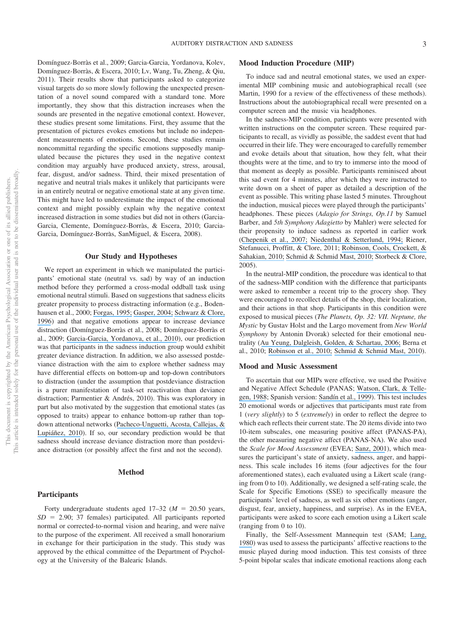Domínguez-Borra`s et al., 2009; Garcia-Garcia, Yordanova, Kolev, Domínguez-Borràs, & Escera, 2010; Lv, Wang, Tu, Zheng, & Qiu, 2011). Their results show that participants asked to categorize visual targets do so more slowly following the unexpected presentation of a novel sound compared with a standard tone. More importantly, they show that this distraction increases when the sounds are presented in the negative emotional context. However, these studies present some limitations. First, they assume that the presentation of pictures evokes emotions but include no independent measurements of emotions. Second, these studies remain noncommittal regarding the specific emotions supposedly manipulated because the pictures they used in the negative context condition may arguably have produced anxiety, stress, arousal, fear, disgust, and/or sadness. Third, their mixed presentation of negative and neutral trials makes it unlikely that participants were in an entirely neutral or negative emotional state at any given time. This might have led to underestimate the impact of the emotional context and might possibly explain why the negative context increased distraction in some studies but did not in others (Garcia-Garcia, Clemente, Domínguez-Borràs, & Escera, 2010; Garcia-Garcia, Domínguez-Borràs, SanMiguel, & Escera, 2008).

## **Our Study and Hypotheses**

We report an experiment in which we manipulated the participants' emotional state (neutral vs. sad) by way of an induction method before they performed a cross-modal oddball task using emotional neutral stimuli. Based on suggestions that sadness elicits greater propensity to process distracting information (e.g., Bodenhausen et al., 2000; [Forgas, 1995;](https://www.researchgate.net/publication/15328091_Mood_and_judgment_The_Affect_Infusion_Model_AIM?el=1_x_8&enrichId=rgreq-d00e34159f4cd1258edc52321b81e77f-XXX&enrichSource=Y292ZXJQYWdlOzI1NzQ2MzQwMjtBUzoxMDMxNTE0NjYxODg4MDdAMTQwMTYwNDYzNTg3MQ==) [Gasper, 2004;](https://www.researchgate.net/publication/254222241_Do_you_see_what_I_see_Affect_and_visual_information?el=1_x_8&enrichId=rgreq-d00e34159f4cd1258edc52321b81e77f-XXX&enrichSource=Y292ZXJQYWdlOzI1NzQ2MzQwMjtBUzoxMDMxNTE0NjYxODg4MDdAMTQwMTYwNDYzNTg3MQ==) [Schwarz & Clore,](https://www.researchgate.net/publication/229067930_Feelings_and_Phenomenal_Experiences?el=1_x_8&enrichId=rgreq-d00e34159f4cd1258edc52321b81e77f-XXX&enrichSource=Y292ZXJQYWdlOzI1NzQ2MzQwMjtBUzoxMDMxNTE0NjYxODg4MDdAMTQwMTYwNDYzNTg3MQ==) [1996](https://www.researchgate.net/publication/229067930_Feelings_and_Phenomenal_Experiences?el=1_x_8&enrichId=rgreq-d00e34159f4cd1258edc52321b81e77f-XXX&enrichSource=Y292ZXJQYWdlOzI1NzQ2MzQwMjtBUzoxMDMxNTE0NjYxODg4MDdAMTQwMTYwNDYzNTg3MQ==)) and that negative emotions appear to increase deviance distraction (Domínguez-Borràs et al., 2008; Domínguez-Borràs et al., 2009; [Garcia-Garcia, Yordanova, et al., 2010](https://www.researchgate.net/publication/223364390_Tuning_the_brain_for_novelty_detection_under_emotional_threat_The_role_of_increasing_gamma_phase-synchronization?el=1_x_8&enrichId=rgreq-d00e34159f4cd1258edc52321b81e77f-XXX&enrichSource=Y292ZXJQYWdlOzI1NzQ2MzQwMjtBUzoxMDMxNTE0NjYxODg4MDdAMTQwMTYwNDYzNTg3MQ==)), our prediction was that participants in the sadness induction group would exhibit greater deviance distraction. In addition, we also assessed postdeviance distraction with the aim to explore whether sadness may have differential effects on bottom-up and top-down contributors to distraction (under the assumption that postdeviance distraction is a purer manifestation of task-set reactivation than deviance distraction; Parmentier & Andrés, 2010). This was exploratory in part but also motivated by the suggestion that emotional states (as opposed to traits) appear to enhance bottom-up rather than topdown attentional networks ([Pacheco-Unguetti, Acosta, Callejas, &](https://www.researchgate.net/publication/43348217_Attention_and_Anxiety_Different_Attentional_Functioning_Under_State_and_Trait_Anxiety?el=1_x_8&enrichId=rgreq-d00e34159f4cd1258edc52321b81e77f-XXX&enrichSource=Y292ZXJQYWdlOzI1NzQ2MzQwMjtBUzoxMDMxNTE0NjYxODg4MDdAMTQwMTYwNDYzNTg3MQ==) [Lupiáñez, 2010](https://www.researchgate.net/publication/43348217_Attention_and_Anxiety_Different_Attentional_Functioning_Under_State_and_Trait_Anxiety?el=1_x_8&enrichId=rgreq-d00e34159f4cd1258edc52321b81e77f-XXX&enrichSource=Y292ZXJQYWdlOzI1NzQ2MzQwMjtBUzoxMDMxNTE0NjYxODg4MDdAMTQwMTYwNDYzNTg3MQ==)). If so, our secondary prediction would be that sadness should increase deviance distraction more than postdeviance distraction (or possibly affect the first and not the second).

## **Method**

# **Participants**

Forty undergraduate students aged  $17-32$  ( $M = 20.50$  years,  $SD = 2.90$ ; 37 females) participated. All participants reported normal or corrected-to-normal vision and hearing, and were naïve to the purpose of the experiment. All received a small honorarium in exchange for their participation in the study. This study was approved by the ethical committee of the Department of Psychology at the University of the Balearic Islands.

## **Mood Induction Procedure (MIP)**

To induce sad and neutral emotional states, we used an experimental MIP combining music and autobiographical recall (see Martin, 1990 for a review of the effectiveness of these methods). Instructions about the autobiographical recall were presented on a computer screen and the music via headphones.

In the sadness-MIP condition, participants were presented with written instructions on the computer screen. These required participants to recall, as vividly as possible, the saddest event that had occurred in their life. They were encouraged to carefully remember and evoke details about that situation, how they felt, what their thoughts were at the time, and to try to immerse into the mood of that moment as deeply as possible. Participants reminisced about this sad event for 4 minutes, after which they were instructed to write down on a sheet of paper as detailed a description of the event as possible. This writing phase lasted 5 minutes. Throughout the induction, musical pieces were played through the participants' headphones. These pieces (*Adagio for Strings, Op.11* by Samuel Barber, and *5th Symphony Adagietto* by Mahler) were selected for their propensity to induce sadness as reported in earlier work ([Chepenik et al., 2007;](https://www.researchgate.net/publication/5808877_The_Influence_of_Sad_Mood_on_Cognition?el=1_x_8&enrichId=rgreq-d00e34159f4cd1258edc52321b81e77f-XXX&enrichSource=Y292ZXJQYWdlOzI1NzQ2MzQwMjtBUzoxMDMxNTE0NjYxODg4MDdAMTQwMTYwNDYzNTg3MQ==) [Niedenthal & Setterlund, 1994;](https://www.researchgate.net/publication/209436042_Emotion_Congruence_in_Perception?el=1_x_8&enrichId=rgreq-d00e34159f4cd1258edc52321b81e77f-XXX&enrichSource=Y292ZXJQYWdlOzI1NzQ2MzQwMjtBUzoxMDMxNTE0NjYxODg4MDdAMTQwMTYwNDYzNTg3MQ==) Riener, Stefanucci, Proffitt, & Clore, 2011; [Robinson, Cools, Crockett, &](https://www.researchgate.net/publication/23933634_Mood_state_moderates_the_role_of_serotonin_in_cognitive_biases?el=1_x_8&enrichId=rgreq-d00e34159f4cd1258edc52321b81e77f-XXX&enrichSource=Y292ZXJQYWdlOzI1NzQ2MzQwMjtBUzoxMDMxNTE0NjYxODg4MDdAMTQwMTYwNDYzNTg3MQ==) [Sahakian, 2010;](https://www.researchgate.net/publication/23933634_Mood_state_moderates_the_role_of_serotonin_in_cognitive_biases?el=1_x_8&enrichId=rgreq-d00e34159f4cd1258edc52321b81e77f-XXX&enrichSource=Y292ZXJQYWdlOzI1NzQ2MzQwMjtBUzoxMDMxNTE0NjYxODg4MDdAMTQwMTYwNDYzNTg3MQ==) [Schmid & Schmid Mast, 2010;](https://www.researchgate.net/publication/225559951_Mood_effects_on_emotion_recognition?el=1_x_8&enrichId=rgreq-d00e34159f4cd1258edc52321b81e77f-XXX&enrichSource=Y292ZXJQYWdlOzI1NzQ2MzQwMjtBUzoxMDMxNTE0NjYxODg4MDdAMTQwMTYwNDYzNTg3MQ==) Storbeck & Clore, 2005).

In the neutral-MIP condition, the procedure was identical to that of the sadness-MIP condition with the difference that participants were asked to remember a recent trip to the grocery shop. They were encouraged to recollect details of the shop, their localization, and their actions in that shop. Participants in this condition were exposed to musical pieces (*The Planets, Op. 32: VII. Neptune, the Mystic* by Gustav Holst and the Largo movement from *New World Symphony* by Antonin Dvorak) selected for their emotional neutrality ([Au Yeung, Dalgleish, Golden, & Schartau, 2006;](https://www.researchgate.net/publication/7414631_Reduced_specificity_of_autobiographical_memories_following_a_negative_mood_induction?el=1_x_8&enrichId=rgreq-d00e34159f4cd1258edc52321b81e77f-XXX&enrichSource=Y292ZXJQYWdlOzI1NzQ2MzQwMjtBUzoxMDMxNTE0NjYxODg4MDdAMTQwMTYwNDYzNTg3MQ==) Berna et al., 2010; [Robinson et al., 2010;](https://www.researchgate.net/publication/23933634_Mood_state_moderates_the_role_of_serotonin_in_cognitive_biases?el=1_x_8&enrichId=rgreq-d00e34159f4cd1258edc52321b81e77f-XXX&enrichSource=Y292ZXJQYWdlOzI1NzQ2MzQwMjtBUzoxMDMxNTE0NjYxODg4MDdAMTQwMTYwNDYzNTg3MQ==) [Schmid & Schmid Mast, 2010](https://www.researchgate.net/publication/225559951_Mood_effects_on_emotion_recognition?el=1_x_8&enrichId=rgreq-d00e34159f4cd1258edc52321b81e77f-XXX&enrichSource=Y292ZXJQYWdlOzI1NzQ2MzQwMjtBUzoxMDMxNTE0NjYxODg4MDdAMTQwMTYwNDYzNTg3MQ==)).

## **Mood and Music Assessment**

To ascertain that our MIPs were effective, we used the Positive and Negative Affect Schedule (PANAS; [Watson, Clark, & Telle](https://www.researchgate.net/publication/235726247_Development_and_Validation_of_Brief_Measures_of_Positive_and_Negative_Affect_The_PANAS_Scales?el=1_x_8&enrichId=rgreq-d00e34159f4cd1258edc52321b81e77f-XXX&enrichSource=Y292ZXJQYWdlOzI1NzQ2MzQwMjtBUzoxMDMxNTE0NjYxODg4MDdAMTQwMTYwNDYzNTg3MQ==)[gen, 1988](https://www.researchgate.net/publication/235726247_Development_and_Validation_of_Brief_Measures_of_Positive_and_Negative_Affect_The_PANAS_Scales?el=1_x_8&enrichId=rgreq-d00e34159f4cd1258edc52321b81e77f-XXX&enrichSource=Y292ZXJQYWdlOzI1NzQ2MzQwMjtBUzoxMDMxNTE0NjYxODg4MDdAMTQwMTYwNDYzNTg3MQ==); Spanish version: [Sandín et al., 1999](https://www.researchgate.net/publication/272416833_The_PANAS_Scales_of_Positive_and_Negative_Affect_Factor_Analytic_Validation_and_Cross-cultural_Convergence?el=1_x_8&enrichId=rgreq-d00e34159f4cd1258edc52321b81e77f-XXX&enrichSource=Y292ZXJQYWdlOzI1NzQ2MzQwMjtBUzoxMDMxNTE0NjYxODg4MDdAMTQwMTYwNDYzNTg3MQ==)). This test includes 20 emotional words or adjectives that participants must rate from 1 (*very slightly*) to 5 (*extremely*) in order to reflect the degree to which each reflects their current state. The 20 items divide into two 10-item subscales, one measuring positive affect (PANAS-PA), the other measuring negative affect (PANAS-NA). We also used the *Scale for Mood Assessment* (EVEA; [Sanz, 2001](https://www.researchgate.net/publication/39148549_Un_instrumento_para_evaluar_la_eficacia_de_los_procedimientos_de_induccion_de_estado_de_animo_la_Escala_de_Valoracion_del_Estado_de_animo_EVEA?el=1_x_8&enrichId=rgreq-d00e34159f4cd1258edc52321b81e77f-XXX&enrichSource=Y292ZXJQYWdlOzI1NzQ2MzQwMjtBUzoxMDMxNTE0NjYxODg4MDdAMTQwMTYwNDYzNTg3MQ==)), which measures the participant's state of anxiety, sadness, anger, and happiness. This scale includes 16 items (four adjectives for the four aforementioned states), each evaluated using a Likert scale (ranging from 0 to 10). Additionally, we designed a self-rating scale, the Scale for Specific Emotions (SSE) to specifically measure the participants' level of sadness, as well as six other emotions (anger, disgust, fear, anxiety, happiness, and surprise). As in the EVEA, participants were asked to score each emotion using a Likert scale (ranging from 0 to 10).

Finally, the Self-Assessment Mannequin test (SAM; [Lang,](https://www.researchgate.net/publication/209436364_Behavioral_treatment_and_bio-behavioral_assessment_Computer_applications?el=1_x_8&enrichId=rgreq-d00e34159f4cd1258edc52321b81e77f-XXX&enrichSource=Y292ZXJQYWdlOzI1NzQ2MzQwMjtBUzoxMDMxNTE0NjYxODg4MDdAMTQwMTYwNDYzNTg3MQ==) [1980](https://www.researchgate.net/publication/209436364_Behavioral_treatment_and_bio-behavioral_assessment_Computer_applications?el=1_x_8&enrichId=rgreq-d00e34159f4cd1258edc52321b81e77f-XXX&enrichSource=Y292ZXJQYWdlOzI1NzQ2MzQwMjtBUzoxMDMxNTE0NjYxODg4MDdAMTQwMTYwNDYzNTg3MQ==)) was used to assess the participants' affective reactions to the music played during mood induction. This test consists of three 5-point bipolar scales that indicate emotional reactions along each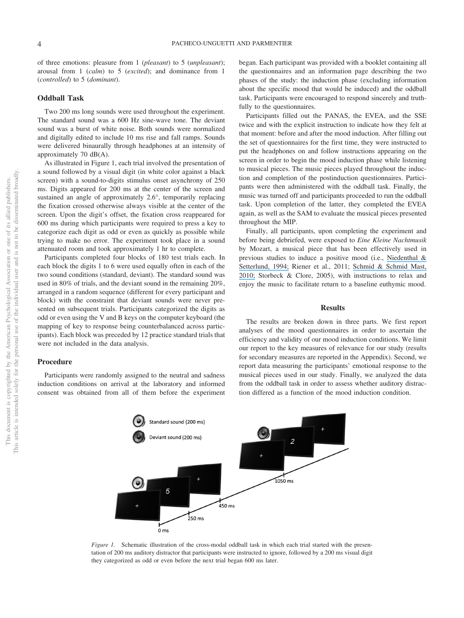of three emotions: pleasure from 1 (*pleasant*) to 5 (*unpleasant*); arousal from 1 (*calm*) to 5 (*excited*); and dominance from 1 (*controlled*) to 5 (*dominant*).

## **Oddball Task**

Two 200 ms long sounds were used throughout the experiment. The standard sound was a 600 Hz sine-wave tone. The deviant sound was a burst of white noise. Both sounds were normalized and digitally edited to include 10 ms rise and fall ramps. Sounds were delivered binaurally through headphones at an intensity of approximately 70 dB(A).

As illustrated in Figure 1, each trial involved the presentation of a sound followed by a visual digit (in white color against a black screen) with a sound-to-digits stimulus onset asynchrony of 250 ms. Digits appeared for 200 ms at the center of the screen and sustained an angle of approximately 2.6°, temporarily replacing the fixation crossed otherwise always visible at the center of the screen. Upon the digit's offset, the fixation cross reappeared for 600 ms during which participants were required to press a key to categorize each digit as odd or even as quickly as possible while trying to make no error. The experiment took place in a sound attenuated room and took approximately 1 hr to complete.

Participants completed four blocks of 180 test trials each. In each block the digits 1 to 6 were used equally often in each of the two sound conditions (standard, deviant). The standard sound was used in 80% of trials, and the deviant sound in the remaining 20%, arranged in a random sequence (different for every participant and block) with the constraint that deviant sounds were never presented on subsequent trials. Participants categorized the digits as odd or even using the V and B keys on the computer keyboard (the mapping of key to response being counterbalanced across participants). Each block was preceded by 12 practice standard trials that were not included in the data analysis.

#### **Procedure**

Participants were randomly assigned to the neutral and sadness induction conditions on arrival at the laboratory and informed consent was obtained from all of them before the experiment began. Each participant was provided with a booklet containing all the questionnaires and an information page describing the two phases of the study: the induction phase (excluding information about the specific mood that would be induced) and the oddball task. Participants were encouraged to respond sincerely and truthfully to the questionnaires.

Participants filled out the PANAS, the EVEA, and the SSE twice and with the explicit instruction to indicate how they felt at that moment: before and after the mood induction. After filling out the set of questionnaires for the first time, they were instructed to put the headphones on and follow instructions appearing on the screen in order to begin the mood induction phase while listening to musical pieces. The music pieces played throughout the induction and completion of the postinduction questionnaires. Participants were then administered with the oddball task. Finally, the music was turned off and participants proceeded to run the oddball task. Upon completion of the latter, they completed the EVEA again, as well as the SAM to evaluate the musical pieces presented throughout the MIP.

Finally, all participants, upon completing the experiment and before being debriefed, were exposed to *Eine Kleine Nachtmusik* by Mozart, a musical piece that has been effectively used in previous studies to induce a positive mood (i.e., [Niedenthal &](https://www.researchgate.net/publication/209436042_Emotion_Congruence_in_Perception?el=1_x_8&enrichId=rgreq-d00e34159f4cd1258edc52321b81e77f-XXX&enrichSource=Y292ZXJQYWdlOzI1NzQ2MzQwMjtBUzoxMDMxNTE0NjYxODg4MDdAMTQwMTYwNDYzNTg3MQ==) [Setterlund, 1994;](https://www.researchgate.net/publication/209436042_Emotion_Congruence_in_Perception?el=1_x_8&enrichId=rgreq-d00e34159f4cd1258edc52321b81e77f-XXX&enrichSource=Y292ZXJQYWdlOzI1NzQ2MzQwMjtBUzoxMDMxNTE0NjYxODg4MDdAMTQwMTYwNDYzNTg3MQ==) Riener et al., 2011; [Schmid & Schmid Mast,](https://www.researchgate.net/publication/225559951_Mood_effects_on_emotion_recognition?el=1_x_8&enrichId=rgreq-d00e34159f4cd1258edc52321b81e77f-XXX&enrichSource=Y292ZXJQYWdlOzI1NzQ2MzQwMjtBUzoxMDMxNTE0NjYxODg4MDdAMTQwMTYwNDYzNTg3MQ==) [2010;](https://www.researchgate.net/publication/225559951_Mood_effects_on_emotion_recognition?el=1_x_8&enrichId=rgreq-d00e34159f4cd1258edc52321b81e77f-XXX&enrichSource=Y292ZXJQYWdlOzI1NzQ2MzQwMjtBUzoxMDMxNTE0NjYxODg4MDdAMTQwMTYwNDYzNTg3MQ==) Storbeck & Clore, 2005), with instructions to relax and enjoy the music to facilitate return to a baseline euthymic mood.

## **Results**

The results are broken down in three parts. We first report analyses of the mood questionnaires in order to ascertain the efficiency and validity of our mood induction conditions. We limit our report to the key measures of relevance for our study (results for secondary measures are reported in the Appendix). Second, we report data measuring the participants' emotional response to the musical pieces used in our study. Finally, we analyzed the data from the oddball task in order to assess whether auditory distraction differed as a function of the mood induction condition.



*Figure 1.* Schematic illustration of the cross-modal oddball task in which each trial started with the presentation of 200 ms auditory distractor that participants were instructed to ignore, followed by a 200 ms visual digit they categorized as odd or even before the next trial began 600 ms later.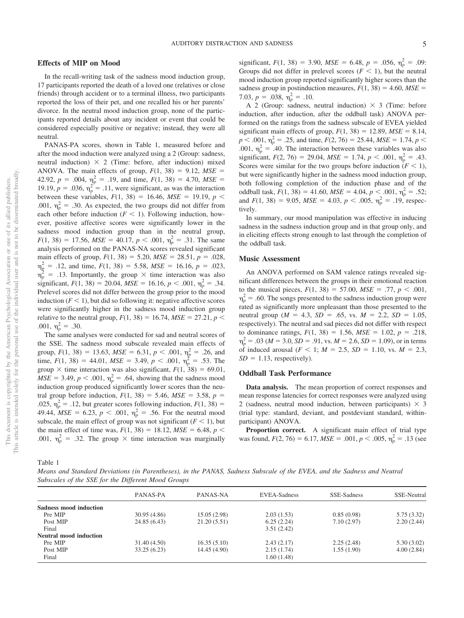## **Effects of MIP on Mood**

In the recall-writing task of the sadness mood induction group, 17 participants reported the death of a loved one (relatives or close friends) through accident or to a terminal illness, two participants reported the loss of their pet, and one recalled his or her parents' divorce. In the neutral mood induction group, none of the participants reported details about any incident or event that could be considered especially positive or negative; instead, they were all neutral.

PANAS-PA scores, shown in Table 1, measured before and after the mood induction were analyzed using a 2 (Group: sadness, neutral induction)  $\times$  2 (Time: before, after induction) mixed ANOVA. The main effects of group,  $F(1, 38) = 9.12$ ,  $MSE =$ 42.92,  $p = .004$ ,  $\eta_p^2 = .19$ , and time,  $F(1, 38) = 4.70$ ,  $MSE =$ 19.19,  $p = .036$ ,  $\eta_p^2 = .11$ , were significant, as was the interaction between these variables,  $F(1, 38) = 16.46$ ,  $MSE = 19.19$ ,  $p <$ .001,  $\eta_p^2$  = .30. As expected, the two groups did not differ from each other before induction  $(F \leq 1)$ . Following induction, however, positive affective scores were significantly lower in the sadness mood induction group than in the neutral group,  $F(1, 38) = 17.56$ ,  $MSE = 40.17$ ,  $p < .001$ ,  $\eta_p^2 = .31$ . The same analysis performed on the PANAS-NA scores revealed significant main effects of group,  $F(1, 38) = 5.20$ ,  $MSE = 28.51$ ,  $p = .028$ ,  $\eta_p^2 = .12$ , and time,  $F(1, 38) = 5.58$ ,  $MSE = 16.16$ ,  $p = .023$ ,  $\eta_p^2$  = .13. Importantly, the group  $\times$  time interaction was also significant,  $F(1, 38) = 20.04$ ,  $MSE = 16.16$ ,  $p < .001$ ,  $\eta_p^2 = .34$ . Prelevel scores did not differ between the group prior to the mood induction  $(F < 1)$ , but did so following it: negative affective scores were significantly higher in the sadness mood induction group relative to the neutral group,  $F(1, 38) = 16.74$ ,  $MSE = 27.21$ ,  $p <$ .001,  $\eta_p^2 = .30$ .

The same analyses were conducted for sad and neutral scores of the SSE. The sadness mood subscale revealed main effects of group,  $F(1, 38) = 13.63$ ,  $MSE = 6.31$ ,  $p < .001$ ,  $\eta_p^2 = .26$ , and time,  $F(1, 38) = 44.01$ ,  $MSE = 3.49$ ,  $p < .001$ ,  $\eta_p^2 = .53$ . The group  $\times$  time interaction was also significant,  $F(1, 38) = 69.01$ ,  $MSE = 3.49$ ,  $p < .001$ ,  $\eta_p^2 = .64$ , showing that the sadness mood induction group produced significantly lower scores than the neutral group before induction,  $F(1, 38) = 5.46$ ,  $MSE = 3.58$ ,  $p =$ .025,  $\eta_p^2 = .12$ , but greater scores following induction,  $F(1, 38) =$ 49.44,  $MSE = 6.23$ ,  $p < .001$ ,  $\eta_p^2 = .56$ . For the neutral mood subscale, the main effect of group was not significant  $(F < 1)$ , but the main effect of time was,  $F(1, 38) = 18.12$ ,  $MSE = 6.48$ ,  $p <$ .001,  $\eta_p^2 = .32$ . The group  $\times$  time interaction was marginally

significant,  $F(1, 38) = 3.90$ ,  $MSE = 6.48$ ,  $p = .056$ ,  $\eta_p^2 = .09$ : Groups did not differ in prelevel scores  $(F < 1)$ , but the neutral mood induction group reported significantly higher scores than the sadness group in postinduction measures,  $F(1, 38) = 4.60$ ,  $MSE =$ 7.03,  $p = .038$ ,  $\eta_p^2 = .10$ .

A 2 (Group: sadness, neutral induction)  $\times$  3 (Time: before induction, after induction, after the oddball task) ANOVA performed on the ratings from the sadness subscale of EVEA yielded significant main effects of group,  $F(1, 38) = 12.89$ ,  $MSE = 8.14$ ,  $p < .001$ ,  $\eta_p^2 = .25$ , and time,  $F(2, 76) = 25.44$ ,  $MSE = 1.74$ ,  $p <$ .001,  $\eta_p^2 = .40$ . The interaction between these variables was also significant,  $F(2, 76) = 29.04$ ,  $MSE = 1.74$ ,  $p < .001$ ,  $\eta_p^2 = .43$ . Scores were similar for the two groups before induction  $(F \leq 1)$ , but were significantly higher in the sadness mood induction group, both following completion of the induction phase and of the oddball task,  $F(1, 38) = 41.60$ ,  $MSE = 4.04$ ,  $p < .001$ ,  $\eta_p^2 = .52$ ; and  $F(1, 38) = 9.05$ ,  $MSE = 4.03$ ,  $p < .005$ ,  $\eta_p^2 = .19$ , respectively.

In summary, our mood manipulation was effective in inducing sadness in the sadness induction group and in that group only, and in eliciting effects strong enough to last through the completion of the oddball task.

#### **Music Assessment**

An ANOVA performed on SAM valence ratings revealed significant differences between the groups in their emotional reaction to the musical pieces,  $F(1, 38) = 57.00$ ,  $MSE = .77$ ,  $p < .001$ ,  $\eta_p^2$  = .60. The songs presented to the sadness induction group were rated as significantly more unpleasant than those presented to the neutral group ( $M = 4.3$ ,  $SD = .65$ , vs.  $M = 2.2$ ,  $SD = 1.05$ , respectively). The neutral and sad pieces did not differ with respect to dominance ratings,  $F(1, 38) = 1.56$ ,  $MSE = 1.02$ ,  $p = .218$ ,  $\eta_p^2 = .03$  (*M* = 3.0, *SD* = .91, vs. *M* = 2.6, *SD* = 1.09), or in terms of induced arousal ( $F < 1$ ;  $M = 2.5$ ,  $SD = 1.10$ , vs.  $M = 2.3$ ,  $SD = 1.13$ , respectively).

## **Oddball Task Performance**

**Data analysis.** The mean proportion of correct responses and mean response latencies for correct responses were analyzed using 2 (sadness, neutral mood induction, between participants)  $\times$  3 (trial type: standard, deviant, and postdeviant standard, withinparticipant) ANOVA.

**Proportion correct.** A significant main effect of trial type was found,  $F(2, 76) = 6.17$ ,  $MSE = .001$ ,  $p < .005$ ,  $\eta_p^2 = .13$  (see

Table 1

*Means and Standard Deviations (in Parentheses), in the PANAS, Sadness Subscale of the EVEA, and the Sadness and Neutral Subscales of the SSE for the Different Mood Groups*

|                               | PANAS-PA     | PANAS-NA     | EVEA-Sadness | SSE-Sadness | SSE-Neutral |  |
|-------------------------------|--------------|--------------|--------------|-------------|-------------|--|
| Sadness mood induction        |              |              |              |             |             |  |
| Pre MIP                       | 30.95(4.86)  | 15.05(2.98)  | 2.03(1.53)   | 0.85(0.98)  | 5.75(3.32)  |  |
| Post MIP                      | 24.85 (6.43) | 21.20(5.51)  | 6.25(2.24)   | 7.10(2.97)  | 2.20(2.44)  |  |
| Final                         |              |              | 3.51(2.42)   |             |             |  |
| <b>Neutral mood induction</b> |              |              |              |             |             |  |
| Pre MIP                       | 31.40 (4.50) | 16.35(5.10)  | 2.43(2.17)   | 2.25(2.48)  | 5.30(3.02)  |  |
| Post MIP                      | 33.25(6.23)  | 14.45 (4.90) | 2.15(1.74)   | 1.55(1.90)  | 4.00(2.84)  |  |
| Final                         |              |              | 1.60(1.48)   |             |             |  |
|                               |              |              |              |             |             |  |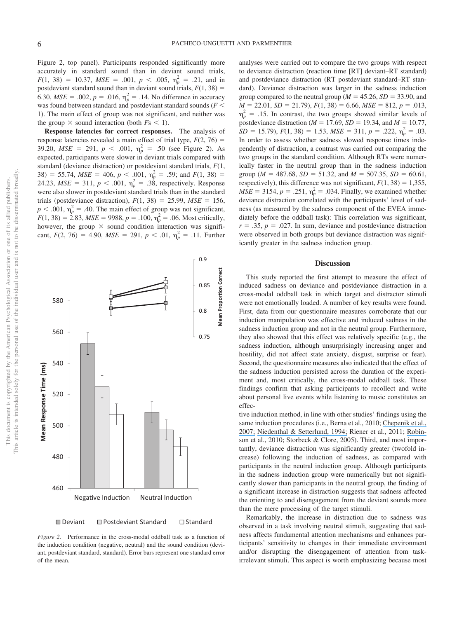Figure 2, top panel). Participants responded significantly more accurately in standard sound than in deviant sound trials,  $F(1, 38) = 10.37$ ,  $MSE = .001$ ,  $p < .005$ ,  $\eta_p^2 = .21$ , and in postdeviant standard sound than in deviant sound trials,  $F(1, 38)$ 6.30,  $MSE = .002$ ,  $p = .016$ ,  $\eta_p^2 = .14$ . No difference in accuracy was found between standard and postdeviant standard sounds (*F* 1). The main effect of group was not significant, and neither was the group  $\times$  sound interaction (both  $Fs < 1$ ).

**Response latencies for correct responses.** The analysis of response latencies revealed a main effect of trial type,  $F(2, 76) =$ 39.20,  $MSE = 291$ ,  $p < .001$ ,  $\eta_p^2 = .50$  (see Figure 2). As expected, participants were slower in deviant trials compared with standard (deviance distraction) or postdeviant standard trials, *F*(1, 38) = 55.74,  $MSE = 406$ ,  $p < .001$ ,  $\eta_p^2 = .59$ ; and  $F(1, 38) =$ 24.23,  $MSE = 311$ ,  $p < .001$ ,  $\eta_p^2 = .38$ , respectively. Response were also slower in postdeviant standard trials than in the standard trials (postdeviance distraction),  $F(1, 38) = 25.99$ ,  $MSE = 156$ ,  $p < .001$ ,  $\eta_p^2 = .40$ . The main effect of group was not significant,  $F(1, 38) = 2.83, MSE = 9988, p = .100, \eta_p^2 = .06$ . Most critically, however, the group  $\times$  sound condition interaction was significant,  $F(2, 76) = 4.90$ ,  $MSE = 291$ ,  $p < .01$ ,  $\eta_p^2 = .11$ . Further



# **□ Deviant** □ Postdeviant Standard □ Standard

*Figure 2.* Performance in the cross-modal oddball task as a function of the induction condition (negative, neutral) and the sound condition (deviant, postdeviant standard, standard). Error bars represent one standard error of the mean.

analyses were carried out to compare the two groups with respect to deviance distraction (reaction time [RT] deviant–RT standard) and postdeviance distraction (RT postdeviant standard–RT standard). Deviance distraction was larger in the sadness induction group compared to the neutral group ( $M = 45.26$ ,  $SD = 33.90$ , and  $M = 22.01$ ,  $SD = 21.79$ ,  $F(1, 38) = 6.66$ ,  $MSE = 812$ ,  $p = .013$ ,  $\eta_p^2 = .15$ . In contrast, the two groups showed similar levels of postdeviance distraction ( $M = 17.69$ ,  $SD = 19.34$ , and  $M = 10.77$ ,  $SD = 15.79$ ,  $F(1, 38) = 1.53$ ,  $MSE = 311$ ,  $p = .222$ ,  $\eta_p^2 = .03$ . In order to assess whether sadness slowed response times independently of distraction, a contrast was carried out comparing the two groups in the standard condition. Although RTs were numerically faster in the neutral group than in the sadness induction group ( $M = 487.68$ ,  $SD = 51.32$ , and  $M = 507.35$ ,  $SD = 60.61$ , respectively), this difference was not significant,  $F(1, 38) = 1,355$ ,  $MSE = 3154$ ,  $p = .251$ ,  $\eta_p^2 = .034$ . Finally, we examined whether deviance distraction correlated with the participants' level of sadness (as measured by the sadness component of the EVEA immediately before the oddball task): This correlation was significant,  $r = .35$ ,  $p = .027$ . In sum, deviance and postdeviance distraction were observed in both groups but deviance distraction was significantly greater in the sadness induction group.

#### **Discussion**

This study reported the first attempt to measure the effect of induced sadness on deviance and postdeviance distraction in a cross-modal oddball task in which target and distractor stimuli were not emotionally loaded. A number of key results were found. First, data from our questionnaire measures corroborate that our induction manipulation was effective and induced sadness in the sadness induction group and not in the neutral group. Furthermore, they also showed that this effect was relatively specific (e.g., the sadness induction, although unsurprisingly increasing anger and hostility, did not affect state anxiety, disgust, surprise or fear). Second, the questionnaire measures also indicated that the effect of the sadness induction persisted across the duration of the experiment and, most critically, the cross-modal oddball task. These findings confirm that asking participants to recollect and write about personal live events while listening to music constitutes an effec-

tive induction method, in line with other studies' findings using the same induction procedures (i.e., Berna et al., 2010; [Chepenik et al.,](https://www.researchgate.net/publication/5808877_The_Influence_of_Sad_Mood_on_Cognition?el=1_x_8&enrichId=rgreq-d00e34159f4cd1258edc52321b81e77f-XXX&enrichSource=Y292ZXJQYWdlOzI1NzQ2MzQwMjtBUzoxMDMxNTE0NjYxODg4MDdAMTQwMTYwNDYzNTg3MQ==) [2007;](https://www.researchgate.net/publication/5808877_The_Influence_of_Sad_Mood_on_Cognition?el=1_x_8&enrichId=rgreq-d00e34159f4cd1258edc52321b81e77f-XXX&enrichSource=Y292ZXJQYWdlOzI1NzQ2MzQwMjtBUzoxMDMxNTE0NjYxODg4MDdAMTQwMTYwNDYzNTg3MQ==) [Niedenthal & Setterlund, 1994;](https://www.researchgate.net/publication/209436042_Emotion_Congruence_in_Perception?el=1_x_8&enrichId=rgreq-d00e34159f4cd1258edc52321b81e77f-XXX&enrichSource=Y292ZXJQYWdlOzI1NzQ2MzQwMjtBUzoxMDMxNTE0NjYxODg4MDdAMTQwMTYwNDYzNTg3MQ==) Riener et al., 2011; [Robin](https://www.researchgate.net/publication/23933634_Mood_state_moderates_the_role_of_serotonin_in_cognitive_biases?el=1_x_8&enrichId=rgreq-d00e34159f4cd1258edc52321b81e77f-XXX&enrichSource=Y292ZXJQYWdlOzI1NzQ2MzQwMjtBUzoxMDMxNTE0NjYxODg4MDdAMTQwMTYwNDYzNTg3MQ==)[son et al., 2010;](https://www.researchgate.net/publication/23933634_Mood_state_moderates_the_role_of_serotonin_in_cognitive_biases?el=1_x_8&enrichId=rgreq-d00e34159f4cd1258edc52321b81e77f-XXX&enrichSource=Y292ZXJQYWdlOzI1NzQ2MzQwMjtBUzoxMDMxNTE0NjYxODg4MDdAMTQwMTYwNDYzNTg3MQ==) Storbeck & Clore, 2005). Third, and most importantly, deviance distraction was significantly greater (twofold increase) following the induction of sadness, as compared with participants in the neutral induction group. Although participants in the sadness induction group were numerically but not significantly slower than participants in the neutral group, the finding of a significant increase in distraction suggests that sadness affected the orienting to and disengagement from the deviant sounds more than the mere processing of the target stimuli.

Remarkably, the increase in distraction due to sadness was observed in a task involving neutral stimuli, suggesting that sadness affects fundamental attention mechanisms and enhances participants' sensitivity to changes in their immediate environment and/or disrupting the disengagement of attention from taskirrelevant stimuli. This aspect is worth emphasizing because most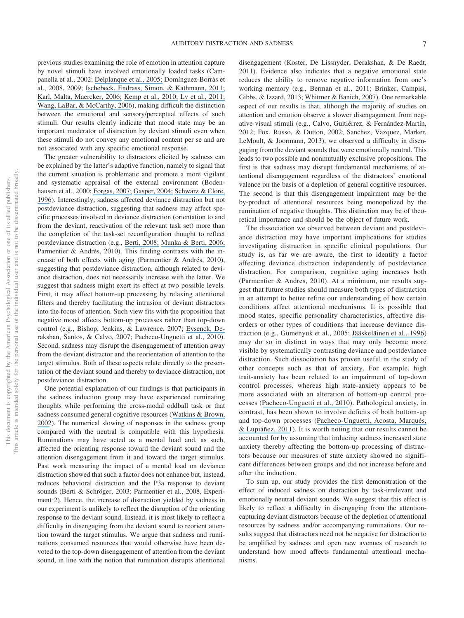previous studies examining the role of emotion in attention capture by novel stimuli have involved emotionally loaded tasks (Cam-panella et al., 2002; [Delplanque et al., 2005;](https://www.researchgate.net/publication/8264051_Event-related_P3a_and_P3b_in_response_to_unpredictable_emotional_stimuli?el=1_x_8&enrichId=rgreq-d00e34159f4cd1258edc52321b81e77f-XXX&enrichSource=Y292ZXJQYWdlOzI1NzQ2MzQwMjtBUzoxMDMxNTE0NjYxODg4MDdAMTQwMTYwNDYzNTg3MQ==) Domínguez-Borràs et al., 2008, 2009; [Ischebeck, Endrass, Simon, & Kathmann, 2011;](https://www.researchgate.net/publication/51625781_Auditory_novelty_processing_is_enhanced_in_obsessive-compulsive_disorder?el=1_x_8&enrichId=rgreq-d00e34159f4cd1258edc52321b81e77f-XXX&enrichSource=Y292ZXJQYWdlOzI1NzQ2MzQwMjtBUzoxMDMxNTE0NjYxODg4MDdAMTQwMTYwNDYzNTg3MQ==) [Karl, Malta, Maercker, 2006;](https://www.researchgate.net/publication/7782526_Meta-analytic_review_of_event-related_potential_studies_in_post-traumatic_stress_disorder?el=1_x_8&enrichId=rgreq-d00e34159f4cd1258edc52321b81e77f-XXX&enrichSource=Y292ZXJQYWdlOzI1NzQ2MzQwMjtBUzoxMDMxNTE0NjYxODg4MDdAMTQwMTYwNDYzNTg3MQ==) [Kemp et al., 2010;](https://www.researchgate.net/publication/26799076_Impact_of_depression_heterogeneity_on_attention_An_auditory_oddball_event_related_potential_study?el=1_x_8&enrichId=rgreq-d00e34159f4cd1258edc52321b81e77f-XXX&enrichSource=Y292ZXJQYWdlOzI1NzQ2MzQwMjtBUzoxMDMxNTE0NjYxODg4MDdAMTQwMTYwNDYzNTg3MQ==) [Lv et al., 2011;](https://www.researchgate.net/publication/51479098_The_effect_of_different_negative_emotional_context_on_involuntary_attention_An_ERP_study?el=1_x_8&enrichId=rgreq-d00e34159f4cd1258edc52321b81e77f-XXX&enrichSource=Y292ZXJQYWdlOzI1NzQ2MzQwMjtBUzoxMDMxNTE0NjYxODg4MDdAMTQwMTYwNDYzNTg3MQ==) [Wang, LaBar, & McCarthy, 2006](https://www.researchgate.net/publication/7067328_Mood_Alters_Amygdala_Activation_to_Sad_Distractors_During_an_Attentional_Task?el=1_x_8&enrichId=rgreq-d00e34159f4cd1258edc52321b81e77f-XXX&enrichSource=Y292ZXJQYWdlOzI1NzQ2MzQwMjtBUzoxMDMxNTE0NjYxODg4MDdAMTQwMTYwNDYzNTg3MQ==)), making difficult the distinction between the emotional and sensory/perceptual effects of such stimuli. Our results clearly indicate that mood state may be an important moderator of distraction by deviant stimuli even when these stimuli do not convey any emotional content per se and are not associated with any specific emotional response.

The greater vulnerability to distractors elicited by sadness can be explained by the latter's adaptive function, namely to signal that the current situation is problematic and promote a more vigilant and systematic appraisal of the external environment (Bodenhausen et al., 2000; [Forgas, 2007;](https://www.researchgate.net/publication/222692572_When_sad_is_better_than_happy_Negative_affect_can_improve_the_quality_and_effectiveness_of_persuasive_messages_and_social_influence_strategies?el=1_x_8&enrichId=rgreq-d00e34159f4cd1258edc52321b81e77f-XXX&enrichSource=Y292ZXJQYWdlOzI1NzQ2MzQwMjtBUzoxMDMxNTE0NjYxODg4MDdAMTQwMTYwNDYzNTg3MQ==) [Gasper, 2004;](https://www.researchgate.net/publication/254222241_Do_you_see_what_I_see_Affect_and_visual_information?el=1_x_8&enrichId=rgreq-d00e34159f4cd1258edc52321b81e77f-XXX&enrichSource=Y292ZXJQYWdlOzI1NzQ2MzQwMjtBUzoxMDMxNTE0NjYxODg4MDdAMTQwMTYwNDYzNTg3MQ==) [Schwarz & Clore,](https://www.researchgate.net/publication/229067930_Feelings_and_Phenomenal_Experiences?el=1_x_8&enrichId=rgreq-d00e34159f4cd1258edc52321b81e77f-XXX&enrichSource=Y292ZXJQYWdlOzI1NzQ2MzQwMjtBUzoxMDMxNTE0NjYxODg4MDdAMTQwMTYwNDYzNTg3MQ==) [1996](https://www.researchgate.net/publication/229067930_Feelings_and_Phenomenal_Experiences?el=1_x_8&enrichId=rgreq-d00e34159f4cd1258edc52321b81e77f-XXX&enrichSource=Y292ZXJQYWdlOzI1NzQ2MzQwMjtBUzoxMDMxNTE0NjYxODg4MDdAMTQwMTYwNDYzNTg3MQ==)). Interestingly, sadness affected deviance distraction but not postdeviance distraction, suggesting that sadness may affect specific processes involved in deviance distraction (orientation to and from the deviant, reactivation of the relevant task set) more than the completion of the task-set reconfiguration thought to reflect postdeviance distraction (e.g., [Berti, 2008;](https://www.researchgate.net/publication/5506411_Cognitive_control_after_distraction_Event-related_brain_potentials_ERPs_dissociate_between_different_processes_of_attentional_allocation?el=1_x_8&enrichId=rgreq-d00e34159f4cd1258edc52321b81e77f-XXX&enrichSource=Y292ZXJQYWdlOzI1NzQ2MzQwMjtBUzoxMDMxNTE0NjYxODg4MDdAMTQwMTYwNDYzNTg3MQ==) [Munka & Berti, 2006;](https://www.researchgate.net/publication/7412862_Examining_task-dependencies_of_different_attentional_processes_as_reflected_in_the_P3a_and_reorienting_negativity_components_of_the_human_event-related_brain_potential?el=1_x_8&enrichId=rgreq-d00e34159f4cd1258edc52321b81e77f-XXX&enrichSource=Y292ZXJQYWdlOzI1NzQ2MzQwMjtBUzoxMDMxNTE0NjYxODg4MDdAMTQwMTYwNDYzNTg3MQ==) Parmentier & Andrés, 2010). This finding contrasts with the increase of both effects with aging (Parmentier & Andrés, 2010), suggesting that postdeviance distraction, although related to deviance distraction, does not necessarily increase with the latter. We suggest that sadness might exert its effect at two possible levels. First, it may affect bottom-up processing by relaxing attentional filters and thereby facilitating the intrusion of deviant distractors into the focus of attention. Such view fits with the proposition that negative mood affects bottom-up processes rather than top-down control (e.g., Bishop, Jenkins, & Lawrence, 2007; [Eysenck, De](https://www.researchgate.net/publication/6315443_Anxiety_and_Cognitive_Performance_Attentional_Control_Theory?el=1_x_8&enrichId=rgreq-d00e34159f4cd1258edc52321b81e77f-XXX&enrichSource=Y292ZXJQYWdlOzI1NzQ2MzQwMjtBUzoxMDMxNTE0NjYxODg4MDdAMTQwMTYwNDYzNTg3MQ==)[rakshan, Santos, & Calvo, 2007;](https://www.researchgate.net/publication/6315443_Anxiety_and_Cognitive_Performance_Attentional_Control_Theory?el=1_x_8&enrichId=rgreq-d00e34159f4cd1258edc52321b81e77f-XXX&enrichSource=Y292ZXJQYWdlOzI1NzQ2MzQwMjtBUzoxMDMxNTE0NjYxODg4MDdAMTQwMTYwNDYzNTg3MQ==) [Pacheco-Unguetti et al., 2010](https://www.researchgate.net/publication/43348217_Attention_and_Anxiety_Different_Attentional_Functioning_Under_State_and_Trait_Anxiety?el=1_x_8&enrichId=rgreq-d00e34159f4cd1258edc52321b81e77f-XXX&enrichSource=Y292ZXJQYWdlOzI1NzQ2MzQwMjtBUzoxMDMxNTE0NjYxODg4MDdAMTQwMTYwNDYzNTg3MQ==)). Second, sadness may disrupt the disengagement of attention away from the deviant distractor and the reorientation of attention to the target stimulus. Both of these aspects relate directly to the presentation of the deviant sound and thereby to deviance distraction, not postdeviance distraction.

One potential explanation of our findings is that participants in the sadness induction group may have experienced ruminating thoughts while performing the cross-modal oddball task or that sadness consumed general cognitive resources ([Watkins & Brown,](https://www.researchgate.net/publication/11499759_Rumination_and_executive_function_in_depression_An_experimental_study?el=1_x_8&enrichId=rgreq-d00e34159f4cd1258edc52321b81e77f-XXX&enrichSource=Y292ZXJQYWdlOzI1NzQ2MzQwMjtBUzoxMDMxNTE0NjYxODg4MDdAMTQwMTYwNDYzNTg3MQ==) [2002](https://www.researchgate.net/publication/11499759_Rumination_and_executive_function_in_depression_An_experimental_study?el=1_x_8&enrichId=rgreq-d00e34159f4cd1258edc52321b81e77f-XXX&enrichSource=Y292ZXJQYWdlOzI1NzQ2MzQwMjtBUzoxMDMxNTE0NjYxODg4MDdAMTQwMTYwNDYzNTg3MQ==)). The numerical slowing of responses in the sadness group compared with the neutral is compatible with this hypothesis. Ruminations may have acted as a mental load and, as such, affected the orienting response toward the deviant sound and the attention disengagement from it and toward the target stimulus. Past work measuring the impact of a mental load on deviance distraction showed that such a factor does not enhance but, instead, reduces behavioral distraction and the P3a response to deviant sounds (Berti & Schröger, 2003; Parmentier et al., 2008, Experiment 2). Hence, the increase of distraction yielded by sadness in our experiment is unlikely to reflect the disruption of the orienting response to the deviant sound. Instead, it is most likely to reflect a difficulty in disengaging from the deviant sound to reorient attention toward the target stimulus. We argue that sadness and ruminations consumed resources that would otherwise have been devoted to the top-down disengagement of attention from the deviant sound, in line with the notion that rumination disrupts attentional

disengagement (Koster, De Lissnyder, Derakshan, & De Raedt, 2011). Evidence also indicates that a negative emotional state reduces the ability to remove negative information from one's working memory (e.g., Berman et al., 2011; Brinker, Campisi, Gibbs, & Izzard, 2013; [Whitmer & Banich, 2007](https://www.researchgate.net/publication/6261400_Inhibition_Versus_Switching_Deficits_in_Different_Forms_of_Rumination?el=1_x_8&enrichId=rgreq-d00e34159f4cd1258edc52321b81e77f-XXX&enrichSource=Y292ZXJQYWdlOzI1NzQ2MzQwMjtBUzoxMDMxNTE0NjYxODg4MDdAMTQwMTYwNDYzNTg3MQ==)). One remarkable aspect of our results is that, although the majority of studies on attention and emotion observe a slower disengagement from negative visual stimuli (e.g., Calvo, Guitiérrez, & Fernández-Martín, 2012; Fox, Russo, & Dutton, 2002; Sanchez, Vazquez, Marker, LeMoult, & Joormann, 2013), we observed a difficulty in disengaging from the deviant sounds that were emotionally neutral. This leads to two possible and nonmutually exclusive propositions. The first is that sadness may disrupt fundamental mechanisms of attentional disengagement regardless of the distractors' emotional valence on the basis of a depletion of general cognitive resources. The second is that this disengagement impairment may be the by-product of attentional resources being monopolized by the rumination of negative thoughts. This distinction may be of theoretical importance and should be the object of future work.

The dissociation we observed between deviant and postdeviance distraction may have important implications for studies investigating distraction in specific clinical populations. Our study is, as far we are aware, the first to identify a factor affecting deviance distraction independently of postdeviance distraction. For comparison, cognitive aging increases both (Parmentier & Andres, 2010). At a minimum, our results suggest that future studies should measure both types of distraction in an attempt to better refine our understanding of how certain conditions affect attentional mechanisms. It is possible that mood states, specific personality characteristics, affective disorders or other types of conditions that increase deviance distraction (e.g., Gumenyuk et al., 2005; [Jääskeläinen et al., 1996](https://www.researchgate.net/publication/223370790_Effects_of_ethanol_and_auditory_distraction_on_forced_choice_reaction_time?el=1_x_8&enrichId=rgreq-d00e34159f4cd1258edc52321b81e77f-XXX&enrichSource=Y292ZXJQYWdlOzI1NzQ2MzQwMjtBUzoxMDMxNTE0NjYxODg4MDdAMTQwMTYwNDYzNTg3MQ==)) may do so in distinct in ways that may only become more visible by systematically contrasting deviance and postdeviance distraction. Such dissociation has proven useful in the study of other concepts such as that of anxiety. For example, high trait-anxiety has been related to an impairment of top-down control processes, whereas high state-anxiety appears to be more associated with an alteration of bottom-up control processes ([Pacheco-Unguetti et al., 2010](https://www.researchgate.net/publication/43348217_Attention_and_Anxiety_Different_Attentional_Functioning_Under_State_and_Trait_Anxiety?el=1_x_8&enrichId=rgreq-d00e34159f4cd1258edc52321b81e77f-XXX&enrichSource=Y292ZXJQYWdlOzI1NzQ2MzQwMjtBUzoxMDMxNTE0NjYxODg4MDdAMTQwMTYwNDYzNTg3MQ==)). Pathological anxiety, in contrast, has been shown to involve deficits of both bottom-up and top-down processes ([Pacheco-Unguetti, Acosta, Marqués,](https://www.researchgate.net/publication/51191479_Alterations_of_the_attentional_networks_in_patients_with_anxiety_disorders?el=1_x_8&enrichId=rgreq-d00e34159f4cd1258edc52321b81e77f-XXX&enrichSource=Y292ZXJQYWdlOzI1NzQ2MzQwMjtBUzoxMDMxNTE0NjYxODg4MDdAMTQwMTYwNDYzNTg3MQ==) [& Lupiáñez, 2011](https://www.researchgate.net/publication/51191479_Alterations_of_the_attentional_networks_in_patients_with_anxiety_disorders?el=1_x_8&enrichId=rgreq-d00e34159f4cd1258edc52321b81e77f-XXX&enrichSource=Y292ZXJQYWdlOzI1NzQ2MzQwMjtBUzoxMDMxNTE0NjYxODg4MDdAMTQwMTYwNDYzNTg3MQ==)). It is worth noting that our results cannot be accounted for by assuming that inducing sadness increased state anxiety thereby affecting the bottom-up processing of distractors because our measures of state anxiety showed no significant differences between groups and did not increase before and after the induction.

To sum up, our study provides the first demonstration of the effect of induced sadness on distraction by task-irrelevant and emotionally neutral deviant sounds. We suggest that this effect is likely to reflect a difficulty in disengaging from the attentioncapturing deviant distractors because of the depletion of attentional resources by sadness and/or accompanying ruminations. Our results suggest that distractors need not be negative for distraction to be amplified by sadness and open new avenues of research to understand how mood affects fundamental attentional mechanisms.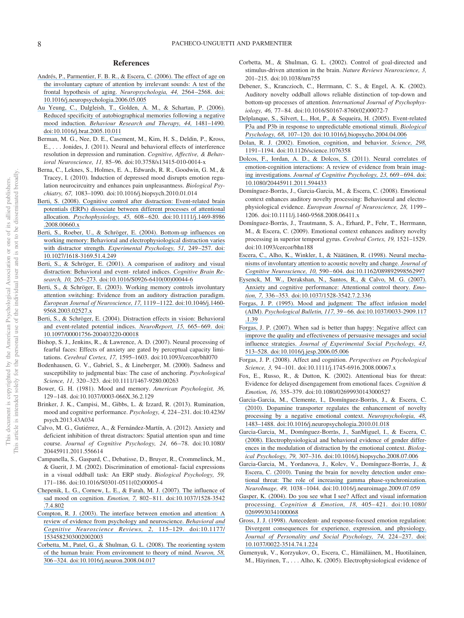#### **References**

- [Andrés, P., Parmentier, F. B. R., & Escera, C. \(2006\). The effect of age on](https://www.researchgate.net/publication/6986090_The_effect_of_age_on_involuntary_capture_of_attention_by_irrelevant_sounds_A_test_of_the_frontal_hypothesis_of_aging?el=1_x_8&enrichId=rgreq-d00e34159f4cd1258edc52321b81e77f-XXX&enrichSource=Y292ZXJQYWdlOzI1NzQ2MzQwMjtBUzoxMDMxNTE0NjYxODg4MDdAMTQwMTYwNDYzNTg3MQ==) [the involuntary capture of attention by irrelevant sounds: A test of the](https://www.researchgate.net/publication/6986090_The_effect_of_age_on_involuntary_capture_of_attention_by_irrelevant_sounds_A_test_of_the_frontal_hypothesis_of_aging?el=1_x_8&enrichId=rgreq-d00e34159f4cd1258edc52321b81e77f-XXX&enrichSource=Y292ZXJQYWdlOzI1NzQ2MzQwMjtBUzoxMDMxNTE0NjYxODg4MDdAMTQwMTYwNDYzNTg3MQ==) [frontal hypothesis of aging.](https://www.researchgate.net/publication/6986090_The_effect_of_age_on_involuntary_capture_of_attention_by_irrelevant_sounds_A_test_of_the_frontal_hypothesis_of_aging?el=1_x_8&enrichId=rgreq-d00e34159f4cd1258edc52321b81e77f-XXX&enrichSource=Y292ZXJQYWdlOzI1NzQ2MzQwMjtBUzoxMDMxNTE0NjYxODg4MDdAMTQwMTYwNDYzNTg3MQ==) *Neuropsychologia, 44,* 2564 –2568. doi: [10.1016/j.neuropsychologia.2006.05.005](https://www.researchgate.net/publication/6986090_The_effect_of_age_on_involuntary_capture_of_attention_by_irrelevant_sounds_A_test_of_the_frontal_hypothesis_of_aging?el=1_x_8&enrichId=rgreq-d00e34159f4cd1258edc52321b81e77f-XXX&enrichSource=Y292ZXJQYWdlOzI1NzQ2MzQwMjtBUzoxMDMxNTE0NjYxODg4MDdAMTQwMTYwNDYzNTg3MQ==)
- [Au Yeung, C., Dalgleish, T., Golden, A. M., & Schartau, P. \(2006\).](https://www.researchgate.net/publication/7414631_Reduced_specificity_of_autobiographical_memories_following_a_negative_mood_induction?el=1_x_8&enrichId=rgreq-d00e34159f4cd1258edc52321b81e77f-XXX&enrichSource=Y292ZXJQYWdlOzI1NzQ2MzQwMjtBUzoxMDMxNTE0NjYxODg4MDdAMTQwMTYwNDYzNTg3MQ==) [Reduced specificity of autobiographical memories following a negative](https://www.researchgate.net/publication/7414631_Reduced_specificity_of_autobiographical_memories_following_a_negative_mood_induction?el=1_x_8&enrichId=rgreq-d00e34159f4cd1258edc52321b81e77f-XXX&enrichSource=Y292ZXJQYWdlOzI1NzQ2MzQwMjtBUzoxMDMxNTE0NjYxODg4MDdAMTQwMTYwNDYzNTg3MQ==) mood induction. *[Behaviour Research and Therapy, 44,](https://www.researchgate.net/publication/7414631_Reduced_specificity_of_autobiographical_memories_following_a_negative_mood_induction?el=1_x_8&enrichId=rgreq-d00e34159f4cd1258edc52321b81e77f-XXX&enrichSource=Y292ZXJQYWdlOzI1NzQ2MzQwMjtBUzoxMDMxNTE0NjYxODg4MDdAMTQwMTYwNDYzNTg3MQ==)* 1481–1490. [doi:10.1016/j.brat.2005.10.011](https://www.researchgate.net/publication/7414631_Reduced_specificity_of_autobiographical_memories_following_a_negative_mood_induction?el=1_x_8&enrichId=rgreq-d00e34159f4cd1258edc52321b81e77f-XXX&enrichSource=Y292ZXJQYWdlOzI1NzQ2MzQwMjtBUzoxMDMxNTE0NjYxODg4MDdAMTQwMTYwNDYzNTg3MQ==)
- Berman, M. G., Nee, D. E., Casement, M., Kim, H. S., Deldin, P., Kross, E., . . . Jonides, J. (2011). Neural and behavioral effects of interference resolution in depression and rumination. *Cognitive, Affective, & Behavioral Neuroscience, 11,* 85–96. doi:10.3758/s13415-010-0014-x
- Berna, C., Leknes, S., Holmes, E. A., Edwards, R. R., Goodwin, G. M., & Tracey, I. (2010). Induction of depressed mood disrupts emotion regulation neurocircuitry and enhances pain unpleasantness. *Biological Psychiatry, 67,* 1083–1090. doi:10.1016/j.biopsych.2010.01.014
- [Berti, S. \(2008\). Cognitive control after distraction: Event-related brain](https://www.researchgate.net/publication/5506411_Cognitive_control_after_distraction_Event-related_brain_potentials_ERPs_dissociate_between_different_processes_of_attentional_allocation?el=1_x_8&enrichId=rgreq-d00e34159f4cd1258edc52321b81e77f-XXX&enrichSource=Y292ZXJQYWdlOzI1NzQ2MzQwMjtBUzoxMDMxNTE0NjYxODg4MDdAMTQwMTYwNDYzNTg3MQ==) [potentials \(ERPs\) dissociate between different processes of attentional](https://www.researchgate.net/publication/5506411_Cognitive_control_after_distraction_Event-related_brain_potentials_ERPs_dissociate_between_different_processes_of_attentional_allocation?el=1_x_8&enrichId=rgreq-d00e34159f4cd1258edc52321b81e77f-XXX&enrichSource=Y292ZXJQYWdlOzI1NzQ2MzQwMjtBUzoxMDMxNTE0NjYxODg4MDdAMTQwMTYwNDYzNTg3MQ==) allocation. *Psychophysiology, 45,* [608 – 620. doi:10.1111/j.1469-8986](https://www.researchgate.net/publication/5506411_Cognitive_control_after_distraction_Event-related_brain_potentials_ERPs_dissociate_between_different_processes_of_attentional_allocation?el=1_x_8&enrichId=rgreq-d00e34159f4cd1258edc52321b81e77f-XXX&enrichSource=Y292ZXJQYWdlOzI1NzQ2MzQwMjtBUzoxMDMxNTE0NjYxODg4MDdAMTQwMTYwNDYzNTg3MQ==) [.2008.00660.x](https://www.researchgate.net/publication/5506411_Cognitive_control_after_distraction_Event-related_brain_potentials_ERPs_dissociate_between_different_processes_of_attentional_allocation?el=1_x_8&enrichId=rgreq-d00e34159f4cd1258edc52321b81e77f-XXX&enrichSource=Y292ZXJQYWdlOzI1NzQ2MzQwMjtBUzoxMDMxNTE0NjYxODg4MDdAMTQwMTYwNDYzNTg3MQ==)
- [Berti, S., Roeber, U., & Schröger, E. \(2004\). Bottom-up influences on](https://www.researchgate.net/publication/8110911_Bottom-Up_Influences_on_Working_Memory_Behavioral_and_Electrophysiological_Distraction_Varies_with_Distractor_Strength?el=1_x_8&enrichId=rgreq-d00e34159f4cd1258edc52321b81e77f-XXX&enrichSource=Y292ZXJQYWdlOzI1NzQ2MzQwMjtBUzoxMDMxNTE0NjYxODg4MDdAMTQwMTYwNDYzNTg3MQ==) [working memory: Behavioral and electrophysiological distraction varies](https://www.researchgate.net/publication/8110911_Bottom-Up_Influences_on_Working_Memory_Behavioral_and_Electrophysiological_Distraction_Varies_with_Distractor_Strength?el=1_x_8&enrichId=rgreq-d00e34159f4cd1258edc52321b81e77f-XXX&enrichSource=Y292ZXJQYWdlOzI1NzQ2MzQwMjtBUzoxMDMxNTE0NjYxODg4MDdAMTQwMTYwNDYzNTg3MQ==) with distractor strength. *[Experimental Psychology, 51,](https://www.researchgate.net/publication/8110911_Bottom-Up_Influences_on_Working_Memory_Behavioral_and_Electrophysiological_Distraction_Varies_with_Distractor_Strength?el=1_x_8&enrichId=rgreq-d00e34159f4cd1258edc52321b81e77f-XXX&enrichSource=Y292ZXJQYWdlOzI1NzQ2MzQwMjtBUzoxMDMxNTE0NjYxODg4MDdAMTQwMTYwNDYzNTg3MQ==)* 249 –257. doi: [10.1027/1618-3169.51.4.249](https://www.researchgate.net/publication/8110911_Bottom-Up_Influences_on_Working_Memory_Behavioral_and_Electrophysiological_Distraction_Varies_with_Distractor_Strength?el=1_x_8&enrichId=rgreq-d00e34159f4cd1258edc52321b81e77f-XXX&enrichSource=Y292ZXJQYWdlOzI1NzQ2MzQwMjtBUzoxMDMxNTE0NjYxODg4MDdAMTQwMTYwNDYzNTg3MQ==)
- [Berti, S., & Schröger, E. \(2001\). A comparison of auditory and visual](https://www.researchgate.net/publication/225188529_A_comparison_of_auditory_and_visual_distraction_effects_Behavioral_and_event-related_indices?el=1_x_8&enrichId=rgreq-d00e34159f4cd1258edc52321b81e77f-XXX&enrichSource=Y292ZXJQYWdlOzI1NzQ2MzQwMjtBUzoxMDMxNTE0NjYxODg4MDdAMTQwMTYwNDYzNTg3MQ==) [distraction: Behavioral and event- related indices.](https://www.researchgate.net/publication/225188529_A_comparison_of_auditory_and_visual_distraction_effects_Behavioral_and_event-related_indices?el=1_x_8&enrichId=rgreq-d00e34159f4cd1258edc52321b81e77f-XXX&enrichSource=Y292ZXJQYWdlOzI1NzQ2MzQwMjtBUzoxMDMxNTE0NjYxODg4MDdAMTQwMTYwNDYzNTg3MQ==) *Cognitive Brain Research, 10,* [265–273. doi:10.1016/S0926-6410\(00\)00044-6](https://www.researchgate.net/publication/225188529_A_comparison_of_auditory_and_visual_distraction_effects_Behavioral_and_event-related_indices?el=1_x_8&enrichId=rgreq-d00e34159f4cd1258edc52321b81e77f-XXX&enrichSource=Y292ZXJQYWdlOzI1NzQ2MzQwMjtBUzoxMDMxNTE0NjYxODg4MDdAMTQwMTYwNDYzNTg3MQ==)
- [Berti, S., & Schröger, E. \(2003\). Working memory controls involuntary](https://www.researchgate.net/publication/10840968_Working_memory_controls_involuntary_attention_switching_Evidence_from_an_auditory_distraction_paradigm?el=1_x_8&enrichId=rgreq-d00e34159f4cd1258edc52321b81e77f-XXX&enrichSource=Y292ZXJQYWdlOzI1NzQ2MzQwMjtBUzoxMDMxNTE0NjYxODg4MDdAMTQwMTYwNDYzNTg3MQ==) [attention switching: Evidence from an auditory distraction paradigm.](https://www.researchgate.net/publication/10840968_Working_memory_controls_involuntary_attention_switching_Evidence_from_an_auditory_distraction_paradigm?el=1_x_8&enrichId=rgreq-d00e34159f4cd1258edc52321b81e77f-XXX&enrichSource=Y292ZXJQYWdlOzI1NzQ2MzQwMjtBUzoxMDMxNTE0NjYxODg4MDdAMTQwMTYwNDYzNTg3MQ==) *[European Journal of Neuroscience, 17,](https://www.researchgate.net/publication/10840968_Working_memory_controls_involuntary_attention_switching_Evidence_from_an_auditory_distraction_paradigm?el=1_x_8&enrichId=rgreq-d00e34159f4cd1258edc52321b81e77f-XXX&enrichSource=Y292ZXJQYWdlOzI1NzQ2MzQwMjtBUzoxMDMxNTE0NjYxODg4MDdAMTQwMTYwNDYzNTg3MQ==)* 1119 –1122. doi:10.1046/j.1460- [9568.2003.02527.x](https://www.researchgate.net/publication/10840968_Working_memory_controls_involuntary_attention_switching_Evidence_from_an_auditory_distraction_paradigm?el=1_x_8&enrichId=rgreq-d00e34159f4cd1258edc52321b81e77f-XXX&enrichSource=Y292ZXJQYWdlOzI1NzQ2MzQwMjtBUzoxMDMxNTE0NjYxODg4MDdAMTQwMTYwNDYzNTg3MQ==)
- [Berti, S., & Schröger, E. \(2004\). Distraction effects in vision: Behavioral](https://www.researchgate.net/publication/8610153_Distraction_effects_in_vision_Behavioral_and_event-related_potential_indices?el=1_x_8&enrichId=rgreq-d00e34159f4cd1258edc52321b81e77f-XXX&enrichSource=Y292ZXJQYWdlOzI1NzQ2MzQwMjtBUzoxMDMxNTE0NjYxODg4MDdAMTQwMTYwNDYzNTg3MQ==) [and event-related potential indices.](https://www.researchgate.net/publication/8610153_Distraction_effects_in_vision_Behavioral_and_event-related_potential_indices?el=1_x_8&enrichId=rgreq-d00e34159f4cd1258edc52321b81e77f-XXX&enrichSource=Y292ZXJQYWdlOzI1NzQ2MzQwMjtBUzoxMDMxNTE0NjYxODg4MDdAMTQwMTYwNDYzNTg3MQ==) *NeuroReport, 15,* 665– 669. doi: [10.1097/00001756-200403220-00018](https://www.researchgate.net/publication/8610153_Distraction_effects_in_vision_Behavioral_and_event-related_potential_indices?el=1_x_8&enrichId=rgreq-d00e34159f4cd1258edc52321b81e77f-XXX&enrichSource=Y292ZXJQYWdlOzI1NzQ2MzQwMjtBUzoxMDMxNTE0NjYxODg4MDdAMTQwMTYwNDYzNTg3MQ==)
- Bishop, S. J., Jenkins, R., & Lawrence, A. D. (2007). Neural processing of fearful faces: Effects of anxiety are gated by perceptual capacity limitations. *Cerebral Cortex, 17,* 1595–1603. doi:10.1093/cercor/bhl070
- Bodenhausen, G. V., Gabriel, S., & Lineberger, M. (2000). Sadness and susceptibility to judgmental bias: The case of anchoring. *Psychological Science, 11,* 320 –323. doi:10.1111/1467-9280.00263
- Bower, G. H. (1981). Mood and memory. *American Psychologist, 36,* 129 –148. doi:10.1037/0003-066X.36.2.129
- Brinker, J. K., Campisi, M., Gibbs, L. & Izzard, R. (2013). Rumination, mood and cognitive performance. *Psychology, 4,* 224 –231. doi:10.4236/ psych.2013.43A034
- Calvo, M. G., Gutiérrez, A., & Fernández-Martín, A. (2012). Anxiety and deficient inhibition of threat distractors: Spatial attention span and time course. *Journal of Cognitive Psychology, 24,* 66 –78. doi:10.1080/ 20445911.2011.556614
- Campanella, S., Gaspard, C., Debatisse, D., Bruyer, R., Crommelinck, M., & Guerit, J. M. (2002). Discrimination of emotional- facial expressions in a visual oddball task: An ERP study. *Biological Psychology, 59,* 171–186. doi:10.1016/S0301-0511(02)00005-4
- [Chepenik, L. G., Cornew, L. E., & Farah, M. J. \(2007\). The influence of](https://www.researchgate.net/publication/5808877_The_Influence_of_Sad_Mood_on_Cognition?el=1_x_8&enrichId=rgreq-d00e34159f4cd1258edc52321b81e77f-XXX&enrichSource=Y292ZXJQYWdlOzI1NzQ2MzQwMjtBUzoxMDMxNTE0NjYxODg4MDdAMTQwMTYwNDYzNTg3MQ==) sad mood on cognition. *Emotion, 7,* [802– 811. doi:10.1037/1528-3542](https://www.researchgate.net/publication/5808877_The_Influence_of_Sad_Mood_on_Cognition?el=1_x_8&enrichId=rgreq-d00e34159f4cd1258edc52321b81e77f-XXX&enrichSource=Y292ZXJQYWdlOzI1NzQ2MzQwMjtBUzoxMDMxNTE0NjYxODg4MDdAMTQwMTYwNDYzNTg3MQ==) [.7.4.802](https://www.researchgate.net/publication/5808877_The_Influence_of_Sad_Mood_on_Cognition?el=1_x_8&enrichId=rgreq-d00e34159f4cd1258edc52321b81e77f-XXX&enrichSource=Y292ZXJQYWdlOzI1NzQ2MzQwMjtBUzoxMDMxNTE0NjYxODg4MDdAMTQwMTYwNDYzNTg3MQ==)
- [Compton, R. J. \(2003\). The interface between emotion and attention: A](https://www.researchgate.net/publication/9887210_The_Interface_Between_Emotion_and_Attention_A_Review_of_Evidence_From_Psychology_and_Neuroscience?el=1_x_8&enrichId=rgreq-d00e34159f4cd1258edc52321b81e77f-XXX&enrichSource=Y292ZXJQYWdlOzI1NzQ2MzQwMjtBUzoxMDMxNTE0NjYxODg4MDdAMTQwMTYwNDYzNTg3MQ==) [review of evidence from psychology and neuroscience.](https://www.researchgate.net/publication/9887210_The_Interface_Between_Emotion_and_Attention_A_Review_of_Evidence_From_Psychology_and_Neuroscience?el=1_x_8&enrichId=rgreq-d00e34159f4cd1258edc52321b81e77f-XXX&enrichSource=Y292ZXJQYWdlOzI1NzQ2MzQwMjtBUzoxMDMxNTE0NjYxODg4MDdAMTQwMTYwNDYzNTg3MQ==) *Behavioral and [Cognitive Neuroscience Reviews, 2,](https://www.researchgate.net/publication/9887210_The_Interface_Between_Emotion_and_Attention_A_Review_of_Evidence_From_Psychology_and_Neuroscience?el=1_x_8&enrichId=rgreq-d00e34159f4cd1258edc52321b81e77f-XXX&enrichSource=Y292ZXJQYWdlOzI1NzQ2MzQwMjtBUzoxMDMxNTE0NjYxODg4MDdAMTQwMTYwNDYzNTg3MQ==)* 115–129. doi:10.1177/ [1534582303002002003](https://www.researchgate.net/publication/9887210_The_Interface_Between_Emotion_and_Attention_A_Review_of_Evidence_From_Psychology_and_Neuroscience?el=1_x_8&enrichId=rgreq-d00e34159f4cd1258edc52321b81e77f-XXX&enrichSource=Y292ZXJQYWdlOzI1NzQ2MzQwMjtBUzoxMDMxNTE0NjYxODg4MDdAMTQwMTYwNDYzNTg3MQ==)
- [Corbetta, M., Patel, G., & Shulman, G. L. \(2008\). The reorienting system](https://www.researchgate.net/publication/5384382_The_Reorienting_System_of_the_Human_Brain_From_Environment_to_Theory_of_Mind?el=1_x_8&enrichId=rgreq-d00e34159f4cd1258edc52321b81e77f-XXX&enrichSource=Y292ZXJQYWdlOzI1NzQ2MzQwMjtBUzoxMDMxNTE0NjYxODg4MDdAMTQwMTYwNDYzNTg3MQ==) [of the human brain: From environment to theory of mind.](https://www.researchgate.net/publication/5384382_The_Reorienting_System_of_the_Human_Brain_From_Environment_to_Theory_of_Mind?el=1_x_8&enrichId=rgreq-d00e34159f4cd1258edc52321b81e77f-XXX&enrichSource=Y292ZXJQYWdlOzI1NzQ2MzQwMjtBUzoxMDMxNTE0NjYxODg4MDdAMTQwMTYwNDYzNTg3MQ==) *Neuron, 58,* [306 –324. doi:10.1016/j.neuron.2008.04.017](https://www.researchgate.net/publication/5384382_The_Reorienting_System_of_the_Human_Brain_From_Environment_to_Theory_of_Mind?el=1_x_8&enrichId=rgreq-d00e34159f4cd1258edc52321b81e77f-XXX&enrichSource=Y292ZXJQYWdlOzI1NzQ2MzQwMjtBUzoxMDMxNTE0NjYxODg4MDdAMTQwMTYwNDYzNTg3MQ==)
- Corbetta, M., & Shulman, G. L. (2002). Control of goal-directed and stimulus-driven attention in the brain. *Nature Reviews Neuroscience, 3,* 201–215. doi:10.1038/nrn755
- Debener, S., Kranczioch, C., Herrmann, C. S., & Engel, A. K. (2002). Auditory novelty oddball allows reliable distinction of top-down and bottom-up processes of attention. *International Journal of Psychophysiology, 46,* 77– 84. doi:10.1016/S0167-8760(02)00072-7
- [Delplanque, S., Silvert, L., Hot, P., & Sequeira, H. \(2005\). Event-related](https://www.researchgate.net/publication/8264051_Event-related_P3a_and_P3b_in_response_to_unpredictable_emotional_stimuli?el=1_x_8&enrichId=rgreq-d00e34159f4cd1258edc52321b81e77f-XXX&enrichSource=Y292ZXJQYWdlOzI1NzQ2MzQwMjtBUzoxMDMxNTE0NjYxODg4MDdAMTQwMTYwNDYzNTg3MQ==) [P3a and P3b in response to unpredictable emotional stimuli.](https://www.researchgate.net/publication/8264051_Event-related_P3a_and_P3b_in_response_to_unpredictable_emotional_stimuli?el=1_x_8&enrichId=rgreq-d00e34159f4cd1258edc52321b81e77f-XXX&enrichSource=Y292ZXJQYWdlOzI1NzQ2MzQwMjtBUzoxMDMxNTE0NjYxODg4MDdAMTQwMTYwNDYzNTg3MQ==) *Biological Psychology, 68,* [107–120. doi:10.1016/j.biopsycho.2004.04.006](https://www.researchgate.net/publication/8264051_Event-related_P3a_and_P3b_in_response_to_unpredictable_emotional_stimuli?el=1_x_8&enrichId=rgreq-d00e34159f4cd1258edc52321b81e77f-XXX&enrichSource=Y292ZXJQYWdlOzI1NzQ2MzQwMjtBUzoxMDMxNTE0NjYxODg4MDdAMTQwMTYwNDYzNTg3MQ==)
- [Dolan, R. J. \(2002\). Emotion, cognition, and behavior.](https://www.researchgate.net/publication/11042864_Emotion_Cognition_and_Behavior?el=1_x_8&enrichId=rgreq-d00e34159f4cd1258edc52321b81e77f-XXX&enrichSource=Y292ZXJQYWdlOzI1NzQ2MzQwMjtBUzoxMDMxNTE0NjYxODg4MDdAMTQwMTYwNDYzNTg3MQ==) *Science, 298,* [1191–1194. doi:10.1126/science.1076358](https://www.researchgate.net/publication/11042864_Emotion_Cognition_and_Behavior?el=1_x_8&enrichId=rgreq-d00e34159f4cd1258edc52321b81e77f-XXX&enrichSource=Y292ZXJQYWdlOzI1NzQ2MzQwMjtBUzoxMDMxNTE0NjYxODg4MDdAMTQwMTYwNDYzNTg3MQ==)
- [Dolcos, F., Iordan, A. D., & Dolcos, S. \(2011\). Neural correlates of](https://www.researchgate.net/publication/51775507_Neural_correlates_of_emotion_-_Cognition_interactions_A_review_of_evidence_from_brain_imaging_investigations?el=1_x_8&enrichId=rgreq-d00e34159f4cd1258edc52321b81e77f-XXX&enrichSource=Y292ZXJQYWdlOzI1NzQ2MzQwMjtBUzoxMDMxNTE0NjYxODg4MDdAMTQwMTYwNDYzNTg3MQ==) [emotion-cognition interactions: A review of evidence from brain imag](https://www.researchgate.net/publication/51775507_Neural_correlates_of_emotion_-_Cognition_interactions_A_review_of_evidence_from_brain_imaging_investigations?el=1_x_8&enrichId=rgreq-d00e34159f4cd1258edc52321b81e77f-XXX&enrichSource=Y292ZXJQYWdlOzI1NzQ2MzQwMjtBUzoxMDMxNTE0NjYxODg4MDdAMTQwMTYwNDYzNTg3MQ==)ing investigations. *Journal of Cognitive Psychology*, 23, 669-694. doi: [10.1080/20445911.2011.594433](https://www.researchgate.net/publication/51775507_Neural_correlates_of_emotion_-_Cognition_interactions_A_review_of_evidence_from_brain_imaging_investigations?el=1_x_8&enrichId=rgreq-d00e34159f4cd1258edc52321b81e77f-XXX&enrichSource=Y292ZXJQYWdlOzI1NzQ2MzQwMjtBUzoxMDMxNTE0NjYxODg4MDdAMTQwMTYwNDYzNTg3MQ==)
- Domínguez-Borràs, J., Garcia-Garcia, M., & Escera, C. (2008). Emotional context enhances auditory novelty processing: Behavioural and electrophysiological evidence. *European Journal of Neuroscience, 28,* 1199 – 1206. doi:10.1111/j.1460-9568.2008.06411.x
- Domínguez-Borràs, J., Trautmann, S. A., Erhard, P., Fehr, T., Herrmann, M., & Escera, C. (2009). Emotional context enhances auditory novelty processing in superior temporal gyrus. *Cerebral Cortex, 19,* 1521–1529. doi:10.1093/cercor/bhn188
- [Escera, C., Alho, K., Winkler, I., & Näätänen, R. \(1998\). Neural mecha](https://www.researchgate.net/publication/13483513_Neural_Mechanisms_of_Involuntary_Attention_to_Acoustic_Novelty_and_Change?el=1_x_8&enrichId=rgreq-d00e34159f4cd1258edc52321b81e77f-XXX&enrichSource=Y292ZXJQYWdlOzI1NzQ2MzQwMjtBUzoxMDMxNTE0NjYxODg4MDdAMTQwMTYwNDYzNTg3MQ==)[nisms of involuntary attention to acoustic novelty and change.](https://www.researchgate.net/publication/13483513_Neural_Mechanisms_of_Involuntary_Attention_to_Acoustic_Novelty_and_Change?el=1_x_8&enrichId=rgreq-d00e34159f4cd1258edc52321b81e77f-XXX&enrichSource=Y292ZXJQYWdlOzI1NzQ2MzQwMjtBUzoxMDMxNTE0NjYxODg4MDdAMTQwMTYwNDYzNTg3MQ==) *Journal of Cognitive Neuroscience, 10,* [590 – 604. doi:10.1162/089892998562997](https://www.researchgate.net/publication/13483513_Neural_Mechanisms_of_Involuntary_Attention_to_Acoustic_Novelty_and_Change?el=1_x_8&enrichId=rgreq-d00e34159f4cd1258edc52321b81e77f-XXX&enrichSource=Y292ZXJQYWdlOzI1NzQ2MzQwMjtBUzoxMDMxNTE0NjYxODg4MDdAMTQwMTYwNDYzNTg3MQ==)
- [Eysenck, M. W., Derakshan, N., Santos, R., & Calvo, M. G. \(2007\).](https://www.researchgate.net/publication/6315443_Anxiety_and_Cognitive_Performance_Attentional_Control_Theory?el=1_x_8&enrichId=rgreq-d00e34159f4cd1258edc52321b81e77f-XXX&enrichSource=Y292ZXJQYWdlOzI1NzQ2MzQwMjtBUzoxMDMxNTE0NjYxODg4MDdAMTQwMTYwNDYzNTg3MQ==) [Anxiety and cognitive performance: Attentional control theory.](https://www.researchgate.net/publication/6315443_Anxiety_and_Cognitive_Performance_Attentional_Control_Theory?el=1_x_8&enrichId=rgreq-d00e34159f4cd1258edc52321b81e77f-XXX&enrichSource=Y292ZXJQYWdlOzI1NzQ2MzQwMjtBUzoxMDMxNTE0NjYxODg4MDdAMTQwMTYwNDYzNTg3MQ==) *Emotion, 7,* [336 –353. doi:10.1037/1528-3542.7.2.336](https://www.researchgate.net/publication/6315443_Anxiety_and_Cognitive_Performance_Attentional_Control_Theory?el=1_x_8&enrichId=rgreq-d00e34159f4cd1258edc52321b81e77f-XXX&enrichSource=Y292ZXJQYWdlOzI1NzQ2MzQwMjtBUzoxMDMxNTE0NjYxODg4MDdAMTQwMTYwNDYzNTg3MQ==)
- [Forgas, J. P. \(1995\). Mood and judgment: The affect infusion model](https://www.researchgate.net/publication/15328091_Mood_and_judgment_The_Affect_Infusion_Model_AIM?el=1_x_8&enrichId=rgreq-d00e34159f4cd1258edc52321b81e77f-XXX&enrichSource=Y292ZXJQYWdlOzI1NzQ2MzQwMjtBUzoxMDMxNTE0NjYxODg4MDdAMTQwMTYwNDYzNTg3MQ==) (AIM). *Psychological Bulletin, 117,* [39 – 66. doi:10.1037/0033-2909.117](https://www.researchgate.net/publication/15328091_Mood_and_judgment_The_Affect_Infusion_Model_AIM?el=1_x_8&enrichId=rgreq-d00e34159f4cd1258edc52321b81e77f-XXX&enrichSource=Y292ZXJQYWdlOzI1NzQ2MzQwMjtBUzoxMDMxNTE0NjYxODg4MDdAMTQwMTYwNDYzNTg3MQ==) [.1.39](https://www.researchgate.net/publication/15328091_Mood_and_judgment_The_Affect_Infusion_Model_AIM?el=1_x_8&enrichId=rgreq-d00e34159f4cd1258edc52321b81e77f-XXX&enrichSource=Y292ZXJQYWdlOzI1NzQ2MzQwMjtBUzoxMDMxNTE0NjYxODg4MDdAMTQwMTYwNDYzNTg3MQ==)
- [Forgas, J. P. \(2007\). When sad is better than happy: Negative affect can](https://www.researchgate.net/publication/222692572_When_sad_is_better_than_happy_Negative_affect_can_improve_the_quality_and_effectiveness_of_persuasive_messages_and_social_influence_strategies?el=1_x_8&enrichId=rgreq-d00e34159f4cd1258edc52321b81e77f-XXX&enrichSource=Y292ZXJQYWdlOzI1NzQ2MzQwMjtBUzoxMDMxNTE0NjYxODg4MDdAMTQwMTYwNDYzNTg3MQ==) [improve the quality and effectiveness of persuasive messages and social](https://www.researchgate.net/publication/222692572_When_sad_is_better_than_happy_Negative_affect_can_improve_the_quality_and_effectiveness_of_persuasive_messages_and_social_influence_strategies?el=1_x_8&enrichId=rgreq-d00e34159f4cd1258edc52321b81e77f-XXX&enrichSource=Y292ZXJQYWdlOzI1NzQ2MzQwMjtBUzoxMDMxNTE0NjYxODg4MDdAMTQwMTYwNDYzNTg3MQ==) influence strategies. *[Journal of Experimental Social Psychology, 43,](https://www.researchgate.net/publication/222692572_When_sad_is_better_than_happy_Negative_affect_can_improve_the_quality_and_effectiveness_of_persuasive_messages_and_social_influence_strategies?el=1_x_8&enrichId=rgreq-d00e34159f4cd1258edc52321b81e77f-XXX&enrichSource=Y292ZXJQYWdlOzI1NzQ2MzQwMjtBUzoxMDMxNTE0NjYxODg4MDdAMTQwMTYwNDYzNTg3MQ==)* [513–528. doi:10.1016/j.jesp.2006.05.006](https://www.researchgate.net/publication/222692572_When_sad_is_better_than_happy_Negative_affect_can_improve_the_quality_and_effectiveness_of_persuasive_messages_and_social_influence_strategies?el=1_x_8&enrichId=rgreq-d00e34159f4cd1258edc52321b81e77f-XXX&enrichSource=Y292ZXJQYWdlOzI1NzQ2MzQwMjtBUzoxMDMxNTE0NjYxODg4MDdAMTQwMTYwNDYzNTg3MQ==)
- Forgas, J. P. (2008). Affect and cognition. *Perspectives on Psychological Science, 3,* 94 –101. doi:10.1111/j.1745-6916.2008.00067.x
- Fox, E., Russo, R., & Dutton, K. (2002). Attentional bias for threat: Evidence for delayed disengagement from emotional faces. *Cognition & Emotion, 16,* 355–379. doi:10.1080/02699930143000527
- Garcia-Garcia, M., Clemente, I., Domínguez-Borràs, J., & Escera, C. [\(2010\). Dopamine transporter regulates the enhancement of novelty](https://www.researchgate.net/publication/41190211_Dopamine_transporter_regulates_the_enhancement_of_novelty_processing_by_a_negative_emotional_context?el=1_x_8&enrichId=rgreq-d00e34159f4cd1258edc52321b81e77f-XXX&enrichSource=Y292ZXJQYWdlOzI1NzQ2MzQwMjtBUzoxMDMxNTE0NjYxODg4MDdAMTQwMTYwNDYzNTg3MQ==) [processing by a negative emotional context.](https://www.researchgate.net/publication/41190211_Dopamine_transporter_regulates_the_enhancement_of_novelty_processing_by_a_negative_emotional_context?el=1_x_8&enrichId=rgreq-d00e34159f4cd1258edc52321b81e77f-XXX&enrichSource=Y292ZXJQYWdlOzI1NzQ2MzQwMjtBUzoxMDMxNTE0NjYxODg4MDdAMTQwMTYwNDYzNTg3MQ==) *Neuropsychologia, 48,* [1483–1488. doi:10.1016/j.neuropsychologia.2010.01.018](https://www.researchgate.net/publication/41190211_Dopamine_transporter_regulates_the_enhancement_of_novelty_processing_by_a_negative_emotional_context?el=1_x_8&enrichId=rgreq-d00e34159f4cd1258edc52321b81e77f-XXX&enrichSource=Y292ZXJQYWdlOzI1NzQ2MzQwMjtBUzoxMDMxNTE0NjYxODg4MDdAMTQwMTYwNDYzNTg3MQ==)
- [Garcia-Garcia, M., Domínguez-Borra`s, J., SanMiguel, I., & Escera, C.](https://www.researchgate.net/publication/23189371_Electrophysiological_and_behavioral_evidence_of_gender_differences_in_the_modulation_of_distraction_by_the_emotional_context?el=1_x_8&enrichId=rgreq-d00e34159f4cd1258edc52321b81e77f-XXX&enrichSource=Y292ZXJQYWdlOzI1NzQ2MzQwMjtBUzoxMDMxNTE0NjYxODg4MDdAMTQwMTYwNDYzNTg3MQ==) [\(2008\). Electrophysiological and behavioral evidence of gender differ](https://www.researchgate.net/publication/23189371_Electrophysiological_and_behavioral_evidence_of_gender_differences_in_the_modulation_of_distraction_by_the_emotional_context?el=1_x_8&enrichId=rgreq-d00e34159f4cd1258edc52321b81e77f-XXX&enrichSource=Y292ZXJQYWdlOzI1NzQ2MzQwMjtBUzoxMDMxNTE0NjYxODg4MDdAMTQwMTYwNDYzNTg3MQ==)[ences in the modulation of distraction by the emotional context.](https://www.researchgate.net/publication/23189371_Electrophysiological_and_behavioral_evidence_of_gender_differences_in_the_modulation_of_distraction_by_the_emotional_context?el=1_x_8&enrichId=rgreq-d00e34159f4cd1258edc52321b81e77f-XXX&enrichSource=Y292ZXJQYWdlOzI1NzQ2MzQwMjtBUzoxMDMxNTE0NjYxODg4MDdAMTQwMTYwNDYzNTg3MQ==) *Biological Psychology, 79,* [307–316. doi:10.1016/j.biopsycho.2008.07.006](https://www.researchgate.net/publication/23189371_Electrophysiological_and_behavioral_evidence_of_gender_differences_in_the_modulation_of_distraction_by_the_emotional_context?el=1_x_8&enrichId=rgreq-d00e34159f4cd1258edc52321b81e77f-XXX&enrichSource=Y292ZXJQYWdlOzI1NzQ2MzQwMjtBUzoxMDMxNTE0NjYxODg4MDdAMTQwMTYwNDYzNTg3MQ==)
- [Garcia-Garcia, M., Yordanova, J., Kolev, V., Domínguez-Borra`s, J., &](https://www.researchgate.net/publication/223364390_Tuning_the_brain_for_novelty_detection_under_emotional_threat_The_role_of_increasing_gamma_phase-synchronization?el=1_x_8&enrichId=rgreq-d00e34159f4cd1258edc52321b81e77f-XXX&enrichSource=Y292ZXJQYWdlOzI1NzQ2MzQwMjtBUzoxMDMxNTE0NjYxODg4MDdAMTQwMTYwNDYzNTg3MQ==) [Escera, C. \(2010\). Tuning the brain for novelty detection under emo](https://www.researchgate.net/publication/223364390_Tuning_the_brain_for_novelty_detection_under_emotional_threat_The_role_of_increasing_gamma_phase-synchronization?el=1_x_8&enrichId=rgreq-d00e34159f4cd1258edc52321b81e77f-XXX&enrichSource=Y292ZXJQYWdlOzI1NzQ2MzQwMjtBUzoxMDMxNTE0NjYxODg4MDdAMTQwMTYwNDYzNTg3MQ==)[tional threat: The role of increasing gamma phase-synchronization.](https://www.researchgate.net/publication/223364390_Tuning_the_brain_for_novelty_detection_under_emotional_threat_The_role_of_increasing_gamma_phase-synchronization?el=1_x_8&enrichId=rgreq-d00e34159f4cd1258edc52321b81e77f-XXX&enrichSource=Y292ZXJQYWdlOzI1NzQ2MzQwMjtBUzoxMDMxNTE0NjYxODg4MDdAMTQwMTYwNDYzNTg3MQ==) *NeuroImage, 49,* 1038 –1044. doi:10.1016/j.neuroimage.2009.07.059
- [Gasper, K. \(2004\). Do you see what I see? Affect and visual information](https://www.researchgate.net/publication/254222241_Do_you_see_what_I_see_Affect_and_visual_information?el=1_x_8&enrichId=rgreq-d00e34159f4cd1258edc52321b81e77f-XXX&enrichSource=Y292ZXJQYWdlOzI1NzQ2MzQwMjtBUzoxMDMxNTE0NjYxODg4MDdAMTQwMTYwNDYzNTg3MQ==) processing. *[Cognition & Emotion, 18,](https://www.researchgate.net/publication/254222241_Do_you_see_what_I_see_Affect_and_visual_information?el=1_x_8&enrichId=rgreq-d00e34159f4cd1258edc52321b81e77f-XXX&enrichSource=Y292ZXJQYWdlOzI1NzQ2MzQwMjtBUzoxMDMxNTE0NjYxODg4MDdAMTQwMTYwNDYzNTg3MQ==)* 405– 421. doi:10.1080/ [02699930341000068](https://www.researchgate.net/publication/254222241_Do_you_see_what_I_see_Affect_and_visual_information?el=1_x_8&enrichId=rgreq-d00e34159f4cd1258edc52321b81e77f-XXX&enrichSource=Y292ZXJQYWdlOzI1NzQ2MzQwMjtBUzoxMDMxNTE0NjYxODg4MDdAMTQwMTYwNDYzNTg3MQ==)
- [Gross, J. J. \(1998\). Antecedent- and response-focused emotion regulation:](https://www.researchgate.net/publication/13772533_Antecedent-_and_Response-Focused_Emotion_Regulation_Divergent_Consequences_for_Experience_Expression_and_Physiology?el=1_x_8&enrichId=rgreq-d00e34159f4cd1258edc52321b81e77f-XXX&enrichSource=Y292ZXJQYWdlOzI1NzQ2MzQwMjtBUzoxMDMxNTE0NjYxODg4MDdAMTQwMTYwNDYzNTg3MQ==) [Divergent consequences for experience, expression, and physiology.](https://www.researchgate.net/publication/13772533_Antecedent-_and_Response-Focused_Emotion_Regulation_Divergent_Consequences_for_Experience_Expression_and_Physiology?el=1_x_8&enrichId=rgreq-d00e34159f4cd1258edc52321b81e77f-XXX&enrichSource=Y292ZXJQYWdlOzI1NzQ2MzQwMjtBUzoxMDMxNTE0NjYxODg4MDdAMTQwMTYwNDYzNTg3MQ==) *[Journal of Personality and Social Psychology, 74,](https://www.researchgate.net/publication/13772533_Antecedent-_and_Response-Focused_Emotion_Regulation_Divergent_Consequences_for_Experience_Expression_and_Physiology?el=1_x_8&enrichId=rgreq-d00e34159f4cd1258edc52321b81e77f-XXX&enrichSource=Y292ZXJQYWdlOzI1NzQ2MzQwMjtBUzoxMDMxNTE0NjYxODg4MDdAMTQwMTYwNDYzNTg3MQ==)* 224 –237. doi: [10.1037/0022-3514.74.1.224](https://www.researchgate.net/publication/13772533_Antecedent-_and_Response-Focused_Emotion_Regulation_Divergent_Consequences_for_Experience_Expression_and_Physiology?el=1_x_8&enrichId=rgreq-d00e34159f4cd1258edc52321b81e77f-XXX&enrichSource=Y292ZXJQYWdlOzI1NzQ2MzQwMjtBUzoxMDMxNTE0NjYxODg4MDdAMTQwMTYwNDYzNTg3MQ==)
- Gumenyuk, V., Korzyukov, O., Escera, C., Hämäläinen, M., Huotilainen, M., Häyrinen, T., . . . Alho, K. (2005). Electrophysiological evidence of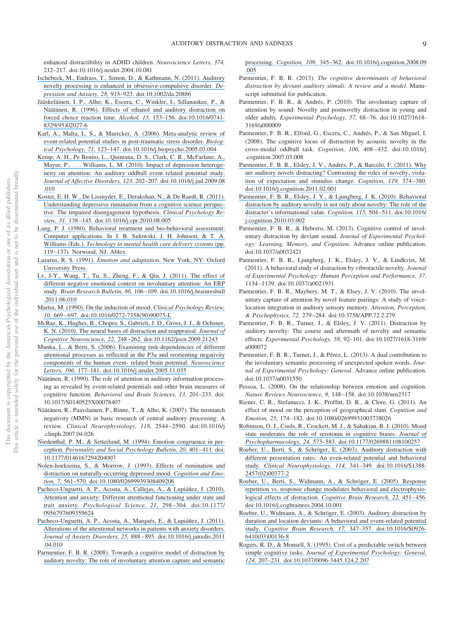enhanced distractibility in ADHD children. *Neuroscience Letters, 374,* 212–217. doi:10.1016/j.neulet.2004.10.081

- [Ischebeck, M., Endrass, T., Simon, D., & Kathmann, N. \(2011\). Auditory](https://www.researchgate.net/publication/51625781_Auditory_novelty_processing_is_enhanced_in_obsessive-compulsive_disorder?el=1_x_8&enrichId=rgreq-d00e34159f4cd1258edc52321b81e77f-XXX&enrichSource=Y292ZXJQYWdlOzI1NzQ2MzQwMjtBUzoxMDMxNTE0NjYxODg4MDdAMTQwMTYwNDYzNTg3MQ==) [novelty processing is enhanced in obsessive-compulsive disorder.](https://www.researchgate.net/publication/51625781_Auditory_novelty_processing_is_enhanced_in_obsessive-compulsive_disorder?el=1_x_8&enrichId=rgreq-d00e34159f4cd1258edc52321b81e77f-XXX&enrichSource=Y292ZXJQYWdlOzI1NzQ2MzQwMjtBUzoxMDMxNTE0NjYxODg4MDdAMTQwMTYwNDYzNTg3MQ==) *Depression and Anxiety, 28,* [915–923. doi:10.1002/da.20886](https://www.researchgate.net/publication/51625781_Auditory_novelty_processing_is_enhanced_in_obsessive-compulsive_disorder?el=1_x_8&enrichId=rgreq-d00e34159f4cd1258edc52321b81e77f-XXX&enrichSource=Y292ZXJQYWdlOzI1NzQ2MzQwMjtBUzoxMDMxNTE0NjYxODg4MDdAMTQwMTYwNDYzNTg3MQ==)
- [Jääskeläinen, I. P., Alho, K., Escera, C., Winkler, I., Sillanaukee, P., &](https://www.researchgate.net/publication/223370790_Effects_of_ethanol_and_auditory_distraction_on_forced_choice_reaction_time?el=1_x_8&enrichId=rgreq-d00e34159f4cd1258edc52321b81e77f-XXX&enrichSource=Y292ZXJQYWdlOzI1NzQ2MzQwMjtBUzoxMDMxNTE0NjYxODg4MDdAMTQwMTYwNDYzNTg3MQ==) [Näätänen, R. \(1996\). Effects of ethanol and auditory distraction on](https://www.researchgate.net/publication/223370790_Effects_of_ethanol_and_auditory_distraction_on_forced_choice_reaction_time?el=1_x_8&enrichId=rgreq-d00e34159f4cd1258edc52321b81e77f-XXX&enrichSource=Y292ZXJQYWdlOzI1NzQ2MzQwMjtBUzoxMDMxNTE0NjYxODg4MDdAMTQwMTYwNDYzNTg3MQ==) [forced choice reaction time.](https://www.researchgate.net/publication/223370790_Effects_of_ethanol_and_auditory_distraction_on_forced_choice_reaction_time?el=1_x_8&enrichId=rgreq-d00e34159f4cd1258edc52321b81e77f-XXX&enrichSource=Y292ZXJQYWdlOzI1NzQ2MzQwMjtBUzoxMDMxNTE0NjYxODg4MDdAMTQwMTYwNDYzNTg3MQ==) *Alcohol, 13,* 153–156. doi:10.1016/0741- [8329\(95\)02027-6](https://www.researchgate.net/publication/223370790_Effects_of_ethanol_and_auditory_distraction_on_forced_choice_reaction_time?el=1_x_8&enrichId=rgreq-d00e34159f4cd1258edc52321b81e77f-XXX&enrichSource=Y292ZXJQYWdlOzI1NzQ2MzQwMjtBUzoxMDMxNTE0NjYxODg4MDdAMTQwMTYwNDYzNTg3MQ==)
- [Karl, A., Malta, L. S., & Maercker, A. \(2006\). Meta-analytic review of](https://www.researchgate.net/publication/7782526_Meta-analytic_review_of_event-related_potential_studies_in_post-traumatic_stress_disorder?el=1_x_8&enrichId=rgreq-d00e34159f4cd1258edc52321b81e77f-XXX&enrichSource=Y292ZXJQYWdlOzI1NzQ2MzQwMjtBUzoxMDMxNTE0NjYxODg4MDdAMTQwMTYwNDYzNTg3MQ==) [event-related potential studies in post-traumatic stress disorder.](https://www.researchgate.net/publication/7782526_Meta-analytic_review_of_event-related_potential_studies_in_post-traumatic_stress_disorder?el=1_x_8&enrichId=rgreq-d00e34159f4cd1258edc52321b81e77f-XXX&enrichSource=Y292ZXJQYWdlOzI1NzQ2MzQwMjtBUzoxMDMxNTE0NjYxODg4MDdAMTQwMTYwNDYzNTg3MQ==) *Biological Psychology, 71,* [123–147. doi:10.1016/j.biopsycho.2005.03.004](https://www.researchgate.net/publication/7782526_Meta-analytic_review_of_event-related_potential_studies_in_post-traumatic_stress_disorder?el=1_x_8&enrichId=rgreq-d00e34159f4cd1258edc52321b81e77f-XXX&enrichSource=Y292ZXJQYWdlOzI1NzQ2MzQwMjtBUzoxMDMxNTE0NjYxODg4MDdAMTQwMTYwNDYzNTg3MQ==)
- [Kemp, A. H., Pe Benito, L., Quintana, D. S., Clark, C. R., McFarlane, A.,](https://www.researchgate.net/publication/26799076_Impact_of_depression_heterogeneity_on_attention_An_auditory_oddball_event_related_potential_study?el=1_x_8&enrichId=rgreq-d00e34159f4cd1258edc52321b81e77f-XXX&enrichSource=Y292ZXJQYWdlOzI1NzQ2MzQwMjtBUzoxMDMxNTE0NjYxODg4MDdAMTQwMTYwNDYzNTg3MQ==) Mayur, P., ... [Williams, L. M. \(2010\). Impact of depression heteroge](https://www.researchgate.net/publication/26799076_Impact_of_depression_heterogeneity_on_attention_An_auditory_oddball_event_related_potential_study?el=1_x_8&enrichId=rgreq-d00e34159f4cd1258edc52321b81e77f-XXX&enrichSource=Y292ZXJQYWdlOzI1NzQ2MzQwMjtBUzoxMDMxNTE0NjYxODg4MDdAMTQwMTYwNDYzNTg3MQ==)[neity on attention: An auditory oddball event related potential study.](https://www.researchgate.net/publication/26799076_Impact_of_depression_heterogeneity_on_attention_An_auditory_oddball_event_related_potential_study?el=1_x_8&enrichId=rgreq-d00e34159f4cd1258edc52321b81e77f-XXX&enrichSource=Y292ZXJQYWdlOzI1NzQ2MzQwMjtBUzoxMDMxNTE0NjYxODg4MDdAMTQwMTYwNDYzNTg3MQ==) *[Journal of Affective Disorders, 123,](https://www.researchgate.net/publication/26799076_Impact_of_depression_heterogeneity_on_attention_An_auditory_oddball_event_related_potential_study?el=1_x_8&enrichId=rgreq-d00e34159f4cd1258edc52321b81e77f-XXX&enrichSource=Y292ZXJQYWdlOzI1NzQ2MzQwMjtBUzoxMDMxNTE0NjYxODg4MDdAMTQwMTYwNDYzNTg3MQ==)* 202–207. doi:10.1016/j.jad.2009.08 [.010](https://www.researchgate.net/publication/26799076_Impact_of_depression_heterogeneity_on_attention_An_auditory_oddball_event_related_potential_study?el=1_x_8&enrichId=rgreq-d00e34159f4cd1258edc52321b81e77f-XXX&enrichSource=Y292ZXJQYWdlOzI1NzQ2MzQwMjtBUzoxMDMxNTE0NjYxODg4MDdAMTQwMTYwNDYzNTg3MQ==)
- [Koster, E. H. W., De Lissnyder, E., Derakshan, N., & De Raedt, R. \(2011\).](https://www.researchgate.net/publication/46148697_Understanding_Depressive_Rumination_from_a_Cognitive_Science_Perspective_The_Impaired_Disengagement_Hypothesis?el=1_x_8&enrichId=rgreq-d00e34159f4cd1258edc52321b81e77f-XXX&enrichSource=Y292ZXJQYWdlOzI1NzQ2MzQwMjtBUzoxMDMxNTE0NjYxODg4MDdAMTQwMTYwNDYzNTg3MQ==) [Understanding depressive rumination from a cognitive science perspec](https://www.researchgate.net/publication/46148697_Understanding_Depressive_Rumination_from_a_Cognitive_Science_Perspective_The_Impaired_Disengagement_Hypothesis?el=1_x_8&enrichId=rgreq-d00e34159f4cd1258edc52321b81e77f-XXX&enrichSource=Y292ZXJQYWdlOzI1NzQ2MzQwMjtBUzoxMDMxNTE0NjYxODg4MDdAMTQwMTYwNDYzNTg3MQ==)[tive: The impaired disengagement hypothesis.](https://www.researchgate.net/publication/46148697_Understanding_Depressive_Rumination_from_a_Cognitive_Science_Perspective_The_Impaired_Disengagement_Hypothesis?el=1_x_8&enrichId=rgreq-d00e34159f4cd1258edc52321b81e77f-XXX&enrichSource=Y292ZXJQYWdlOzI1NzQ2MzQwMjtBUzoxMDMxNTE0NjYxODg4MDdAMTQwMTYwNDYzNTg3MQ==) *Clinical Psychology Review, 31,* [138 –145. doi:10.1016/j.cpr.2010.08.005](https://www.researchgate.net/publication/46148697_Understanding_Depressive_Rumination_from_a_Cognitive_Science_Perspective_The_Impaired_Disengagement_Hypothesis?el=1_x_8&enrichId=rgreq-d00e34159f4cd1258edc52321b81e77f-XXX&enrichSource=Y292ZXJQYWdlOzI1NzQ2MzQwMjtBUzoxMDMxNTE0NjYxODg4MDdAMTQwMTYwNDYzNTg3MQ==)
- [Lang, P. J. \(1980\). Behavioral treatment and bio-behavioral assessment:](https://www.researchgate.net/publication/209436364_Behavioral_treatment_and_bio-behavioral_assessment_Computer_applications?el=1_x_8&enrichId=rgreq-d00e34159f4cd1258edc52321b81e77f-XXX&enrichSource=Y292ZXJQYWdlOzI1NzQ2MzQwMjtBUzoxMDMxNTE0NjYxODg4MDdAMTQwMTYwNDYzNTg3MQ==) [Computer applications. In J. B. Sidowski, J. H. Johnson, & T. A.](https://www.researchgate.net/publication/209436364_Behavioral_treatment_and_bio-behavioral_assessment_Computer_applications?el=1_x_8&enrichId=rgreq-d00e34159f4cd1258edc52321b81e77f-XXX&enrichSource=Y292ZXJQYWdlOzI1NzQ2MzQwMjtBUzoxMDMxNTE0NjYxODg4MDdAMTQwMTYwNDYzNTg3MQ==) Williams (Eds.), *[Technology in mental health care delivery systems](https://www.researchgate.net/publication/209436364_Behavioral_treatment_and_bio-behavioral_assessment_Computer_applications?el=1_x_8&enrichId=rgreq-d00e34159f4cd1258edc52321b81e77f-XXX&enrichSource=Y292ZXJQYWdlOzI1NzQ2MzQwMjtBUzoxMDMxNTE0NjYxODg4MDdAMTQwMTYwNDYzNTg3MQ==)* (pp. [119 –137\). Norwood, NJ: Ablex.](https://www.researchgate.net/publication/209436364_Behavioral_treatment_and_bio-behavioral_assessment_Computer_applications?el=1_x_8&enrichId=rgreq-d00e34159f4cd1258edc52321b81e77f-XXX&enrichSource=Y292ZXJQYWdlOzI1NzQ2MzQwMjtBUzoxMDMxNTE0NjYxODg4MDdAMTQwMTYwNDYzNTg3MQ==)
- Lazarus, R. S. (1991). *Emotion and adaptation*[. New York, NY: Oxford](https://www.researchgate.net/publication/209836159_Emotion_and_Adaptation?el=1_x_8&enrichId=rgreq-d00e34159f4cd1258edc52321b81e77f-XXX&enrichSource=Y292ZXJQYWdlOzI1NzQ2MzQwMjtBUzoxMDMxNTE0NjYxODg4MDdAMTQwMTYwNDYzNTg3MQ==) [University Press.](https://www.researchgate.net/publication/209836159_Emotion_and_Adaptation?el=1_x_8&enrichId=rgreq-d00e34159f4cd1258edc52321b81e77f-XXX&enrichSource=Y292ZXJQYWdlOzI1NzQ2MzQwMjtBUzoxMDMxNTE0NjYxODg4MDdAMTQwMTYwNDYzNTg3MQ==)
- [Lv, J-Y., Wang, T., Tu, S., Zheng, F., & Qiu, J. \(2011\). The effect of](https://www.researchgate.net/publication/51479098_The_effect_of_different_negative_emotional_context_on_involuntary_attention_An_ERP_study?el=1_x_8&enrichId=rgreq-d00e34159f4cd1258edc52321b81e77f-XXX&enrichSource=Y292ZXJQYWdlOzI1NzQ2MzQwMjtBUzoxMDMxNTE0NjYxODg4MDdAMTQwMTYwNDYzNTg3MQ==) [different negative emotional context on involuntary attention: An ERP](https://www.researchgate.net/publication/51479098_The_effect_of_different_negative_emotional_context_on_involuntary_attention_An_ERP_study?el=1_x_8&enrichId=rgreq-d00e34159f4cd1258edc52321b81e77f-XXX&enrichSource=Y292ZXJQYWdlOzI1NzQ2MzQwMjtBUzoxMDMxNTE0NjYxODg4MDdAMTQwMTYwNDYzNTg3MQ==) study. *Brain Research Bulletin, 86,* [106 –109. doi:10.1016/j.brainresbull](https://www.researchgate.net/publication/51479098_The_effect_of_different_negative_emotional_context_on_involuntary_attention_An_ERP_study?el=1_x_8&enrichId=rgreq-d00e34159f4cd1258edc52321b81e77f-XXX&enrichSource=Y292ZXJQYWdlOzI1NzQ2MzQwMjtBUzoxMDMxNTE0NjYxODg4MDdAMTQwMTYwNDYzNTg3MQ==) [.2011.06.010](https://www.researchgate.net/publication/51479098_The_effect_of_different_negative_emotional_context_on_involuntary_attention_An_ERP_study?el=1_x_8&enrichId=rgreq-d00e34159f4cd1258edc52321b81e77f-XXX&enrichSource=Y292ZXJQYWdlOzI1NzQ2MzQwMjtBUzoxMDMxNTE0NjYxODg4MDdAMTQwMTYwNDYzNTg3MQ==)
- [Martin, M. \(1990\). On the induction of mood.](https://www.researchgate.net/publication/222875887_On_the_Induction_of_Mood?el=1_x_8&enrichId=rgreq-d00e34159f4cd1258edc52321b81e77f-XXX&enrichSource=Y292ZXJQYWdlOzI1NzQ2MzQwMjtBUzoxMDMxNTE0NjYxODg4MDdAMTQwMTYwNDYzNTg3MQ==) *Clinical Psychology Review, 10,* [669 – 697. doi:10.1016/0272-7358\(90\)90075-L](https://www.researchgate.net/publication/222875887_On_the_Induction_of_Mood?el=1_x_8&enrichId=rgreq-d00e34159f4cd1258edc52321b81e77f-XXX&enrichSource=Y292ZXJQYWdlOzI1NzQ2MzQwMjtBUzoxMDMxNTE0NjYxODg4MDdAMTQwMTYwNDYzNTg3MQ==)
- [McRae, K., Hughes, B., Chopra, S., Gabrieli, J. D., Gross, J. J., & Ochsner,](https://www.researchgate.net/publication/24375638_The_Neural_Bases_of_Distraction_and_Reappraisal?el=1_x_8&enrichId=rgreq-d00e34159f4cd1258edc52321b81e77f-XXX&enrichSource=Y292ZXJQYWdlOzI1NzQ2MzQwMjtBUzoxMDMxNTE0NjYxODg4MDdAMTQwMTYwNDYzNTg3MQ==) [K. N. \(2010\). The neural bases of distraction and reappraisal.](https://www.researchgate.net/publication/24375638_The_Neural_Bases_of_Distraction_and_Reappraisal?el=1_x_8&enrichId=rgreq-d00e34159f4cd1258edc52321b81e77f-XXX&enrichSource=Y292ZXJQYWdlOzI1NzQ2MzQwMjtBUzoxMDMxNTE0NjYxODg4MDdAMTQwMTYwNDYzNTg3MQ==) *Journal of Cognitive Neuroscience, 22,* [248 –262. doi:10.1162/jocn.2009.21243](https://www.researchgate.net/publication/24375638_The_Neural_Bases_of_Distraction_and_Reappraisal?el=1_x_8&enrichId=rgreq-d00e34159f4cd1258edc52321b81e77f-XXX&enrichSource=Y292ZXJQYWdlOzI1NzQ2MzQwMjtBUzoxMDMxNTE0NjYxODg4MDdAMTQwMTYwNDYzNTg3MQ==)
- [Munka, L., & Berti, S. \(2006\). Examining task-dependencies of different](https://www.researchgate.net/publication/7412862_Examining_task-dependencies_of_different_attentional_processes_as_reflected_in_the_P3a_and_reorienting_negativity_components_of_the_human_event-related_brain_potential?el=1_x_8&enrichId=rgreq-d00e34159f4cd1258edc52321b81e77f-XXX&enrichSource=Y292ZXJQYWdlOzI1NzQ2MzQwMjtBUzoxMDMxNTE0NjYxODg4MDdAMTQwMTYwNDYzNTg3MQ==) [attentional processes as reflected in the P3a and reorienting negativity](https://www.researchgate.net/publication/7412862_Examining_task-dependencies_of_different_attentional_processes_as_reflected_in_the_P3a_and_reorienting_negativity_components_of_the_human_event-related_brain_potential?el=1_x_8&enrichId=rgreq-d00e34159f4cd1258edc52321b81e77f-XXX&enrichSource=Y292ZXJQYWdlOzI1NzQ2MzQwMjtBUzoxMDMxNTE0NjYxODg4MDdAMTQwMTYwNDYzNTg3MQ==) [components of the human event- related brain potential.](https://www.researchgate.net/publication/7412862_Examining_task-dependencies_of_different_attentional_processes_as_reflected_in_the_P3a_and_reorienting_negativity_components_of_the_human_event-related_brain_potential?el=1_x_8&enrichId=rgreq-d00e34159f4cd1258edc52321b81e77f-XXX&enrichSource=Y292ZXJQYWdlOzI1NzQ2MzQwMjtBUzoxMDMxNTE0NjYxODg4MDdAMTQwMTYwNDYzNTg3MQ==) *Neuroscience Letters, 396,* [177–181. doi:10.1016/j.neulet.2005.11.035](https://www.researchgate.net/publication/7412862_Examining_task-dependencies_of_different_attentional_processes_as_reflected_in_the_P3a_and_reorienting_negativity_components_of_the_human_event-related_brain_potential?el=1_x_8&enrichId=rgreq-d00e34159f4cd1258edc52321b81e77f-XXX&enrichSource=Y292ZXJQYWdlOzI1NzQ2MzQwMjtBUzoxMDMxNTE0NjYxODg4MDdAMTQwMTYwNDYzNTg3MQ==)
- Näätänen, R. (1990). The role of attention in auditory information processing as revealed by event-related potentials and other brain measures of cognitive function. *Behavioral and Brain Sciences, 13,* 201–233. doi: 10.1017/S0140525X00078407
- Näätänen, R., Paavilainen, P., Rinne, T., & Alho, K. (2007). The mismatch negativity (MMN) in basic research of central auditory processing: A review. *Clinical Neurophysiology, 118,* 2544 –2590. doi:10.1016/j .clinph.2007.04.026
- [Niedenthal, P. M., & Setterlund, M. \(1994\). Emotion congruence in per-](https://www.researchgate.net/publication/209436042_Emotion_Congruence_in_Perception?el=1_x_8&enrichId=rgreq-d00e34159f4cd1258edc52321b81e77f-XXX&enrichSource=Y292ZXJQYWdlOzI1NzQ2MzQwMjtBUzoxMDMxNTE0NjYxODg4MDdAMTQwMTYwNDYzNTg3MQ==)ception. [Personality and Social Psychology Bulletin, 20,](https://www.researchgate.net/publication/209436042_Emotion_Congruence_in_Perception?el=1_x_8&enrichId=rgreq-d00e34159f4cd1258edc52321b81e77f-XXX&enrichSource=Y292ZXJQYWdlOzI1NzQ2MzQwMjtBUzoxMDMxNTE0NjYxODg4MDdAMTQwMTYwNDYzNTg3MQ==) 401-411. doi: [10.1177/0146167294204007](https://www.researchgate.net/publication/209436042_Emotion_Congruence_in_Perception?el=1_x_8&enrichId=rgreq-d00e34159f4cd1258edc52321b81e77f-XXX&enrichSource=Y292ZXJQYWdlOzI1NzQ2MzQwMjtBUzoxMDMxNTE0NjYxODg4MDdAMTQwMTYwNDYzNTg3MQ==)
- [Nolen-hoeksema, S., & Morrow, J. \(1993\). Effects of rumination and](https://www.researchgate.net/publication/239960540_Effects_of_rumination_and_distraction_on_naturally_occurring_depressed_mood?el=1_x_8&enrichId=rgreq-d00e34159f4cd1258edc52321b81e77f-XXX&enrichSource=Y292ZXJQYWdlOzI1NzQ2MzQwMjtBUzoxMDMxNTE0NjYxODg4MDdAMTQwMTYwNDYzNTg3MQ==) [distraction on naturally-occurring depressed mood.](https://www.researchgate.net/publication/239960540_Effects_of_rumination_and_distraction_on_naturally_occurring_depressed_mood?el=1_x_8&enrichId=rgreq-d00e34159f4cd1258edc52321b81e77f-XXX&enrichSource=Y292ZXJQYWdlOzI1NzQ2MzQwMjtBUzoxMDMxNTE0NjYxODg4MDdAMTQwMTYwNDYzNTg3MQ==) *Cognition and Emotion, 7,* [561–570. doi:10.1080/02699939308409206](https://www.researchgate.net/publication/239960540_Effects_of_rumination_and_distraction_on_naturally_occurring_depressed_mood?el=1_x_8&enrichId=rgreq-d00e34159f4cd1258edc52321b81e77f-XXX&enrichSource=Y292ZXJQYWdlOzI1NzQ2MzQwMjtBUzoxMDMxNTE0NjYxODg4MDdAMTQwMTYwNDYzNTg3MQ==)
- [Pacheco-Unguetti, A. P., Acosta, A., Callejas, A., & Lupiáñez, J. \(2010\).](https://www.researchgate.net/publication/43348217_Attention_and_Anxiety_Different_Attentional_Functioning_Under_State_and_Trait_Anxiety?el=1_x_8&enrichId=rgreq-d00e34159f4cd1258edc52321b81e77f-XXX&enrichSource=Y292ZXJQYWdlOzI1NzQ2MzQwMjtBUzoxMDMxNTE0NjYxODg4MDdAMTQwMTYwNDYzNTg3MQ==) [Attention and anxiety: Different attentional functioning under state and](https://www.researchgate.net/publication/43348217_Attention_and_Anxiety_Different_Attentional_Functioning_Under_State_and_Trait_Anxiety?el=1_x_8&enrichId=rgreq-d00e34159f4cd1258edc52321b81e77f-XXX&enrichSource=Y292ZXJQYWdlOzI1NzQ2MzQwMjtBUzoxMDMxNTE0NjYxODg4MDdAMTQwMTYwNDYzNTg3MQ==) trait anxiety. *[Psychological Science, 21,](https://www.researchgate.net/publication/43348217_Attention_and_Anxiety_Different_Attentional_Functioning_Under_State_and_Trait_Anxiety?el=1_x_8&enrichId=rgreq-d00e34159f4cd1258edc52321b81e77f-XXX&enrichSource=Y292ZXJQYWdlOzI1NzQ2MzQwMjtBUzoxMDMxNTE0NjYxODg4MDdAMTQwMTYwNDYzNTg3MQ==)* 298 –304. doi:10.1177/ [0956797609359624](https://www.researchgate.net/publication/43348217_Attention_and_Anxiety_Different_Attentional_Functioning_Under_State_and_Trait_Anxiety?el=1_x_8&enrichId=rgreq-d00e34159f4cd1258edc52321b81e77f-XXX&enrichSource=Y292ZXJQYWdlOzI1NzQ2MzQwMjtBUzoxMDMxNTE0NjYxODg4MDdAMTQwMTYwNDYzNTg3MQ==)
- [Pacheco-Unguetti, A. P., Acosta, A., Marqués, E., & Lupiáñez, J. \(2011\).](https://www.researchgate.net/publication/51191479_Alterations_of_the_attentional_networks_in_patients_with_anxiety_disorders?el=1_x_8&enrichId=rgreq-d00e34159f4cd1258edc52321b81e77f-XXX&enrichSource=Y292ZXJQYWdlOzI1NzQ2MzQwMjtBUzoxMDMxNTE0NjYxODg4MDdAMTQwMTYwNDYzNTg3MQ==) [Alterations of the attentional networks in patients with anxiety disorders.](https://www.researchgate.net/publication/51191479_Alterations_of_the_attentional_networks_in_patients_with_anxiety_disorders?el=1_x_8&enrichId=rgreq-d00e34159f4cd1258edc52321b81e77f-XXX&enrichSource=Y292ZXJQYWdlOzI1NzQ2MzQwMjtBUzoxMDMxNTE0NjYxODg4MDdAMTQwMTYwNDYzNTg3MQ==) *Journal of Anxiety Disorders, 25,* [888 – 895. doi:10.1016/j.janxdis.2011](https://www.researchgate.net/publication/51191479_Alterations_of_the_attentional_networks_in_patients_with_anxiety_disorders?el=1_x_8&enrichId=rgreq-d00e34159f4cd1258edc52321b81e77f-XXX&enrichSource=Y292ZXJQYWdlOzI1NzQ2MzQwMjtBUzoxMDMxNTE0NjYxODg4MDdAMTQwMTYwNDYzNTg3MQ==) [.04.010](https://www.researchgate.net/publication/51191479_Alterations_of_the_attentional_networks_in_patients_with_anxiety_disorders?el=1_x_8&enrichId=rgreq-d00e34159f4cd1258edc52321b81e77f-XXX&enrichSource=Y292ZXJQYWdlOzI1NzQ2MzQwMjtBUzoxMDMxNTE0NjYxODg4MDdAMTQwMTYwNDYzNTg3MQ==)
- [Parmentier, F. B. R. \(2008\). Towards a cognitive model of distraction by](https://www.researchgate.net/publication/23472310_Towards_a_cognitive_model_of_distraction_by_auditory_novelty_The_role_of_involuntary_attention_capture_and_semantic_processing?el=1_x_8&enrichId=rgreq-d00e34159f4cd1258edc52321b81e77f-XXX&enrichSource=Y292ZXJQYWdlOzI1NzQ2MzQwMjtBUzoxMDMxNTE0NjYxODg4MDdAMTQwMTYwNDYzNTg3MQ==) [auditory novelty: The role of involuntary attention capture and semantic](https://www.researchgate.net/publication/23472310_Towards_a_cognitive_model_of_distraction_by_auditory_novelty_The_role_of_involuntary_attention_capture_and_semantic_processing?el=1_x_8&enrichId=rgreq-d00e34159f4cd1258edc52321b81e77f-XXX&enrichSource=Y292ZXJQYWdlOzI1NzQ2MzQwMjtBUzoxMDMxNTE0NjYxODg4MDdAMTQwMTYwNDYzNTg3MQ==)

processing. *Cognition, 109,* [345–362. doi:10.1016/j.cognition.2008.09](https://www.researchgate.net/publication/23472310_Towards_a_cognitive_model_of_distraction_by_auditory_novelty_The_role_of_involuntary_attention_capture_and_semantic_processing?el=1_x_8&enrichId=rgreq-d00e34159f4cd1258edc52321b81e77f-XXX&enrichSource=Y292ZXJQYWdlOzI1NzQ2MzQwMjtBUzoxMDMxNTE0NjYxODg4MDdAMTQwMTYwNDYzNTg3MQ==) [.005](https://www.researchgate.net/publication/23472310_Towards_a_cognitive_model_of_distraction_by_auditory_novelty_The_role_of_involuntary_attention_capture_and_semantic_processing?el=1_x_8&enrichId=rgreq-d00e34159f4cd1258edc52321b81e77f-XXX&enrichSource=Y292ZXJQYWdlOzI1NzQ2MzQwMjtBUzoxMDMxNTE0NjYxODg4MDdAMTQwMTYwNDYzNTg3MQ==)

- Parmentier, F. B. R. (2013). *The cognitive determinants of behavioral distraction by deviant auditory stimuli: A review and a model*. Manuscript submitted for publication.
- Parmentier, F. B. R., & Andrés, P. (2010). The involuntary capture of attention by sound: Novelty and postnovelty distraction in young and older adults. *Experimental Psychology, 57,* 68 –76. doi:10.1027/1618- 3169/a000009
- Parmentier, F. B. R., Elford, G., Escera, C., Andrés, P., & San Miguel, I. (2008). The cognitive locus of distraction by acoustic novelty in the cross-modal oddball task. *Cognition, 106,* 408 – 432. doi:10.1016/j .cognition.2007.03.008
- [Parmentier, F. B. R., Elsley, J. V., Andrés, P., & Barceló, F. \(2011\). Why](https://www.researchgate.net/publication/50303777_Why_are_auditory_novels_distracting_Contrasting_the_roles_of_novelty_violation_of_expectation_and_stimulus_change?el=1_x_8&enrichId=rgreq-d00e34159f4cd1258edc52321b81e77f-XXX&enrichSource=Y292ZXJQYWdlOzI1NzQ2MzQwMjtBUzoxMDMxNTE0NjYxODg4MDdAMTQwMTYwNDYzNTg3MQ==) [are auditory novels distracting? Contrasting the roles of novelty, viola](https://www.researchgate.net/publication/50303777_Why_are_auditory_novels_distracting_Contrasting_the_roles_of_novelty_violation_of_expectation_and_stimulus_change?el=1_x_8&enrichId=rgreq-d00e34159f4cd1258edc52321b81e77f-XXX&enrichSource=Y292ZXJQYWdlOzI1NzQ2MzQwMjtBUzoxMDMxNTE0NjYxODg4MDdAMTQwMTYwNDYzNTg3MQ==)[tion of expectation and stimulus change.](https://www.researchgate.net/publication/50303777_Why_are_auditory_novels_distracting_Contrasting_the_roles_of_novelty_violation_of_expectation_and_stimulus_change?el=1_x_8&enrichId=rgreq-d00e34159f4cd1258edc52321b81e77f-XXX&enrichSource=Y292ZXJQYWdlOzI1NzQ2MzQwMjtBUzoxMDMxNTE0NjYxODg4MDdAMTQwMTYwNDYzNTg3MQ==) *Cognition, 119,* 374 –380. [doi:10.1016/j.cognition.2011.02.001](https://www.researchgate.net/publication/50303777_Why_are_auditory_novels_distracting_Contrasting_the_roles_of_novelty_violation_of_expectation_and_stimulus_change?el=1_x_8&enrichId=rgreq-d00e34159f4cd1258edc52321b81e77f-XXX&enrichSource=Y292ZXJQYWdlOzI1NzQ2MzQwMjtBUzoxMDMxNTE0NjYxODg4MDdAMTQwMTYwNDYzNTg3MQ==)
- [Parmentier, F. B. R., Elsley, J. V., & Ljungberg, J. K. \(2010\). Behavioral](https://www.researchgate.net/publication/42588677_Behavioral_distraction_by_auditory_novelty_is_not_only_about_novelty_The_role_of_the_distracter) [distraction by auditory novelty is not only about novelty: The role of the](https://www.researchgate.net/publication/42588677_Behavioral_distraction_by_auditory_novelty_is_not_only_about_novelty_The_role_of_the_distracter) [distracter's informational value.](https://www.researchgate.net/publication/42588677_Behavioral_distraction_by_auditory_novelty_is_not_only_about_novelty_The_role_of_the_distracter) *Cognition, 115,* 504 –511. doi:10.1016/ [j.cognition.2010.03.002](https://www.researchgate.net/publication/42588677_Behavioral_distraction_by_auditory_novelty_is_not_only_about_novelty_The_role_of_the_distracter)
- Parmentier, F. B. R., & Hebrero, M. (2013). Cognitive control of involuntary distraction by deviant sound. *Journal of Experimental Psychology: Learning, Memory, and Cognition*. Advance online publication. doi:10.1037/a0032421
- Parmentier, F. B. R., Ljungberg, J. K., Elsley, J. V., & Lindkvist, M. (2011). A behavioral study of distraction by vibrotactile novelty. *Journal of Experimental Psychology: Human Perception and Performance, 37,* 1134 –1139. doi:10.1037/a0021931
- Parmentier, F. B. R., Maybery, M. T., & Elsey, J. V. (2010). The involuntary capture of attention by novel feature pairings: A study of voicelocation integration in auditory sensory memory. *Attention, Perception, & Psychophysics, 72,* 279 –284. doi:10.3758/APP.72.2.279
- Parmentier, F. B. R., Turner, J., & Elsley, J. V. (2011). Distraction by auditory novelty: The course and aftermath of novelty and semantic effects. *Experimental Psychology, 58,* 92–101. doi:10.1027/1618-3169/ a000072
- Parmentier, F. B. R., Turner, J., & Pérez, L. (2013). A dual contribution to the involuntary semantic processing of unexpected spoken words. *Journal of Experimental Psychology: General*. Advance online publication. doi:10.1037/a0031550
- Pessoa, L. (2008). On the relationship between emotion and cognition. *Nature Reviews Neuroscience, 9,* 148 –158. doi:10.1038/nrn2317
- Riener, C. R., Stefanucci, J. K., Proffitt, D. R., & Clore, G. (2011). An effect of mood on the perception of geographical slant. *Cognition and Emotion, 25,* 174 –182. doi:10.1080/02699931003738026
- [Robinson, O. J., Cools, R., Crockett, M. J., & Sahakian, B. J. \(2010\). Mood](https://www.researchgate.net/publication/23933634_Mood_state_moderates_the_role_of_serotonin_in_cognitive_biases?el=1_x_8&enrichId=rgreq-d00e34159f4cd1258edc52321b81e77f-XXX&enrichSource=Y292ZXJQYWdlOzI1NzQ2MzQwMjtBUzoxMDMxNTE0NjYxODg4MDdAMTQwMTYwNDYzNTg3MQ==) [state moderates the role of serotonin in cognitive biases.](https://www.researchgate.net/publication/23933634_Mood_state_moderates_the_role_of_serotonin_in_cognitive_biases?el=1_x_8&enrichId=rgreq-d00e34159f4cd1258edc52321b81e77f-XXX&enrichSource=Y292ZXJQYWdlOzI1NzQ2MzQwMjtBUzoxMDMxNTE0NjYxODg4MDdAMTQwMTYwNDYzNTg3MQ==) *Journal of Psychopharmacology, 24,* [573–583. doi:10.1177/0269881108100257](https://www.researchgate.net/publication/23933634_Mood_state_moderates_the_role_of_serotonin_in_cognitive_biases?el=1_x_8&enrichId=rgreq-d00e34159f4cd1258edc52321b81e77f-XXX&enrichSource=Y292ZXJQYWdlOzI1NzQ2MzQwMjtBUzoxMDMxNTE0NjYxODg4MDdAMTQwMTYwNDYzNTg3MQ==)
- [Roeber, U., Berti, S., & Schröger, E. \(2003\). Auditory distraction with](https://www.researchgate.net/publication/10924880_Auditory_distraction_with_different_presentation_rates_An_event-related_potential_and_behavioral_study?el=1_x_8&enrichId=rgreq-d00e34159f4cd1258edc52321b81e77f-XXX&enrichSource=Y292ZXJQYWdlOzI1NzQ2MzQwMjtBUzoxMDMxNTE0NjYxODg4MDdAMTQwMTYwNDYzNTg3MQ==) [different presentation rates: An even-related potential and behavioral](https://www.researchgate.net/publication/10924880_Auditory_distraction_with_different_presentation_rates_An_event-related_potential_and_behavioral_study?el=1_x_8&enrichId=rgreq-d00e34159f4cd1258edc52321b81e77f-XXX&enrichSource=Y292ZXJQYWdlOzI1NzQ2MzQwMjtBUzoxMDMxNTE0NjYxODg4MDdAMTQwMTYwNDYzNTg3MQ==) study. *[Clinical Neurophysiology, 114,](https://www.researchgate.net/publication/10924880_Auditory_distraction_with_different_presentation_rates_An_event-related_potential_and_behavioral_study?el=1_x_8&enrichId=rgreq-d00e34159f4cd1258edc52321b81e77f-XXX&enrichSource=Y292ZXJQYWdlOzI1NzQ2MzQwMjtBUzoxMDMxNTE0NjYxODg4MDdAMTQwMTYwNDYzNTg3MQ==)* 341–349. doi:10.1016/S1388- [2457\(02\)00377-2](https://www.researchgate.net/publication/10924880_Auditory_distraction_with_different_presentation_rates_An_event-related_potential_and_behavioral_study?el=1_x_8&enrichId=rgreq-d00e34159f4cd1258edc52321b81e77f-XXX&enrichSource=Y292ZXJQYWdlOzI1NzQ2MzQwMjtBUzoxMDMxNTE0NjYxODg4MDdAMTQwMTYwNDYzNTg3MQ==)
- [Roeber, U., Berti, S., Widmann, A., & Schröger, E. \(2005\). Response](https://www.researchgate.net/publication/8011667_Response_repetition_vs_response_change_modulates_behavioral_and_electrophysiological_effects_of_distraction?el=1_x_8&enrichId=rgreq-d00e34159f4cd1258edc52321b81e77f-XXX&enrichSource=Y292ZXJQYWdlOzI1NzQ2MzQwMjtBUzoxMDMxNTE0NjYxODg4MDdAMTQwMTYwNDYzNTg3MQ==) [repetition vs. response change modulates behavioral and electrophysio](https://www.researchgate.net/publication/8011667_Response_repetition_vs_response_change_modulates_behavioral_and_electrophysiological_effects_of_distraction?el=1_x_8&enrichId=rgreq-d00e34159f4cd1258edc52321b81e77f-XXX&enrichSource=Y292ZXJQYWdlOzI1NzQ2MzQwMjtBUzoxMDMxNTE0NjYxODg4MDdAMTQwMTYwNDYzNTg3MQ==)logical effects of distraction. *Cognitive Brain Research*, 22, 451-456. [doi:10.1016/j.cogbrainres.2004.10.001](https://www.researchgate.net/publication/8011667_Response_repetition_vs_response_change_modulates_behavioral_and_electrophysiological_effects_of_distraction?el=1_x_8&enrichId=rgreq-d00e34159f4cd1258edc52321b81e77f-XXX&enrichSource=Y292ZXJQYWdlOzI1NzQ2MzQwMjtBUzoxMDMxNTE0NjYxODg4MDdAMTQwMTYwNDYzNTg3MQ==)
- [Roeber, U., Widmann, A., & Schröger, E. \(2003\). Auditory distraction by](https://www.researchgate.net/publication/10644482_Auditory_distraction_by_duration_and_location_deviants_A_behavioral_and_event-related_potential_study?el=1_x_8&enrichId=rgreq-d00e34159f4cd1258edc52321b81e77f-XXX&enrichSource=Y292ZXJQYWdlOzI1NzQ2MzQwMjtBUzoxMDMxNTE0NjYxODg4MDdAMTQwMTYwNDYzNTg3MQ==) [duration and location deviants: A behavioral and event-related potential](https://www.researchgate.net/publication/10644482_Auditory_distraction_by_duration_and_location_deviants_A_behavioral_and_event-related_potential_study?el=1_x_8&enrichId=rgreq-d00e34159f4cd1258edc52321b81e77f-XXX&enrichSource=Y292ZXJQYWdlOzI1NzQ2MzQwMjtBUzoxMDMxNTE0NjYxODg4MDdAMTQwMTYwNDYzNTg3MQ==) study. *[Cognitive Brain Research, 17,](https://www.researchgate.net/publication/10644482_Auditory_distraction_by_duration_and_location_deviants_A_behavioral_and_event-related_potential_study?el=1_x_8&enrichId=rgreq-d00e34159f4cd1258edc52321b81e77f-XXX&enrichSource=Y292ZXJQYWdlOzI1NzQ2MzQwMjtBUzoxMDMxNTE0NjYxODg4MDdAMTQwMTYwNDYzNTg3MQ==)* 347–357. doi:10.1016/S0926- [6410\(03\)00136-8](https://www.researchgate.net/publication/10644482_Auditory_distraction_by_duration_and_location_deviants_A_behavioral_and_event-related_potential_study?el=1_x_8&enrichId=rgreq-d00e34159f4cd1258edc52321b81e77f-XXX&enrichSource=Y292ZXJQYWdlOzI1NzQ2MzQwMjtBUzoxMDMxNTE0NjYxODg4MDdAMTQwMTYwNDYzNTg3MQ==)
- [Rogers, R. D., & Monsell, S. \(1995\). Cost of a predictable switch between](https://www.researchgate.net/publication/232496441_Costs_of_a_Predictable_Switch_Between_Simple_Cognitive_Tasks?el=1_x_8&enrichId=rgreq-d00e34159f4cd1258edc52321b81e77f-XXX&enrichSource=Y292ZXJQYWdlOzI1NzQ2MzQwMjtBUzoxMDMxNTE0NjYxODg4MDdAMTQwMTYwNDYzNTg3MQ==) simple cognitive tasks. *[Journal of Experimental Psychology: General,](https://www.researchgate.net/publication/232496441_Costs_of_a_Predictable_Switch_Between_Simple_Cognitive_Tasks?el=1_x_8&enrichId=rgreq-d00e34159f4cd1258edc52321b81e77f-XXX&enrichSource=Y292ZXJQYWdlOzI1NzQ2MzQwMjtBUzoxMDMxNTE0NjYxODg4MDdAMTQwMTYwNDYzNTg3MQ==) 124,* [207–231. doi:10.1037/0096-3445.124.2.207](https://www.researchgate.net/publication/232496441_Costs_of_a_Predictable_Switch_Between_Simple_Cognitive_Tasks?el=1_x_8&enrichId=rgreq-d00e34159f4cd1258edc52321b81e77f-XXX&enrichSource=Y292ZXJQYWdlOzI1NzQ2MzQwMjtBUzoxMDMxNTE0NjYxODg4MDdAMTQwMTYwNDYzNTg3MQ==)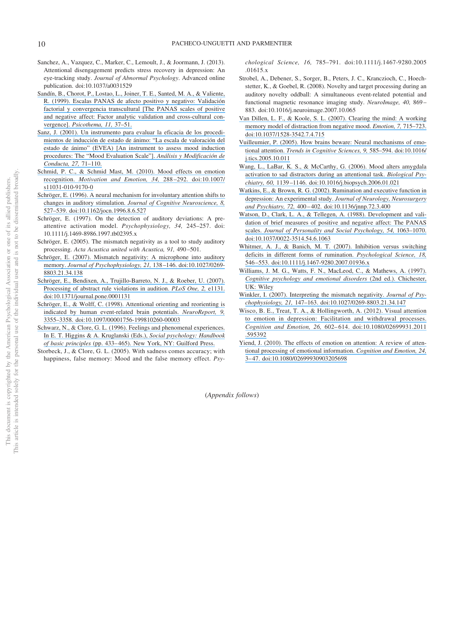- Sanchez, A., Vazquez, C., Marker, C., Lemoult, J., & Joormann, J. (2013). Attentional disengagement predicts stress recovery in depression: An eye-tracking study. *Journal of Abnormal Psychology*. Advanced online publication. doi:10.1037/a0031529
- [Sandín, B., Chorot, P., Lostao, L., Joiner, T. E., Santed, M. A., & Valiente,](https://www.researchgate.net/publication/272416833_The_PANAS_Scales_of_Positive_and_Negative_Affect_Factor_Analytic_Validation_and_Cross-cultural_Convergence?el=1_x_8&enrichId=rgreq-d00e34159f4cd1258edc52321b81e77f-XXX&enrichSource=Y292ZXJQYWdlOzI1NzQ2MzQwMjtBUzoxMDMxNTE0NjYxODg4MDdAMTQwMTYwNDYzNTg3MQ==) [R. \(1999\). Escalas PANAS de afecto positivo y negativo: Validación](https://www.researchgate.net/publication/272416833_The_PANAS_Scales_of_Positive_and_Negative_Affect_Factor_Analytic_Validation_and_Cross-cultural_Convergence?el=1_x_8&enrichId=rgreq-d00e34159f4cd1258edc52321b81e77f-XXX&enrichSource=Y292ZXJQYWdlOzI1NzQ2MzQwMjtBUzoxMDMxNTE0NjYxODg4MDdAMTQwMTYwNDYzNTg3MQ==) [factorial y convergencia transcultural \[The PANAS scales of positive](https://www.researchgate.net/publication/272416833_The_PANAS_Scales_of_Positive_and_Negative_Affect_Factor_Analytic_Validation_and_Cross-cultural_Convergence?el=1_x_8&enrichId=rgreq-d00e34159f4cd1258edc52321b81e77f-XXX&enrichSource=Y292ZXJQYWdlOzI1NzQ2MzQwMjtBUzoxMDMxNTE0NjYxODg4MDdAMTQwMTYwNDYzNTg3MQ==) [and negative affect: Factor analytic validation and cross-cultural con](https://www.researchgate.net/publication/272416833_The_PANAS_Scales_of_Positive_and_Negative_Affect_Factor_Analytic_Validation_and_Cross-cultural_Convergence?el=1_x_8&enrichId=rgreq-d00e34159f4cd1258edc52321b81e77f-XXX&enrichSource=Y292ZXJQYWdlOzI1NzQ2MzQwMjtBUzoxMDMxNTE0NjYxODg4MDdAMTQwMTYwNDYzNTg3MQ==)vergence]. *[Psicothema, 11,](https://www.researchgate.net/publication/272416833_The_PANAS_Scales_of_Positive_and_Negative_Affect_Factor_Analytic_Validation_and_Cross-cultural_Convergence?el=1_x_8&enrichId=rgreq-d00e34159f4cd1258edc52321b81e77f-XXX&enrichSource=Y292ZXJQYWdlOzI1NzQ2MzQwMjtBUzoxMDMxNTE0NjYxODg4MDdAMTQwMTYwNDYzNTg3MQ==)* 37–51.
- [Sanz, J. \(2001\). Un instrumento para evaluar la eficacia de los procedi](https://www.researchgate.net/publication/39148549_Un_instrumento_para_evaluar_la_eficacia_de_los_procedimientos_de_induccion_de_estado_de_animo_la_Escala_de_Valoracion_del_Estado_de_animo_EVEA?el=1_x_8&enrichId=rgreq-d00e34159f4cd1258edc52321b81e77f-XXX&enrichSource=Y292ZXJQYWdlOzI1NzQ2MzQwMjtBUzoxMDMxNTE0NjYxODg4MDdAMTQwMTYwNDYzNTg3MQ==)[mientos de inducción de estado de ánimo: "La escala de valoración del](https://www.researchgate.net/publication/39148549_Un_instrumento_para_evaluar_la_eficacia_de_los_procedimientos_de_induccion_de_estado_de_animo_la_Escala_de_Valoracion_del_Estado_de_animo_EVEA?el=1_x_8&enrichId=rgreq-d00e34159f4cd1258edc52321b81e77f-XXX&enrichSource=Y292ZXJQYWdlOzI1NzQ2MzQwMjtBUzoxMDMxNTE0NjYxODg4MDdAMTQwMTYwNDYzNTg3MQ==) [estado de ánimo" \(EVEA\) \[An instrument to assess mood induction](https://www.researchgate.net/publication/39148549_Un_instrumento_para_evaluar_la_eficacia_de_los_procedimientos_de_induccion_de_estado_de_animo_la_Escala_de_Valoracion_del_Estado_de_animo_EVEA?el=1_x_8&enrichId=rgreq-d00e34159f4cd1258edc52321b81e77f-XXX&enrichSource=Y292ZXJQYWdlOzI1NzQ2MzQwMjtBUzoxMDMxNTE0NjYxODg4MDdAMTQwMTYwNDYzNTg3MQ==) [procedures: The "Mood Evaluation Scale"\].](https://www.researchgate.net/publication/39148549_Un_instrumento_para_evaluar_la_eficacia_de_los_procedimientos_de_induccion_de_estado_de_animo_la_Escala_de_Valoracion_del_Estado_de_animo_EVEA?el=1_x_8&enrichId=rgreq-d00e34159f4cd1258edc52321b81e77f-XXX&enrichSource=Y292ZXJQYWdlOzI1NzQ2MzQwMjtBUzoxMDMxNTE0NjYxODg4MDdAMTQwMTYwNDYzNTg3MQ==) *Análisis y Modificación de [Conducta, 27,](https://www.researchgate.net/publication/39148549_Un_instrumento_para_evaluar_la_eficacia_de_los_procedimientos_de_induccion_de_estado_de_animo_la_Escala_de_Valoracion_del_Estado_de_animo_EVEA?el=1_x_8&enrichId=rgreq-d00e34159f4cd1258edc52321b81e77f-XXX&enrichSource=Y292ZXJQYWdlOzI1NzQ2MzQwMjtBUzoxMDMxNTE0NjYxODg4MDdAMTQwMTYwNDYzNTg3MQ==)* 71–110.
- [Schmid, P. C., & Schmid Mast, M. \(2010\). Mood effects on emotion](https://www.researchgate.net/publication/225559951_Mood_effects_on_emotion_recognition?el=1_x_8&enrichId=rgreq-d00e34159f4cd1258edc52321b81e77f-XXX&enrichSource=Y292ZXJQYWdlOzI1NzQ2MzQwMjtBUzoxMDMxNTE0NjYxODg4MDdAMTQwMTYwNDYzNTg3MQ==) recognition. *[Motivation and Emotion, 34,](https://www.researchgate.net/publication/225559951_Mood_effects_on_emotion_recognition?el=1_x_8&enrichId=rgreq-d00e34159f4cd1258edc52321b81e77f-XXX&enrichSource=Y292ZXJQYWdlOzI1NzQ2MzQwMjtBUzoxMDMxNTE0NjYxODg4MDdAMTQwMTYwNDYzNTg3MQ==)* 288 –292. doi:10.1007/ [s11031-010-9170-0](https://www.researchgate.net/publication/225559951_Mood_effects_on_emotion_recognition?el=1_x_8&enrichId=rgreq-d00e34159f4cd1258edc52321b81e77f-XXX&enrichSource=Y292ZXJQYWdlOzI1NzQ2MzQwMjtBUzoxMDMxNTE0NjYxODg4MDdAMTQwMTYwNDYzNTg3MQ==)
- [Schröger, E. \(1996\). A neural mechanism for involuntary attention shifts to](https://www.researchgate.net/publication/256071746_A_Neural_Mechanism_for_Involuntary_Attention_Shifts_to_Changes_in_Auditory_Stimulation?el=1_x_8&enrichId=rgreq-d00e34159f4cd1258edc52321b81e77f-XXX&enrichSource=Y292ZXJQYWdlOzI1NzQ2MzQwMjtBUzoxMDMxNTE0NjYxODg4MDdAMTQwMTYwNDYzNTg3MQ==) changes in auditory stimulation. *[Journal of Cognitive Neuroscience, 8,](https://www.researchgate.net/publication/256071746_A_Neural_Mechanism_for_Involuntary_Attention_Shifts_to_Changes_in_Auditory_Stimulation?el=1_x_8&enrichId=rgreq-d00e34159f4cd1258edc52321b81e77f-XXX&enrichSource=Y292ZXJQYWdlOzI1NzQ2MzQwMjtBUzoxMDMxNTE0NjYxODg4MDdAMTQwMTYwNDYzNTg3MQ==)* [527–539. doi:10.1162/jocn.1996.8.6.527](https://www.researchgate.net/publication/256071746_A_Neural_Mechanism_for_Involuntary_Attention_Shifts_to_Changes_in_Auditory_Stimulation?el=1_x_8&enrichId=rgreq-d00e34159f4cd1258edc52321b81e77f-XXX&enrichSource=Y292ZXJQYWdlOzI1NzQ2MzQwMjtBUzoxMDMxNTE0NjYxODg4MDdAMTQwMTYwNDYzNTg3MQ==)
- Schröger, E. (1997). On the detection of auditory deviations: A preattentive activation model. *Psychophysiology, 34,* 245–257. doi: 10.1111/j.1469-8986.1997.tb02395.x
- Schröger, E. (2005). The mismatch negativity as a tool to study auditory processing. *Acta Acustica united with Acustica, 91,* 490 –501.
- [Schröger, E. \(2007\). Mismatch negativity: A microphone into auditory](https://www.researchgate.net/publication/232529824_Mismatch_Negativity_A_Microphone_into_Auditory_Memory?el=1_x_8&enrichId=rgreq-d00e34159f4cd1258edc52321b81e77f-XXX&enrichSource=Y292ZXJQYWdlOzI1NzQ2MzQwMjtBUzoxMDMxNTE0NjYxODg4MDdAMTQwMTYwNDYzNTg3MQ==) memory. *[Journal of Psychophysiology, 21,](https://www.researchgate.net/publication/232529824_Mismatch_Negativity_A_Microphone_into_Auditory_Memory?el=1_x_8&enrichId=rgreq-d00e34159f4cd1258edc52321b81e77f-XXX&enrichSource=Y292ZXJQYWdlOzI1NzQ2MzQwMjtBUzoxMDMxNTE0NjYxODg4MDdAMTQwMTYwNDYzNTg3MQ==)* 138 –146. doi:10.1027/0269- [8803.21.34.138](https://www.researchgate.net/publication/232529824_Mismatch_Negativity_A_Microphone_into_Auditory_Memory?el=1_x_8&enrichId=rgreq-d00e34159f4cd1258edc52321b81e77f-XXX&enrichSource=Y292ZXJQYWdlOzI1NzQ2MzQwMjtBUzoxMDMxNTE0NjYxODg4MDdAMTQwMTYwNDYzNTg3MQ==)
- [Schröger, E., Bendixen, A., Trujillo-Barreto, N. J., & Roeber, U. \(2007\).](https://www.researchgate.net/publication/5859900_Processing_of_Abstract_Rule_Violations_in_Audition?el=1_x_8&enrichId=rgreq-d00e34159f4cd1258edc52321b81e77f-XXX&enrichSource=Y292ZXJQYWdlOzI1NzQ2MzQwMjtBUzoxMDMxNTE0NjYxODg4MDdAMTQwMTYwNDYzNTg3MQ==) [Processing of abstract rule violations in audition.](https://www.researchgate.net/publication/5859900_Processing_of_Abstract_Rule_Violations_in_Audition?el=1_x_8&enrichId=rgreq-d00e34159f4cd1258edc52321b81e77f-XXX&enrichSource=Y292ZXJQYWdlOzI1NzQ2MzQwMjtBUzoxMDMxNTE0NjYxODg4MDdAMTQwMTYwNDYzNTg3MQ==) *PLoS One, 2,* e1131. [doi:10.1371/journal.pone.0001131](https://www.researchgate.net/publication/5859900_Processing_of_Abstract_Rule_Violations_in_Audition?el=1_x_8&enrichId=rgreq-d00e34159f4cd1258edc52321b81e77f-XXX&enrichSource=Y292ZXJQYWdlOzI1NzQ2MzQwMjtBUzoxMDMxNTE0NjYxODg4MDdAMTQwMTYwNDYzNTg3MQ==)
- [Schröger, E., & Wolff, C. \(1998\). Attentional orienting and reorienting is](https://www.researchgate.net/publication/13433062_Attentional_orienting_and_reorienting_is_indicated_by_human_event-related_potentials?el=1_x_8&enrichId=rgreq-d00e34159f4cd1258edc52321b81e77f-XXX&enrichSource=Y292ZXJQYWdlOzI1NzQ2MzQwMjtBUzoxMDMxNTE0NjYxODg4MDdAMTQwMTYwNDYzNTg3MQ==) [indicated by human event-related brain potentials.](https://www.researchgate.net/publication/13433062_Attentional_orienting_and_reorienting_is_indicated_by_human_event-related_potentials?el=1_x_8&enrichId=rgreq-d00e34159f4cd1258edc52321b81e77f-XXX&enrichSource=Y292ZXJQYWdlOzI1NzQ2MzQwMjtBUzoxMDMxNTE0NjYxODg4MDdAMTQwMTYwNDYzNTg3MQ==) *NeuroReport, 9,* [3355–3358. doi:10.1097/00001756-199810260-00003](https://www.researchgate.net/publication/13433062_Attentional_orienting_and_reorienting_is_indicated_by_human_event-related_potentials?el=1_x_8&enrichId=rgreq-d00e34159f4cd1258edc52321b81e77f-XXX&enrichSource=Y292ZXJQYWdlOzI1NzQ2MzQwMjtBUzoxMDMxNTE0NjYxODg4MDdAMTQwMTYwNDYzNTg3MQ==)
- [Schwarz, N., & Clore, G. L. \(1996\). Feelings and phenomenal experiences.](https://www.researchgate.net/publication/229067930_Feelings_and_Phenomenal_Experiences?el=1_x_8&enrichId=rgreq-d00e34159f4cd1258edc52321b81e77f-XXX&enrichSource=Y292ZXJQYWdlOzI1NzQ2MzQwMjtBUzoxMDMxNTE0NjYxODg4MDdAMTQwMTYwNDYzNTg3MQ==) [In E. T. Higgins & A. Kruglanski \(Eds.\),](https://www.researchgate.net/publication/229067930_Feelings_and_Phenomenal_Experiences?el=1_x_8&enrichId=rgreq-d00e34159f4cd1258edc52321b81e77f-XXX&enrichSource=Y292ZXJQYWdlOzI1NzQ2MzQwMjtBUzoxMDMxNTE0NjYxODg4MDdAMTQwMTYwNDYzNTg3MQ==) *Social psychology: Handbook of basic principles* [\(pp. 433– 465\). New York, NY: Guilford Press.](https://www.researchgate.net/publication/229067930_Feelings_and_Phenomenal_Experiences?el=1_x_8&enrichId=rgreq-d00e34159f4cd1258edc52321b81e77f-XXX&enrichSource=Y292ZXJQYWdlOzI1NzQ2MzQwMjtBUzoxMDMxNTE0NjYxODg4MDdAMTQwMTYwNDYzNTg3MQ==)
- Storbeck, J., & Clore, G. L. (2005). With sadness comes accuracy; with happiness, false memory: Mood and the false memory effect. *Psy-*

*chological Science, 16,* 785–791. doi:10.1111/j.1467-9280.2005 .01615.x

- Strobel, A., Debener, S., Sorger, B., Peters, J. C., Kranczioch, C., Hoechstetter, K., & Goebel, R. (2008). Novelty and target processing during an auditory novelty oddball: A simultaneous event-related potential and functional magnetic resonance imaging study. *NeuroImage, 40,* 869 – 883. doi:10.1016/j.neuroimage.2007.10.065
- [Van Dillen, L. F., & Koole, S. L. \(2007\). Clearing the mind: A working](https://www.researchgate.net/publication/5808868_Clearing_the_Mind_A_Working_Memory_Model_of_Distraction_From_Negative_Mood?el=1_x_8&enrichId=rgreq-d00e34159f4cd1258edc52321b81e77f-XXX&enrichSource=Y292ZXJQYWdlOzI1NzQ2MzQwMjtBUzoxMDMxNTE0NjYxODg4MDdAMTQwMTYwNDYzNTg3MQ==) [memory model of distraction from negative mood.](https://www.researchgate.net/publication/5808868_Clearing_the_Mind_A_Working_Memory_Model_of_Distraction_From_Negative_Mood?el=1_x_8&enrichId=rgreq-d00e34159f4cd1258edc52321b81e77f-XXX&enrichSource=Y292ZXJQYWdlOzI1NzQ2MzQwMjtBUzoxMDMxNTE0NjYxODg4MDdAMTQwMTYwNDYzNTg3MQ==) *Emotion, 7,* 715–723. [doi:10.1037/1528-3542.7.4.715](https://www.researchgate.net/publication/5808868_Clearing_the_Mind_A_Working_Memory_Model_of_Distraction_From_Negative_Mood?el=1_x_8&enrichId=rgreq-d00e34159f4cd1258edc52321b81e77f-XXX&enrichSource=Y292ZXJQYWdlOzI1NzQ2MzQwMjtBUzoxMDMxNTE0NjYxODg4MDdAMTQwMTYwNDYzNTg3MQ==)
- [Vuilleumier, P. \(2005\). How brains beware: Neural mechanisms of emo](https://www.researchgate.net/publication/7478402_Vuilleumier_P_How_brains_beware_neural_mechanisms_of_emotional_attention_Trends_Cogn_Sci_9_585-594?el=1_x_8&enrichId=rgreq-d00e34159f4cd1258edc52321b81e77f-XXX&enrichSource=Y292ZXJQYWdlOzI1NzQ2MzQwMjtBUzoxMDMxNTE0NjYxODg4MDdAMTQwMTYwNDYzNTg3MQ==)tional attention. *[Trends in Cognitive Sciences, 9,](https://www.researchgate.net/publication/7478402_Vuilleumier_P_How_brains_beware_neural_mechanisms_of_emotional_attention_Trends_Cogn_Sci_9_585-594?el=1_x_8&enrichId=rgreq-d00e34159f4cd1258edc52321b81e77f-XXX&enrichSource=Y292ZXJQYWdlOzI1NzQ2MzQwMjtBUzoxMDMxNTE0NjYxODg4MDdAMTQwMTYwNDYzNTg3MQ==)* 585–594. doi:10.1016/ [j.tics.2005.10.011](https://www.researchgate.net/publication/7478402_Vuilleumier_P_How_brains_beware_neural_mechanisms_of_emotional_attention_Trends_Cogn_Sci_9_585-594?el=1_x_8&enrichId=rgreq-d00e34159f4cd1258edc52321b81e77f-XXX&enrichSource=Y292ZXJQYWdlOzI1NzQ2MzQwMjtBUzoxMDMxNTE0NjYxODg4MDdAMTQwMTYwNDYzNTg3MQ==)
- [Wang, L., LaBar, K. S., & McCarthy, G. \(2006\). Mood alters amygdala](https://www.researchgate.net/publication/7067328_Mood_Alters_Amygdala_Activation_to_Sad_Distractors_During_an_Attentional_Task?el=1_x_8&enrichId=rgreq-d00e34159f4cd1258edc52321b81e77f-XXX&enrichSource=Y292ZXJQYWdlOzI1NzQ2MzQwMjtBUzoxMDMxNTE0NjYxODg4MDdAMTQwMTYwNDYzNTg3MQ==) [activation to sad distractors during an attentional task.](https://www.researchgate.net/publication/7067328_Mood_Alters_Amygdala_Activation_to_Sad_Distractors_During_an_Attentional_Task?el=1_x_8&enrichId=rgreq-d00e34159f4cd1258edc52321b81e77f-XXX&enrichSource=Y292ZXJQYWdlOzI1NzQ2MzQwMjtBUzoxMDMxNTE0NjYxODg4MDdAMTQwMTYwNDYzNTg3MQ==) *Biological Psychiatry, 60,* [1139 –1146. doi:10.1016/j.biopsych.2006.01.021](https://www.researchgate.net/publication/7067328_Mood_Alters_Amygdala_Activation_to_Sad_Distractors_During_an_Attentional_Task?el=1_x_8&enrichId=rgreq-d00e34159f4cd1258edc52321b81e77f-XXX&enrichSource=Y292ZXJQYWdlOzI1NzQ2MzQwMjtBUzoxMDMxNTE0NjYxODg4MDdAMTQwMTYwNDYzNTg3MQ==)
- [Watkins, E., & Brown, R. G. \(2002\). Rumination and executive function in](https://www.researchgate.net/publication/11499759_Rumination_and_executive_function_in_depression_An_experimental_study?el=1_x_8&enrichId=rgreq-d00e34159f4cd1258edc52321b81e77f-XXX&enrichSource=Y292ZXJQYWdlOzI1NzQ2MzQwMjtBUzoxMDMxNTE0NjYxODg4MDdAMTQwMTYwNDYzNTg3MQ==) depression: An experimental study. *[Journal of Neurology, Neurosurgery](https://www.researchgate.net/publication/11499759_Rumination_and_executive_function_in_depression_An_experimental_study?el=1_x_8&enrichId=rgreq-d00e34159f4cd1258edc52321b81e77f-XXX&enrichSource=Y292ZXJQYWdlOzI1NzQ2MzQwMjtBUzoxMDMxNTE0NjYxODg4MDdAMTQwMTYwNDYzNTg3MQ==) and Psychiatry, 72,* [400 – 402. doi:10.1136/jnnp.72.3.400](https://www.researchgate.net/publication/11499759_Rumination_and_executive_function_in_depression_An_experimental_study?el=1_x_8&enrichId=rgreq-d00e34159f4cd1258edc52321b81e77f-XXX&enrichSource=Y292ZXJQYWdlOzI1NzQ2MzQwMjtBUzoxMDMxNTE0NjYxODg4MDdAMTQwMTYwNDYzNTg3MQ==)
- [Watson, D., Clark, L. A., & Tellegen, A. \(1988\). Development and vali](https://www.researchgate.net/publication/235726247_Development_and_Validation_of_Brief_Measures_of_Positive_and_Negative_Affect_The_PANAS_Scales?el=1_x_8&enrichId=rgreq-d00e34159f4cd1258edc52321b81e77f-XXX&enrichSource=Y292ZXJQYWdlOzI1NzQ2MzQwMjtBUzoxMDMxNTE0NjYxODg4MDdAMTQwMTYwNDYzNTg3MQ==)[dation of brief measures of positive and negative affect: The PANAS](https://www.researchgate.net/publication/235726247_Development_and_Validation_of_Brief_Measures_of_Positive_and_Negative_Affect_The_PANAS_Scales?el=1_x_8&enrichId=rgreq-d00e34159f4cd1258edc52321b81e77f-XXX&enrichSource=Y292ZXJQYWdlOzI1NzQ2MzQwMjtBUzoxMDMxNTE0NjYxODg4MDdAMTQwMTYwNDYzNTg3MQ==) scales. *[Journal of Personality and Social Psychology, 54,](https://www.researchgate.net/publication/235726247_Development_and_Validation_of_Brief_Measures_of_Positive_and_Negative_Affect_The_PANAS_Scales?el=1_x_8&enrichId=rgreq-d00e34159f4cd1258edc52321b81e77f-XXX&enrichSource=Y292ZXJQYWdlOzI1NzQ2MzQwMjtBUzoxMDMxNTE0NjYxODg4MDdAMTQwMTYwNDYzNTg3MQ==)* 1063–1070. [doi:10.1037/0022-3514.54.6.1063](https://www.researchgate.net/publication/235726247_Development_and_Validation_of_Brief_Measures_of_Positive_and_Negative_Affect_The_PANAS_Scales?el=1_x_8&enrichId=rgreq-d00e34159f4cd1258edc52321b81e77f-XXX&enrichSource=Y292ZXJQYWdlOzI1NzQ2MzQwMjtBUzoxMDMxNTE0NjYxODg4MDdAMTQwMTYwNDYzNTg3MQ==)
- [Whitmer, A. J., & Banich, M. T. \(2007\). Inhibition versus switching](https://www.researchgate.net/publication/6261400_Inhibition_Versus_Switching_Deficits_in_Different_Forms_of_Rumination?el=1_x_8&enrichId=rgreq-d00e34159f4cd1258edc52321b81e77f-XXX&enrichSource=Y292ZXJQYWdlOzI1NzQ2MzQwMjtBUzoxMDMxNTE0NjYxODg4MDdAMTQwMTYwNDYzNTg3MQ==) [deficits in different forms of rumination.](https://www.researchgate.net/publication/6261400_Inhibition_Versus_Switching_Deficits_in_Different_Forms_of_Rumination?el=1_x_8&enrichId=rgreq-d00e34159f4cd1258edc52321b81e77f-XXX&enrichSource=Y292ZXJQYWdlOzI1NzQ2MzQwMjtBUzoxMDMxNTE0NjYxODg4MDdAMTQwMTYwNDYzNTg3MQ==) *Psychological Science, 18,* [546 –553. doi:10.1111/j.1467-9280.2007.01936.x](https://www.researchgate.net/publication/6261400_Inhibition_Versus_Switching_Deficits_in_Different_Forms_of_Rumination?el=1_x_8&enrichId=rgreq-d00e34159f4cd1258edc52321b81e77f-XXX&enrichSource=Y292ZXJQYWdlOzI1NzQ2MzQwMjtBUzoxMDMxNTE0NjYxODg4MDdAMTQwMTYwNDYzNTg3MQ==)
- [Williams, J. M. G., Watts, F. N., MacLeod, C., & Mathews, A. \(1997\).](https://www.researchgate.net/publication/6261400_Inhibition_Versus_Switching_Deficits_in_Different_Forms_of_Rumination?el=1_x_8&enrichId=rgreq-d00e34159f4cd1258edc52321b81e77f-XXX&enrichSource=Y292ZXJQYWdlOzI1NzQ2MzQwMjtBUzoxMDMxNTE0NjYxODg4MDdAMTQwMTYwNDYzNTg3MQ==) *[Cognitive psychology and emotional disorders](https://www.researchgate.net/publication/251714093_Interpreting_the_mismatch_negativity_MMN?el=1_x_8&enrichId=rgreq-d00e34159f4cd1258edc52321b81e77f-XXX&enrichSource=Y292ZXJQYWdlOzI1NzQ2MzQwMjtBUzoxMDMxNTE0NjYxODg4MDdAMTQwMTYwNDYzNTg3MQ==)* (2nd ed.). Chichester, [UK: Wiley](https://www.researchgate.net/publication/251714093_Interpreting_the_mismatch_negativity_MMN?el=1_x_8&enrichId=rgreq-d00e34159f4cd1258edc52321b81e77f-XXX&enrichSource=Y292ZXJQYWdlOzI1NzQ2MzQwMjtBUzoxMDMxNTE0NjYxODg4MDdAMTQwMTYwNDYzNTg3MQ==)
- [Winkler, I. \(2007\). Interpreting the mismatch negativity.](https://www.researchgate.net/publication/251714093_Interpreting_the_mismatch_negativity_MMN?el=1_x_8&enrichId=rgreq-d00e34159f4cd1258edc52321b81e77f-XXX&enrichSource=Y292ZXJQYWdlOzI1NzQ2MzQwMjtBUzoxMDMxNTE0NjYxODg4MDdAMTQwMTYwNDYzNTg3MQ==) *Journal of Psychophysiology, 21,* [147–163. doi:10.1027/0269-8803.21.34.147](https://www.researchgate.net/publication/251714093_Interpreting_the_mismatch_negativity_MMN?el=1_x_8&enrichId=rgreq-d00e34159f4cd1258edc52321b81e77f-XXX&enrichSource=Y292ZXJQYWdlOzI1NzQ2MzQwMjtBUzoxMDMxNTE0NjYxODg4MDdAMTQwMTYwNDYzNTg3MQ==)
- [Wisco, B. E., Treat, T. A., & Hollingworth, A. \(2012\). Visual attention](https://www.researchgate.net/publication/51580303_Visual_Attention_to_Emotion_in_Depression_Facilitation_and_Withdrawal_Processes?el=1_x_8&enrichId=rgreq-d00e34159f4cd1258edc52321b81e77f-XXX&enrichSource=Y292ZXJQYWdlOzI1NzQ2MzQwMjtBUzoxMDMxNTE0NjYxODg4MDdAMTQwMTYwNDYzNTg3MQ==) [to emotion in depression: Facilitation and withdrawal processes.](https://www.researchgate.net/publication/51580303_Visual_Attention_to_Emotion_in_Depression_Facilitation_and_Withdrawal_Processes?el=1_x_8&enrichId=rgreq-d00e34159f4cd1258edc52321b81e77f-XXX&enrichSource=Y292ZXJQYWdlOzI1NzQ2MzQwMjtBUzoxMDMxNTE0NjYxODg4MDdAMTQwMTYwNDYzNTg3MQ==) *Cognition and Emotion, 26,* [602– 614. doi:10.1080/02699931.2011](https://www.researchgate.net/publication/51580303_Visual_Attention_to_Emotion_in_Depression_Facilitation_and_Withdrawal_Processes?el=1_x_8&enrichId=rgreq-d00e34159f4cd1258edc52321b81e77f-XXX&enrichSource=Y292ZXJQYWdlOzI1NzQ2MzQwMjtBUzoxMDMxNTE0NjYxODg4MDdAMTQwMTYwNDYzNTg3MQ==) [.595392](https://www.researchgate.net/publication/51580303_Visual_Attention_to_Emotion_in_Depression_Facilitation_and_Withdrawal_Processes?el=1_x_8&enrichId=rgreq-d00e34159f4cd1258edc52321b81e77f-XXX&enrichSource=Y292ZXJQYWdlOzI1NzQ2MzQwMjtBUzoxMDMxNTE0NjYxODg4MDdAMTQwMTYwNDYzNTg3MQ==)
- [Yiend, J. \(2010\). The effects of emotion on attention: A review of atten](https://www.researchgate.net/publication/233893892_The_effects_of_emotion_on_attention_A_review_of_attentional_processing_of_emotional_information?el=1_x_8&enrichId=rgreq-d00e34159f4cd1258edc52321b81e77f-XXX&enrichSource=Y292ZXJQYWdlOzI1NzQ2MzQwMjtBUzoxMDMxNTE0NjYxODg4MDdAMTQwMTYwNDYzNTg3MQ==)[tional processing of emotional information.](https://www.researchgate.net/publication/233893892_The_effects_of_emotion_on_attention_A_review_of_attentional_processing_of_emotional_information?el=1_x_8&enrichId=rgreq-d00e34159f4cd1258edc52321b81e77f-XXX&enrichSource=Y292ZXJQYWdlOzI1NzQ2MzQwMjtBUzoxMDMxNTE0NjYxODg4MDdAMTQwMTYwNDYzNTg3MQ==) *Cognition and Emotion, 24,* [3– 47. doi:10.1080/02699930903205698](https://www.researchgate.net/publication/233893892_The_effects_of_emotion_on_attention_A_review_of_attentional_processing_of_emotional_information?el=1_x_8&enrichId=rgreq-d00e34159f4cd1258edc52321b81e77f-XXX&enrichSource=Y292ZXJQYWdlOzI1NzQ2MzQwMjtBUzoxMDMxNTE0NjYxODg4MDdAMTQwMTYwNDYzNTg3MQ==)

(*Appendix follows*)